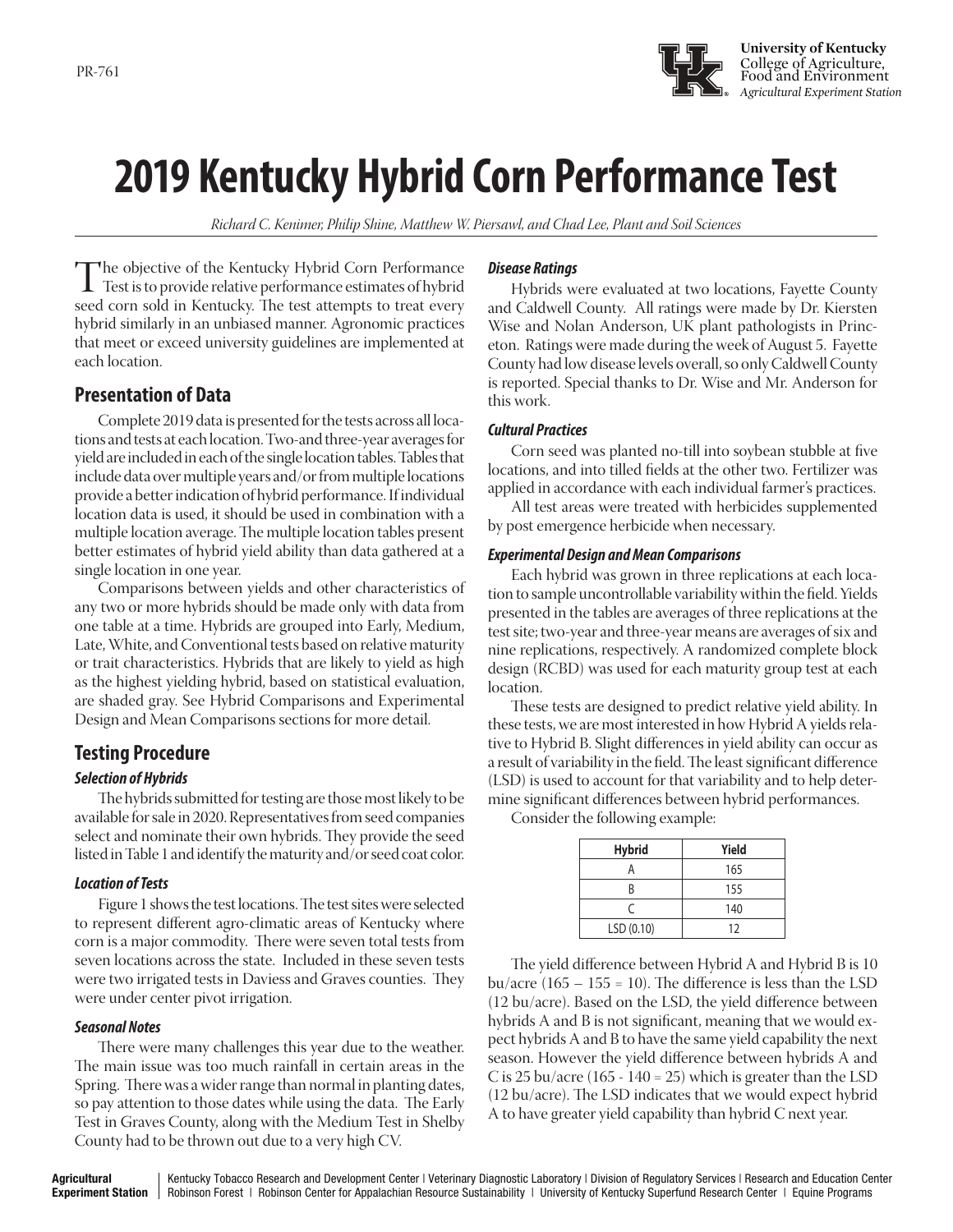

# **2019 Kentucky Hybrid Corn Performance Test**

*Richard C. Kenimer, Philip Shine, Matthew W. Piersawl, and Chad Lee, Plant and Soil Sciences*

The objective of the Kentucky Hybrid Corn Performance<br>Test is to provide relative performance estimates of hybrid<br>seed corn sold in Kentucky. The test attempts to treat every seed corn sold in Kentucky. The test attempts to treat every hybrid similarly in an unbiased manner. Agronomic practices that meet or exceed university guidelines are implemented at each location.

## **Presentation of Data**

Complete 2019 data is presented for the tests across all locations and tests at each location. Two-and three-year averages for yield are included in each of the single location tables. Tables that include data over multiple years and/or from multiple locations provide a better indication of hybrid performance. If individual location data is used, it should be used in combination with a multiple location average. The multiple location tables present better estimates of hybrid yield ability than data gathered at a single location in one year.

Comparisons between yields and other characteristics of any two or more hybrids should be made only with data from one table at a time. Hybrids are grouped into Early, Medium, Late, White, and Conventional tests based on relative maturity or trait characteristics. Hybrids that are likely to yield as high as the highest yielding hybrid, based on statistical evaluation, are shaded gray. See Hybrid Comparisons and Experimental Design and Mean Comparisons sections for more detail.

## **Testing Procedure**

#### *Selection of Hybrids*

The hybrids submitted for testing are those most likely to be available for sale in 2020. Representatives from seed companies select and nominate their own hybrids. They provide the seed listed in Table 1 and identify the maturity and/or seed coat color.

#### *Location of Tests*

Figure 1 shows the test locations. The test sites were selected to represent different agro-climatic areas of Kentucky where corn is a major commodity. There were seven total tests from seven locations across the state. Included in these seven tests were two irrigated tests in Daviess and Graves counties. They were under center pivot irrigation.

#### *Seasonal Notes*

There were many challenges this year due to the weather. The main issue was too much rainfall in certain areas in the Spring. There was a wider range than normal in planting dates, so pay attention to those dates while using the data. The Early Test in Graves County, along with the Medium Test in Shelby County had to be thrown out due to a very high CV.

#### *Disease Ratings*

 Hybrids were evaluated at two locations, Fayette County and Caldwell County. All ratings were made by Dr. Kiersten Wise and Nolan Anderson, UK plant pathologists in Princeton. Ratings were made during the week of August 5. Fayette County had low disease levels overall, so only Caldwell County is reported. Special thanks to Dr. Wise and Mr. Anderson for this work.

#### *Cultural Practices*

Corn seed was planted no-till into soybean stubble at five locations, and into tilled fields at the other two. Fertilizer was applied in accordance with each individual farmer's practices.

 All test areas were treated with herbicides supplemented by post emergence herbicide when necessary.

#### *Experimental Design and Mean Comparisons*

Each hybrid was grown in three replications at each location to sample uncontrollable variability within the field. Yields presented in the tables are averages of three replications at the test site; two-year and three-year means are averages of six and nine replications, respectively. A randomized complete block design (RCBD) was used for each maturity group test at each location.

These tests are designed to predict relative yield ability. In these tests, we are most interested in how Hybrid A yields relative to Hybrid B. Slight differences in yield ability can occur as a result of variability in the field. The least significant difference (LSD) is used to account for that variability and to help determine significant differences between hybrid performances.

Consider the following example:

| <b>Hybrid</b> | Yield |
|---------------|-------|
|               | 165   |
| R             | 155   |
| r             | 140   |
| LSD(0.10)     | 12    |

The yield difference between Hybrid A and Hybrid B is 10 bu/acre  $(165 - 155 = 10)$ . The difference is less than the LSD (12 bu/acre). Based on the LSD, the yield difference between hybrids A and B is not significant, meaning that we would expect hybrids A and B to have the same yield capability the next season. However the yield difference between hybrids A and C is 25 bu/acre  $(165 - 140 = 25)$  which is greater than the LSD (12 bu/acre). The LSD indicates that we would expect hybrid A to have greater yield capability than hybrid C next year.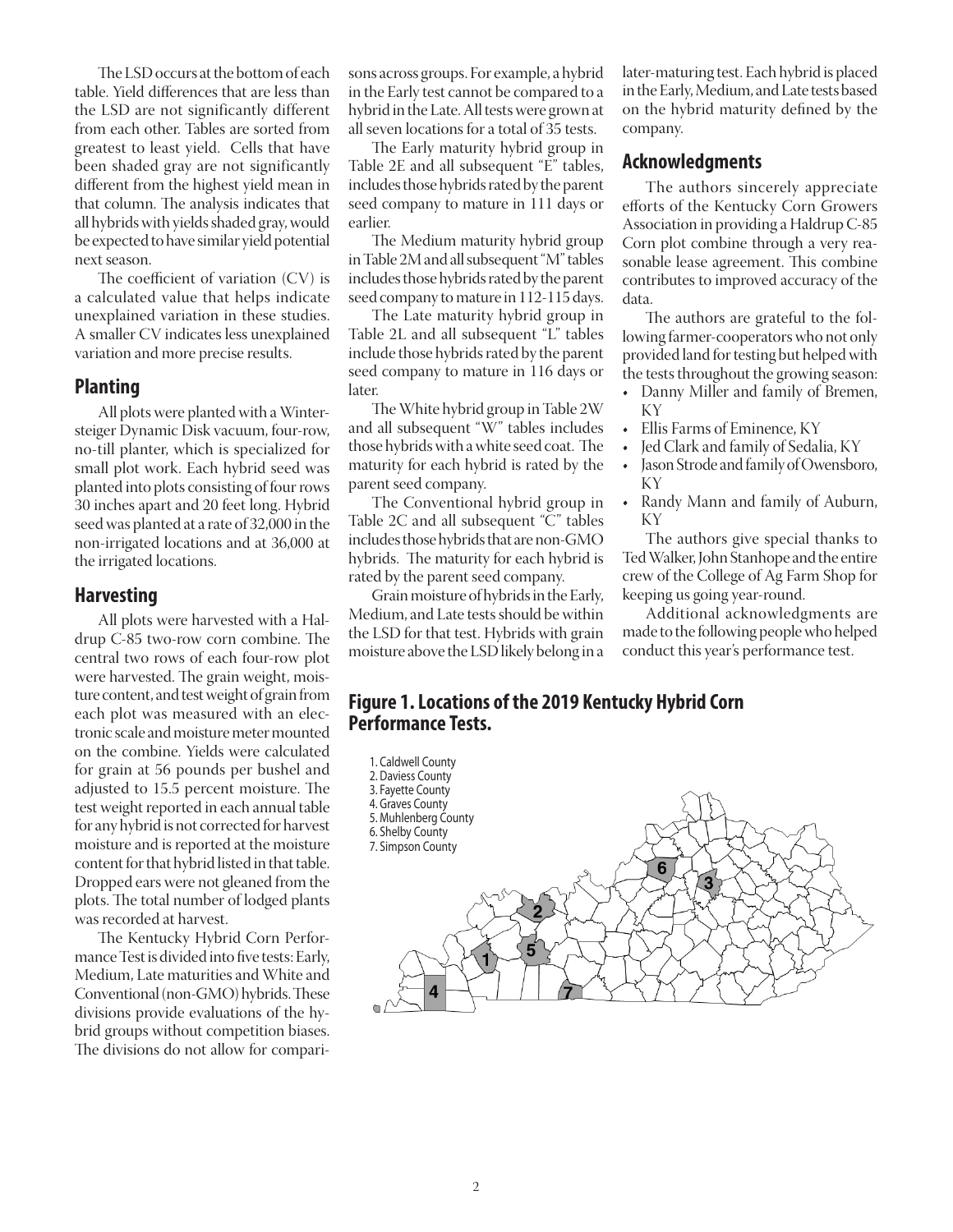The LSD occurs at the bottom of each table. Yield differences that are less than the LSD are not significantly different from each other. Tables are sorted from greatest to least yield. Cells that have been shaded gray are not significantly different from the highest yield mean in that column. The analysis indicates that all hybrids with yields shaded gray, would be expected to have similar yield potential next season.

The coefficient of variation (CV) is a calculated value that helps indicate unexplained variation in these studies. A smaller CV indicates less unexplained variation and more precise results.

#### **Planting**

All plots were planted with a Wintersteiger Dynamic Disk vacuum, four-row, no-till planter, which is specialized for small plot work. Each hybrid seed was planted into plots consisting of four rows 30 inches apart and 20 feet long. Hybrid seed was planted at a rate of 32,000 in the non-irrigated locations and at 36,000 at the irrigated locations.

#### **Harvesting**

All plots were harvested with a Haldrup C-85 two-row corn combine. The central two rows of each four-row plot were harvested. The grain weight, moisture content, and test weight of grain from each plot was measured with an electronic scale and moisture meter mounted on the combine. Yields were calculated for grain at 56 pounds per bushel and adjusted to 15.5 percent moisture. The test weight reported in each annual table for any hybrid is not corrected for harvest moisture and is reported at the moisture content for that hybrid listed in that table. Dropped ears were not gleaned from the plots. The total number of lodged plants was recorded at harvest.

The Kentucky Hybrid Corn Performance Test is divided into five tests: Early, Medium, Late maturities and White and Conventional (non-GMO) hybrids. These divisions provide evaluations of the hybrid groups without competition biases. The divisions do not allow for comparisons across groups. For example, a hybrid in the Early test cannot be compared to a hybrid in the Late. All tests were grown at all seven locations for a total of 35 tests.

The Early maturity hybrid group in Table 2E and all subsequent "E" tables, includes those hybrids rated by the parent seed company to mature in 111 days or earlier.

The Medium maturity hybrid group in Table 2M and all subsequent "M" tables includes those hybrids rated by the parent seed company to mature in 112-115 days.

The Late maturity hybrid group in Table 2L and all subsequent "L" tables include those hybrids rated by the parent seed company to mature in 116 days or later.

The White hybrid group in Table 2W and all subsequent "W" tables includes those hybrids with a white seed coat. The maturity for each hybrid is rated by the parent seed company.

The Conventional hybrid group in Table 2C and all subsequent "C" tables includes those hybrids that are non-GMO hybrids. The maturity for each hybrid is rated by the parent seed company.

Grain moisture of hybrids in the Early, Medium, and Late tests should be within the LSD for that test. Hybrids with grain moisture above the LSD likely belong in a

later-maturing test. Each hybrid is placed in the Early, Medium, and Late tests based on the hybrid maturity defined by the company.

#### **Acknowledgments**

The authors sincerely appreciate efforts of the Kentucky Corn Growers Association in providing a Haldrup C-85 Corn plot combine through a very reasonable lease agreement. This combine contributes to improved accuracy of the data.

The authors are grateful to the following farmer-cooperators who not only provided land for testing but helped with the tests throughout the growing season:

- Danny Miller and family of Bremen, KY
- Ellis Farms of Eminence, KY
- Jed Clark and family of Sedalia, KY
- Jason Strode and family of Owensboro, KY
- Randy Mann and family of Auburn, KY

The authors give special thanks to Ted Walker, John Stanhope and the entire crew of the College of Ag Farm Shop for keeping us going year-round.

Additional acknowledgments are made to the following people who helped conduct this year's performance test.

## **Figure 1. Locations of the 2019 Kentucky Hybrid Corn Performance Tests.**

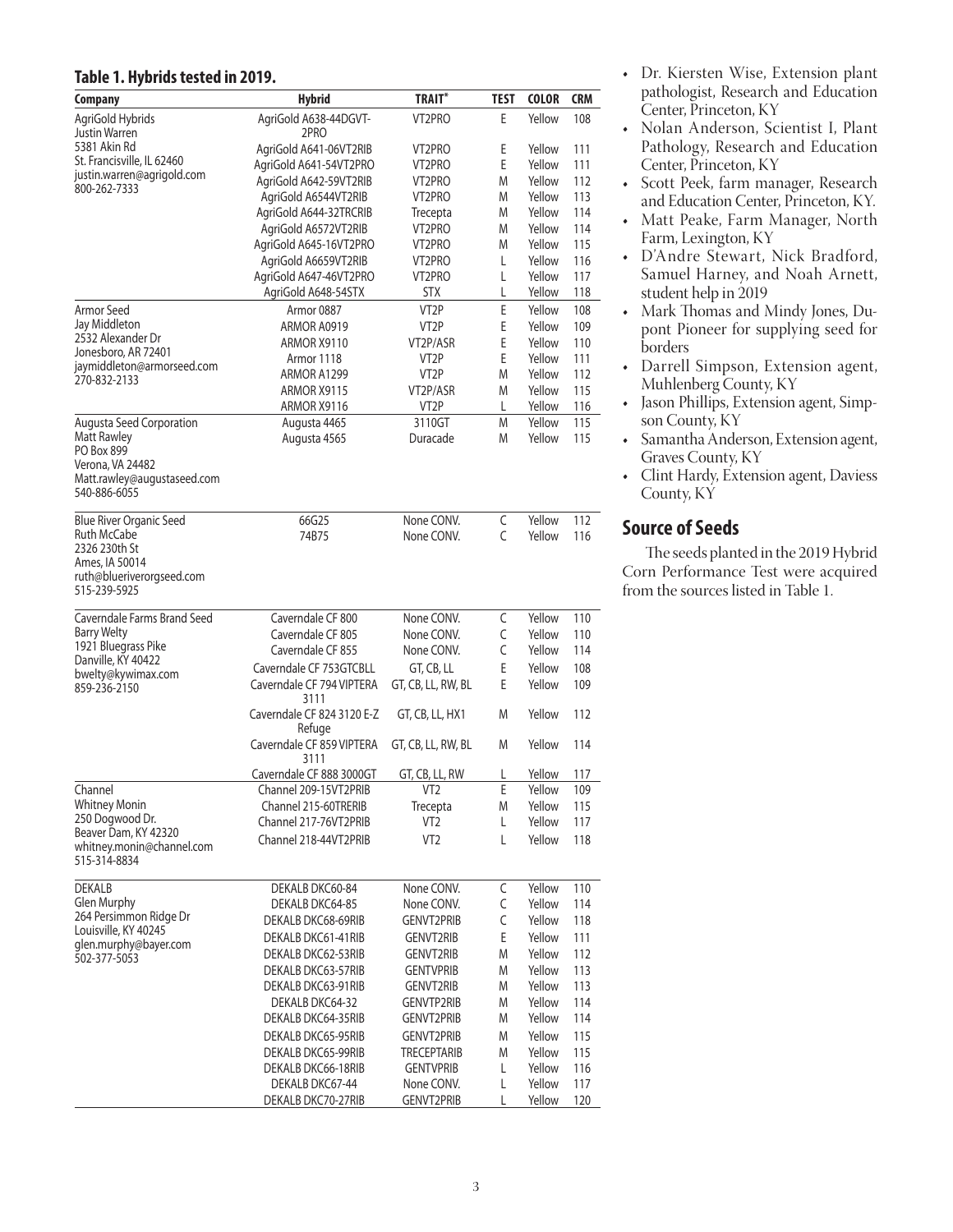#### **Table 1. Hybrids tested in 2019.**

| <b>Company</b>                                    | <b>Hybrid</b>                                    | <b>TRAIT*</b>            | TEST   | <b>COLOR</b>     | <b>CRM</b> |
|---------------------------------------------------|--------------------------------------------------|--------------------------|--------|------------------|------------|
| AgriGold Hybrids                                  | AgriGold A638-44DGVT-                            | VT2PRO                   | Ε      | Yellow           | 108        |
| Justin Warren                                     | 2PRO                                             |                          |        |                  |            |
| 5381 Akin Rd<br>St. Francisville, IL 62460        | AgriGold A641-06VT2RIB                           | VT2PRO                   | Ε      | Yellow           | 111        |
| justin.warren@agrigold.com                        | AgriGold A641-54VT2PRO<br>AgriGold A642-59VT2RIB | VT2PRO<br>VT2PRO         | Ε<br>M | Yellow<br>Yellow | 111<br>112 |
| 800-262-7333                                      | AgriGold A6544VT2RIB                             | VT2PRO                   | M      | Yellow           | 113        |
|                                                   | AgriGold A644-32TRCRIB                           | Trecepta                 | M      | Yellow           | 114        |
|                                                   | AgriGold A6572VT2RIB                             | VT2PRO                   | M      | Yellow           | 114        |
|                                                   | AgriGold A645-16VT2PRO                           | VT2PRO                   | M      | Yellow           | 115        |
|                                                   | AgriGold A6659VT2RIB                             | VT2PRO                   | Г      | Yellow           | 116        |
|                                                   | AgriGold A647-46VT2PRO                           | VT2PRO                   | L      | Yellow           | 117        |
|                                                   | AgriGold A648-54STX                              | <b>STX</b>               | L      | Yellow           | 118        |
| Armor Seed<br>Jay Middleton                       | Armor 0887                                       | VT <sub>2</sub> P        | E      | Yellow           | 108        |
| 2532 Alexander Dr                                 | ARMOR A0919<br>ARMOR X9110                       | VT2P<br>VT2P/ASR         | E<br>E | Yellow<br>Yellow | 109<br>110 |
| Jonesboro, AR 72401                               | Armor 1118                                       | VT2P                     | E      | Yellow           | 111        |
| jaymiddleton@armorseed.com                        | ARMOR A1299                                      | VT2P                     | M      | Yellow           | 112        |
| 270-832-2133                                      | ARMOR X9115                                      | VT2P/ASR                 | M      | Yellow           | 115        |
|                                                   | ARMOR X9116                                      | VT2P                     | L      | Yellow           | 116        |
| Augusta Seed Corporation                          | Augusta 4465                                     | 3110GT                   | M      | Yellow           | 115        |
| Matt Rawley                                       | Augusta 4565                                     | Duracade                 | M      | Yellow           | 115        |
| PO Box 899<br>Verona, VA 24482                    |                                                  |                          |        |                  |            |
| Matt.rawley@augustaseed.com                       |                                                  |                          |        |                  |            |
| 540-886-6055                                      |                                                  |                          |        |                  |            |
| <b>Blue River Organic Seed</b>                    | 66G25                                            | None CONV.               | C      | Yellow           | 112        |
| Ruth McCabe                                       | 74B75                                            | None CONV.               | C      | Yellow           | 116        |
| 2326 230th St                                     |                                                  |                          |        |                  |            |
| Ames, IA 50014                                    |                                                  |                          |        |                  |            |
| ruth@blueriverorgseed.com<br>515-239-5925         |                                                  |                          |        |                  |            |
|                                                   |                                                  |                          |        |                  |            |
| Caverndale Farms Brand Seed                       | Caverndale CF 800                                | None CONV.               | C      | Yellow           | 110        |
| <b>Barry Welty</b><br>1921 Bluegrass Pike         | Caverndale CF 805                                | None CONV.               | C      | Yellow           | 110        |
| Danville, KY 40422                                | Caverndale CF 855                                | None CONV.               | C      | Yellow           | 114        |
| bwelty@kywimax.com                                | Caverndale CF 753GTCBLL                          | GT, CB, LL               | E      | Yellow           | 108        |
| 859-236-2150                                      | Caverndale CF 794 VIPTERA<br>3111                | GT, CB, LL, RW, BL       | E      | Yellow           | 109        |
|                                                   | Caverndale CF 824 3120 E-Z                       | GT, CB, LL, HX1          | M      | Yellow           | 112        |
|                                                   | Refuge                                           |                          |        |                  |            |
|                                                   | Caverndale CF 859 VIPTERA                        | GT, CB, LL, RW, BL       | M      | Yellow           | 114        |
|                                                   | 3111<br>Caverndale CF 888 3000GT                 | GT, CB, LL, RW           | L      | Yellow           | 117        |
| Channel                                           | Channel 209-15VT2PRIB                            | VT <sub>2</sub>          | Ε      | Yellow           | 109        |
| <b>Whitney Monin</b>                              | Channel 215-60TRERIB                             | Trecepta                 | M      | Yellow           | 115        |
| 250 Dogwood Dr.                                   | Channel 217-76VT2PRIB                            | VT <sub>2</sub>          | L      | Yellow           | 117        |
| Beaver Dam, KY 42320<br>whitney.monin@channel.com | Channel 218-44VT2PRIB                            | VT <sub>2</sub>          | L      | Yellow           | 118        |
| 515-314-8834                                      |                                                  |                          |        |                  |            |
|                                                   |                                                  |                          |        |                  |            |
| <b>DEKALB</b><br>Glen Murphy                      | DEKALB DKC60-84<br>DEKALB DKC64-85               | None CONV.<br>None CONV. | C<br>C | Yellow<br>Yellow | 110<br>114 |
| 264 Persimmon Ridge Dr                            | DEKALB DKC68-69RIB                               | <b>GENVT2PRIB</b>        | C      | Yellow           | 118        |
| Louisville, KY 40245                              | DEKALB DKC61-41RIB                               | GENVT2RIB                | E      | Yellow           | 111        |
| glen.murphy@bayer.com                             | DEKALB DKC62-53RIB                               | <b>GENVT2RIB</b>         | M      | Yellow           | 112        |
| 502-377-5053                                      | DEKALB DKC63-57RIB                               | <b>GENTVPRIB</b>         | M      | Yellow           | 113        |
|                                                   | DEKALB DKC63-91RIB                               | GENVT2RIB                | M      | Yellow           | 113        |
|                                                   | DEKALB DKC64-32                                  | GENVTP2RIB               | M      | Yellow           | 114        |
|                                                   | DEKALB DKC64-35RIB                               | GENVT2PRIB               | M      | Yellow           | 114        |
|                                                   | DEKALB DKC65-95RIB                               | GENVT2PRIB               | M      | Yellow           | 115        |
|                                                   | DEKALB DKC65-99RIB                               | <b>TRECEPTARIB</b>       | M      | Yellow           | 115        |
|                                                   | DEKALB DKC66-18RIB                               | <b>GENTVPRIB</b>         | L      | Yellow           | 116        |
|                                                   | DEKALB DKC67-44                                  | None CONV.               | Г      | Yellow           | 117        |
|                                                   | DEKALB DKC70-27RIB                               | GENVT2PRIB               | L      | Yellow           | 120        |

- Dr. Kiersten Wise, Extension plant pathologist, Research and Education Center, Princeton, KY
- Nolan Anderson, Scientist I, Plant Pathology, Research and Education Center, Princeton, KY
- Scott Peek, farm manager, Research and Education Center, Princeton, KY.
- Matt Peake, Farm Manager, North Farm, Lexington, KY
- D'Andre Stewart, Nick Bradford, Samuel Harney, and Noah Arnett, student help in 2019
- Mark Thomas and Mindy Jones, Dupont Pioneer for supplying seed for borders
- Darrell Simpson, Extension agent, Muhlenberg County, KY
- Jason Phillips, Extension agent, Simpson County, KY
- Samantha Anderson, Extension agent, Graves County, KY
- Clint Hardy, Extension agent, Daviess County, KY

## **Source of Seeds**

The seeds planted in the 2019 Hybrid Corn Performance Test were acquired from the sources listed in Table 1.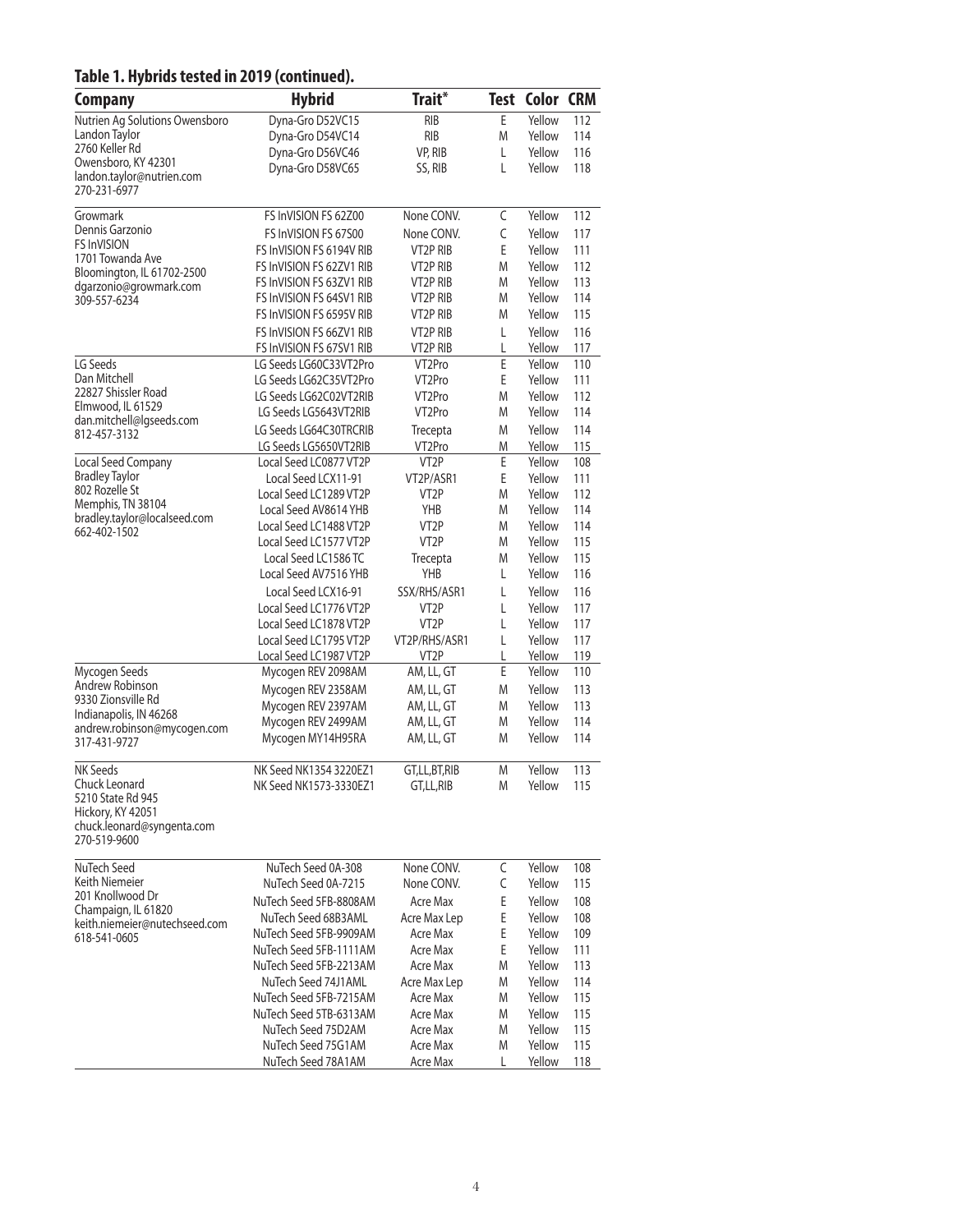## **Table 1. Hybrids tested in 2019 (continued).**

| <b>Company</b>                                       | <b>Hybrid</b>            | Trait*              |   | <b>Test Color CRM</b> |     |
|------------------------------------------------------|--------------------------|---------------------|---|-----------------------|-----|
| Nutrien Ag Solutions Owensboro                       | Dyna-Gro D52VC15         | <b>RIB</b>          | E | Yellow                | 112 |
| Landon Taylor                                        | Dyna-Gro D54VC14         | <b>RIB</b>          | M | Yellow                | 114 |
| 2760 Keller Rd                                       | Dyna-Gro D56VC46         | VP, RIB             | L | Yellow                | 116 |
| Owensboro, KY 42301                                  | Dyna-Gro D58VC65         | SS, RIB             | L | Yellow                | 118 |
| landon.taylor@nutrien.com<br>270-231-6977            |                          |                     |   |                       |     |
| Growmark                                             | FS InVISION FS 62Z00     | None CONV.          | C | Yellow                | 112 |
| Dennis Garzonio                                      | FS InVISION FS 67500     | None CONV.          | C | Yellow                | 117 |
| <b>FS InVISION</b>                                   | FS InVISION FS 6194V RIB | VT2P RIB            | E | Yellow                | 111 |
| 1701 Towanda Ave                                     | FS InVISION FS 62ZV1 RIB | VT2P RIB            | M | Yellow                | 112 |
| Bloomington, IL 61702-2500<br>dgarzonio@growmark.com | FS InVISION FS 63ZV1 RIB | VT2P RIB            | M | Yellow                | 113 |
| 309-557-6234                                         | FS InVISION FS 64SV1 RIB | VT2P RIB            | M | Yellow                | 114 |
|                                                      | FS InVISION FS 6595V RIB | VT2P RIB            | M | Yellow                | 115 |
|                                                      | FS InVISION FS 66ZV1 RIB | VT2P RIB            | L | Yellow                | 116 |
|                                                      | FS InVISION FS 67SV1 RIB | VT2P RIB            | L | Yellow                | 117 |
| LG Seeds                                             | LG Seeds LG60C33VT2Pro   | VT <sub>2</sub> Pro | E | Yellow                | 110 |
| Dan Mitchell                                         | LG Seeds LG62C35VT2Pro   | VT <sub>2</sub> Pro | E | Yellow                | 111 |
| 22827 Shissler Road                                  | LG Seeds LG62C02VT2RIB   | VT <sub>2</sub> Pro | M | Yellow                | 112 |
| Elmwood, IL 61529                                    | LG Seeds LG5643VT2RIB    | VT2Pro              | M | Yellow                | 114 |
| dan.mitchell@lgseeds.com<br>812-457-3132             | LG Seeds LG64C30TRCRIB   | Trecepta            | M | Yellow                | 114 |
|                                                      | LG Seeds LG5650VT2RIB    | VT <sub>2</sub> Pro | M | Yellow                | 115 |
| Local Seed Company                                   | Local Seed LC0877 VT2P   | VT <sub>2</sub> P   | E | Yellow                | 108 |
| <b>Bradley Taylor</b>                                | Local Seed LCX11-91      | VT2P/ASR1           | Ε | Yellow                | 111 |
| 802 Rozelle St                                       | Local Seed LC1289 VT2P   | VT <sub>2</sub> P   | M | Yellow                | 112 |
| Memphis, TN 38104<br>bradley.taylor@localseed.com    | Local Seed AV8614 YHB    | YHB                 | M | Yellow                | 114 |
| 662-402-1502                                         | Local Seed LC1488 VT2P   | VT <sub>2</sub> P   | M | Yellow                | 114 |
|                                                      | Local Seed LC1577 VT2P   | VT <sub>2</sub> P   | M | Yellow                | 115 |
|                                                      | Local Seed LC1586 TC     | Trecepta            | M | Yellow                | 115 |
|                                                      | Local Seed AV7516 YHB    | <b>YHB</b>          | L | Yellow                | 116 |
|                                                      | Local Seed LCX16-91      | SSX/RHS/ASR1        | L | Yellow                | 116 |
|                                                      | Local Seed LC1776 VT2P   | VT <sub>2</sub> P   | L | Yellow                | 117 |
|                                                      | Local Seed LC1878 VT2P   | VT <sub>2</sub> P   | L | Yellow                | 117 |
|                                                      | Local Seed LC1795 VT2P   | VT2P/RHS/ASR1       | L | Yellow                | 117 |
|                                                      | Local Seed LC1987 VT2P   | VT <sub>2</sub> P   | L | Yellow                | 119 |
| Mycogen Seeds<br>Andrew Robinson                     | Mycogen REV 2098AM       | AM, LL, GT          | E | Yellow                | 110 |
| 9330 Zionsville Rd                                   | Mycogen REV 2358AM       | AM, LL, GT          | M | Yellow                | 113 |
| Indianapolis, IN 46268                               | Mycogen REV 2397AM       | AM, LL, GT          | M | Yellow                | 113 |
| andrew.robinson@mycogen.com                          | Mycogen REV 2499AM       | AM, LL, GT          | M | Yellow                | 114 |
| 317-431-9727                                         | Mycogen MY14H95RA        | AM, LL, GT          | M | Yellow                | 114 |
| <b>NK Seeds</b>                                      | NK Seed NK1354 3220EZ1   | GT,LL,BT,RIB        | M | Yellow                | 113 |
| Chuck Leonard                                        | NK Seed NK1573-3330EZ1   | GT,LL,RIB           | M | Yellow                | 115 |
| 5210 State Rd 945<br>Hickory, KY 42051               |                          |                     |   |                       |     |
| chuck.leonard@syngenta.com                           |                          |                     |   |                       |     |
| 270-519-9600                                         |                          |                     |   |                       |     |
| NuTech Seed                                          | NuTech Seed 0A-308       | None CONV.          | C | Yellow                | 108 |
| Keith Niemeier                                       | NuTech Seed 0A-7215      | None CONV.          | C | Yellow                | 115 |
| 201 Knollwood Dr                                     | NuTech Seed 5FB-8808AM   | Acre Max            | E | Yellow                | 108 |
| Champaign, IL 61820                                  | NuTech Seed 68B3AML      | Acre Max Lep        | E | Yellow                | 108 |
| keith.niemeier@nutechseed.com<br>618-541-0605        | NuTech Seed 5FB-9909AM   | Acre Max            | E | Yellow                | 109 |
|                                                      | NuTech Seed 5FB-1111AM   | <b>Acre Max</b>     | E | Yellow                | 111 |
|                                                      | NuTech Seed 5FB-2213AM   | Acre Max            | M | Yellow                | 113 |
|                                                      | NuTech Seed 74J1AML      | Acre Max Lep        | M | Yellow                | 114 |
|                                                      | NuTech Seed 5FB-7215AM   | Acre Max            | M | Yellow                | 115 |
|                                                      | NuTech Seed 5TB-6313AM   | Acre Max            | M | Yellow                | 115 |
|                                                      | NuTech Seed 75D2AM       | Acre Max            | M | Yellow                | 115 |
|                                                      | NuTech Seed 75G1AM       | Acre Max            | M | Yellow                | 115 |
|                                                      | NuTech Seed 78A1AM       | Acre Max            | L | Yellow                | 118 |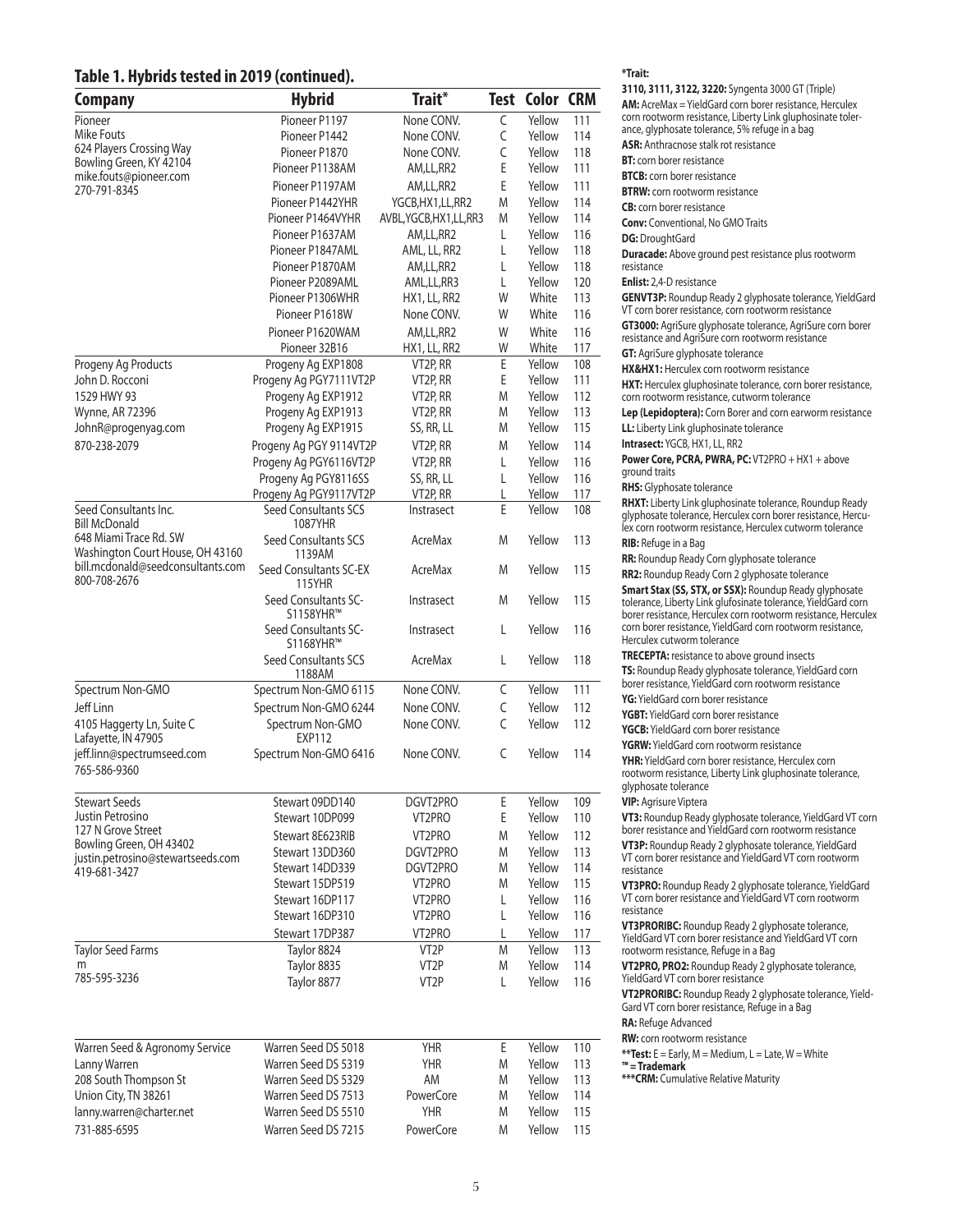#### **Table 1. Hybrids tested in 2019 (continued).**

| Company                                                               | <b>Hybrid</b>                                  | Trait*                    |             | <b>Test Color CRM</b> |            |
|-----------------------------------------------------------------------|------------------------------------------------|---------------------------|-------------|-----------------------|------------|
| Pioneer                                                               | Pioneer P1197                                  | None CONV.                | $\mathsf C$ | Yellow                | 111        |
| Mike Fouts                                                            | Pioneer P1442                                  | None CONV.                | C           | Yellow                | 114        |
| 624 Players Crossing Way                                              | Pioneer P1870                                  | None CONV.                | C           | Yellow                | 118        |
| Bowling Green, KY 42104                                               | Pioneer P1138AM                                | AM,LL,RR2                 | E           | Yellow                | 111        |
| mike.fouts@pioneer.com<br>270-791-8345                                | Pioneer P1197AM                                | AM,LL,RR2                 | E           | Yellow                | 111        |
|                                                                       | Pioneer P1442YHR                               | YGCB, HX1, LL, RR2        | M           | Yellow                | 114        |
|                                                                       | Pioneer P1464VYHR                              | AVBL, YGCB, HX1, LL, RR3  | M           | Yellow                | 114        |
|                                                                       | Pioneer P1637AM                                | AM,LL,RR2                 | L           | Yellow                | 116        |
|                                                                       | Pioneer P1847AML                               | AML, LL, RR2              | L           | Yellow                | 118        |
|                                                                       | Pioneer P1870AM                                | AM,LL,RR2                 | L           | Yellow                | 118        |
|                                                                       | Pioneer P2089AML                               | AML,LL,RR3                | L           | Yellow                | 120        |
|                                                                       | Pioneer P1306WHR                               | HX1, LL, RR2              | W           | White                 | 113        |
|                                                                       | Pioneer P1618W                                 | None CONV.                | W           | White                 | 116        |
|                                                                       | Pioneer P1620WAM                               | AM,LL,RR2                 | W           | White                 | 116        |
|                                                                       | Pioneer 32B16                                  | HX1, LL, RR2              | W           | White                 | 117        |
| Progeny Ag Products                                                   | Progeny Ag EXP1808                             | VT2P, RR                  | Ε           | Yellow                | 108        |
| John D. Rocconi                                                       | Progeny Ag PGY7111VT2P                         | VT2P, RR                  | E           | Yellow                | 111        |
| 1529 HWY 93                                                           | Progeny Ag EXP1912                             | VT2P, RR                  | M           | Yellow                | 112        |
| <b>Wynne, AR 72396</b>                                                | Progeny Ag EXP1913                             | VT2P, RR                  | M           | Yellow                | 113        |
| JohnR@progenyag.com                                                   | Progeny Ag EXP1915                             | SS, RR, LL                | M           | Yellow                | 115        |
| 870-238-2079                                                          | Progeny Ag PGY 9114VT2P                        | VT2P, RR                  | M           | Yellow                | 114        |
|                                                                       | Progeny Ag PGY6116VT2P                         | VT2P, RR                  | L           | Yellow                | 116        |
|                                                                       | Progeny Ag PGY8116SS                           | SS, RR, LL                | L           | Yellow                | 116        |
|                                                                       | Progeny Ag PGY9117VT2P                         | VT2P, RR                  | L           | Yellow                | 117        |
| Seed Consultants Inc.                                                 | Seed Consultants SCS                           | Instrasect                | E           | Yellow                | 108        |
| <b>Bill McDonald</b><br>648 Miami Trace Rd. SW                        | 1087YHR<br>Seed Consultants SCS                | AcreMax                   | M           | Yellow                | 113        |
| Washington Court House, OH 43160<br>bill.mcdonald@seedconsultants.com | 1139AM<br>Seed Consultants SC-EX               | AcreMax                   | M           | Yellow                | 115        |
| 800-708-2676                                                          | 115YHR<br>Seed Consultants SC-                 | Instrasect                | M           | Yellow                | 115        |
|                                                                       | S1158YHR™<br>Seed Consultants SC-<br>S1168YHR™ | Instrasect                | L           | Yellow                | 116        |
|                                                                       | Seed Consultants SCS<br>1188AM                 | AcreMax                   | L           | Yellow                | 118        |
| Spectrum Non-GMO                                                      | Spectrum Non-GMO 6115                          | None CONV.                | C           | Yellow                | 111        |
| Jeff Linn                                                             | Spectrum Non-GMO 6244                          | None CONV.                | C           | Yellow                | 112        |
| 4105 Haggerty Ln, Suite C<br>Lafayette, IN 47905                      | Spectrum Non-GMO<br>EXP112                     | None CONV.                | C           | Yellow                | 112        |
| jeff.linn@spectrumseed.com<br>765-586-9360                            | Spectrum Non-GMO 6416                          | None CONV.                | C           | Yellow                | 114        |
|                                                                       |                                                |                           |             |                       |            |
| <b>Stewart Seeds</b>                                                  | Stewart 09DD140                                | DGVT2PRO                  | E           | Yellow                | 109        |
| Justin Petrosino<br>127 N Grove Street                                | Stewart 10DP099                                | VT2PRO                    | E           | Yellow                | 110        |
| Bowling Green, OH 43402                                               | Stewart 8E623RIB                               | VT2PRO                    | M           | Yellow                | 112        |
| justin.petrosino@stewartseeds.com                                     | Stewart 13DD360                                | DGVT2PRO                  | M           | Yellow                | 113        |
| 419-681-3427                                                          | Stewart 14DD339                                | DGVT2PRO                  | M           | Yellow                | 114        |
|                                                                       | Stewart 15DP519                                | VT2PRO                    | M           | Yellow                | 115        |
|                                                                       | Stewart 16DP117                                | VT2PRO                    | L           | Yellow                | 116        |
|                                                                       | Stewart 16DP310                                | VT2PRO                    | L           | Yellow                | 116        |
|                                                                       | Stewart 17DP387                                | VT2PRO                    | L           | Yellow                | 117        |
| <b>Taylor Seed Farms</b>                                              | Taylor 8824                                    | VT <sub>2</sub> P         | M           | Yellow                | 113        |
| m<br>785-595-3236                                                     | Taylor 8835<br>Taylor 8877                     | VT2P<br>VT <sub>2</sub> P | M<br>L      | Yellow<br>Yellow      | 114<br>116 |
| Warren Seed & Agronomy Service                                        | Warren Seed DS 5018                            | <b>YHR</b>                | Ε           | Yellow                | 110        |
| Lanny Warren                                                          | Warren Seed DS 5319                            | <b>YHR</b>                | M           | Yellow                | 113        |
| 208 South Thompson St                                                 | Warren Seed DS 5329                            | AM                        | M           | Yellow                | 113        |
| Union City, TN 38261                                                  | Warren Seed DS 7513                            | PowerCore                 | M           | Yellow                | 114        |
| lanny.warren@charter.net                                              | Warren Seed DS 5510                            | <b>YHR</b>                | M           | Yellow                | 115        |
| 731-885-6595                                                          | Warren Seed DS 7215                            | PowerCore                 | M           | Yellow                | 115        |

#### **\*Trait:**

| <b>3110, 3111, 3122, 3220:</b> Syngenta 3000 GT (Triple)<br><b>AM:</b> AcreMax = YieldGard corn borer resistance, Herculex<br>corn rootworm resistance, Liberty Link gluphosinate toler-<br>ance, glyphosate tolerance, 5% refuge in a bag        |
|---------------------------------------------------------------------------------------------------------------------------------------------------------------------------------------------------------------------------------------------------|
| ASR: Anthracnose stalk rot resistance<br><b>BT:</b> corn borer resistance<br><b>BTCB:</b> corn borer resistance                                                                                                                                   |
| <b>BTRW:</b> corn rootworm resistance<br><b>CB:</b> corn borer resistance                                                                                                                                                                         |
| <b>Conv:</b> Conventional, No GMO Traits<br>DG: DroughtGard                                                                                                                                                                                       |
| <b>Duracade:</b> Above ground pest resistance plus rootworm<br>resistance                                                                                                                                                                         |
| <b>Enlist:</b> 2,4-D resistance<br>GENVT3P: Roundup Ready 2 glyphosate tolerance, YieldGard<br>VT corn borer resistance, corn rootworm resistance                                                                                                 |
| GT3000: AgriSure glyphosate tolerance, AgriSure corn borer<br>resistance and AgriSure corn rootworm resistance<br><b>GT:</b> AgriSure glyphosate tolerance                                                                                        |
| HX&HX1: Herculex corn rootworm resistance                                                                                                                                                                                                         |
| <b>HXT:</b> Herculex gluphosinate tolerance, corn borer resistance,<br>corn rootworm resistance, cutworm tolerance                                                                                                                                |
| Lep (Lepidoptera): Corn Borer and corn earworm resistance<br>LL: Liberty Link gluphosinate tolerance                                                                                                                                              |
| Intrasect: YGCB, HX1, LL, RR2<br><b>Power Core, PCRA, PWRA, PC: VT2PRO + HX1 + above</b><br>ground traits                                                                                                                                         |
| <b>RHS:</b> Glyphosate tolerance                                                                                                                                                                                                                  |
| <b>RHXT:</b> Liberty Link gluphosinate tolerance, Roundup Ready<br>glyphosate tolerance, Herculex corn borer resistance, Hercu-<br>lex corn rootworm resistance, Herculex cutworm tolerance                                                       |
| <b>RIB:</b> Refuge in a Bag                                                                                                                                                                                                                       |
| <b>RR:</b> Roundup Ready Corn glyphosate tolerance                                                                                                                                                                                                |
| RR2: Roundup Ready Corn 2 glyphosate tolerance<br><b>Smart Stax (SS, STX, or SSX): Roundup Ready glyphosate</b><br>tolerance, Liberty Link glufosinate tolerance, YieldGard corn<br>borer resistance, Herculex corn rootworm resistance, Herculex |
| corn borer resistance, YieldGard corn rootworm resistance,<br>Herculex cutworm tolerance<br><b>TRECEPTA:</b> resistance to above ground insects                                                                                                   |
| TS: Roundup Ready glyphosate tolerance, YieldGard corn<br>borer resistance, YieldGard corn rootworm resistance<br>YG: YieldGard corn borer resistance                                                                                             |
| <b>YGBT:</b> YieldGard corn borer resistance                                                                                                                                                                                                      |
| YGCB: YieldGard corn borer resistance                                                                                                                                                                                                             |
| YGRW: YieldGard corn rootworm resistance<br>YHR: YieldGard corn borer resistance, Herculex corn                                                                                                                                                   |
| rootworm resistance, Liberty Link gluphosinate tolerance<br>glyphosate tolerance<br><b>VIP:</b> Agrisure Viptera                                                                                                                                  |
| VT3: Roundup Ready glyphosate tolerance, YieldGard VT corn<br>borer resistance and YieldGard corn rootworm resistance                                                                                                                             |
| VT3P: Roundup Ready 2 glyphosate tolerance, YieldGard<br>VT corn borer resistance and YieldGard VT corn rootworm<br>resistance                                                                                                                    |
| VT3PRO: Roundup Ready 2 glyphosate tolerance, YieldGard<br>VT corn borer resistance and YieldGard VT corn rootworm<br>resistance                                                                                                                  |
| VT3PRORIBC: Roundup Ready 2 glyphosate tolerance,<br>YieldGard VT corn borer resistance and YieldGard VT corn<br>rootworm resistance, Refuge in a Bag                                                                                             |
| VT2PRO, PRO2: Roundup Ready 2 glyphosate tolerance,<br>YieldGard VT corn borer resistance                                                                                                                                                         |
| VT2PRORIBC: Roundup Ready 2 glyphosate tolerance, Yield-<br>Gard VT corn borer resistance, Refuge in a Bag                                                                                                                                        |
| RA: Refuge Advanced                                                                                                                                                                                                                               |
| <b>RW:</b> corn rootworm resistance<br>**Test: E = Early, M = Medium, L = Late, W = White<br>$m =$ Trademark                                                                                                                                      |
| *** CRM: Cumulative Relative Maturity                                                                                                                                                                                                             |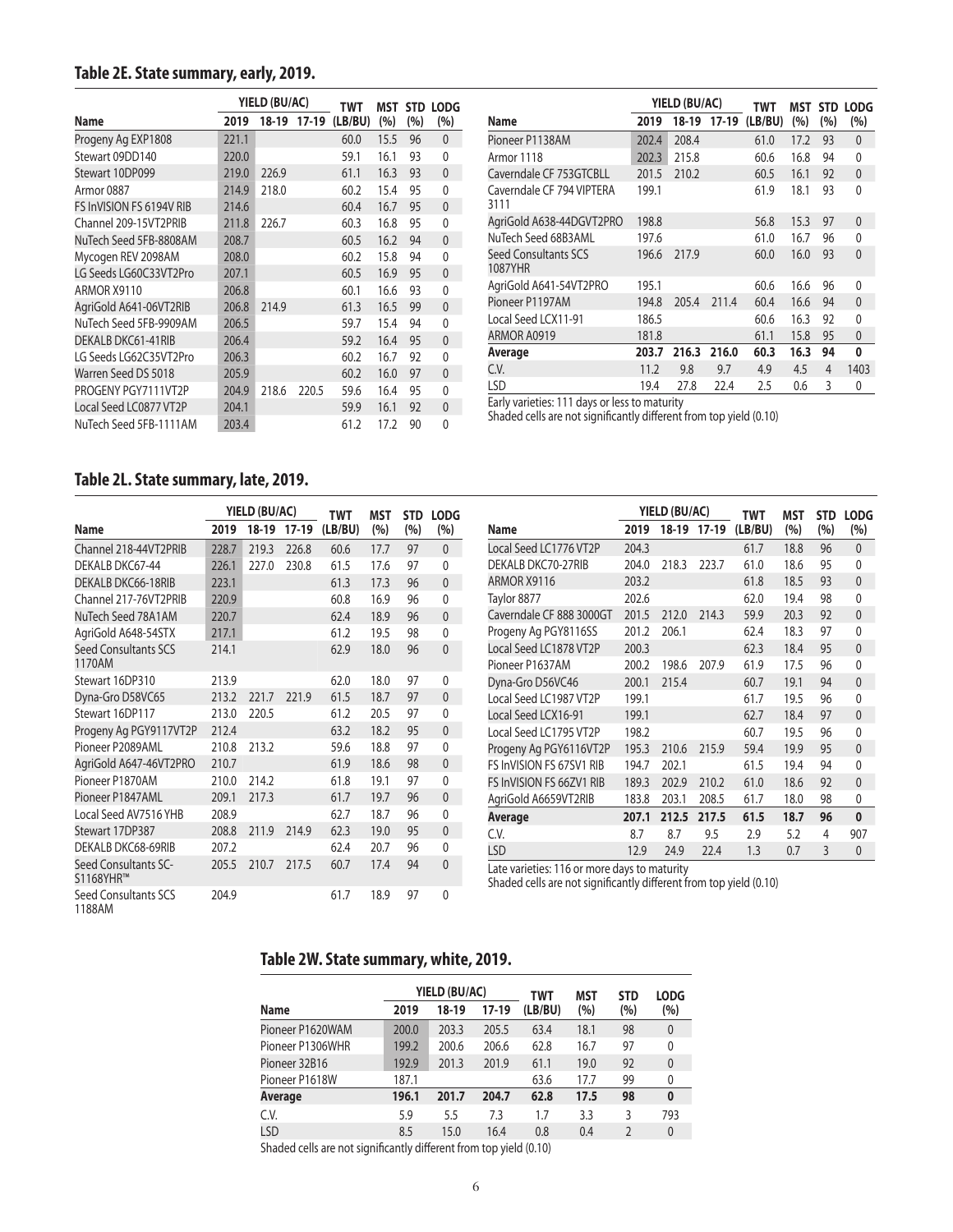## **Table 2E. State summary, early, 2019.**

|                          |       | YIELD (BU/AC) |             | TWT     | MST  |     | STD LODG     |
|--------------------------|-------|---------------|-------------|---------|------|-----|--------------|
| Name                     | 2019  |               | 18-19 17-19 | (LB/BU) | (%)  | (%) | (%)          |
| Progeny Ag EXP1808       | 221.1 |               |             | 60.0    | 15.5 | 96  | $\mathbf{0}$ |
| Stewart 09DD140          | 220.0 |               |             | 59.1    | 16.1 | 93  | 0            |
| Stewart 10DP099          | 219.0 | 226.9         |             | 61.1    | 16.3 | 93  | $\mathbf{0}$ |
| Armor 0887               | 214.9 | 218.0         |             | 60.2    | 15.4 | 95  | $\mathbf{0}$ |
| FS InVISION FS 6194V RIB | 214.6 |               |             | 60.4    | 16.7 | 95  | 0            |
| Channel 209-15VT2PRIB    | 211.8 | 226.7         |             | 60.3    | 16.8 | 95  | $\mathbf{0}$ |
| NuTech Seed 5FB-8808AM   | 208.7 |               |             | 60.5    | 16.2 | 94  | $\mathbf{0}$ |
| Mycogen REV 2098AM       | 208.0 |               |             | 60.2    | 15.8 | 94  | 0            |
| LG Seeds LG60C33VT2Pro   | 207.1 |               |             | 60.5    | 16.9 | 95  | $\mathbf{0}$ |
| ARMOR X9110              | 206.8 |               |             | 60.1    | 16.6 | 93  | 0            |
| AgriGold A641-06VT2RIB   | 206.8 | 214.9         |             | 61.3    | 16.5 | 99  | $\mathbf{0}$ |
| NuTech Seed 5FB-9909AM   | 206.5 |               |             | 59.7    | 15.4 | 94  | 0            |
| DEKALB DKC61-41RIB       | 206.4 |               |             | 59.2    | 16.4 | 95  | $\mathbf{0}$ |
| LG Seeds LG62C35VT2Pro   | 206.3 |               |             | 60.2    | 16.7 | 92  | 0            |
| Warren Seed DS 5018      | 205.9 |               |             | 60.2    | 16.0 | 97  | $\mathbf{0}$ |
| PROGENY PGY7111VT2P      | 204.9 | 218.6         | 220.5       | 59.6    | 16.4 | 95  | $\mathbf{0}$ |
| Local Seed LC0877 VT2P   | 204.1 |               |             | 59.9    | 16.1 | 92  | $\mathbf{0}$ |
| NuTech Seed 5FB-1111AM   | 203.4 |               |             | 61.2    | 17.2 | 90  | $\Omega$     |

|                                   |       | YIELD (BU/AC) |         | TWT     | MST  | <b>STD</b> | <b>LODG</b>  |
|-----------------------------------|-------|---------------|---------|---------|------|------------|--------------|
| Name                              | 2019  | 18-19         | $17-19$ | (LB/BU) | (%)  | (%)        | (%)          |
| Pioneer P1138AM                   | 202.4 | 208.4         |         | 61.0    | 17.2 | 93         | 0            |
| Armor 1118                        | 202.3 | 215.8         |         | 60.6    | 16.8 | 94         | 0            |
| Caverndale CF 753GTCBLL           | 201.5 | 210.2         |         | 60.5    | 16.1 | 92         | $\mathbf{0}$ |
| Caverndale CF 794 VIPTERA<br>3111 | 199.1 |               |         | 61.9    | 18.1 | 93         | $\Omega$     |
| AgriGold A638-44DGVT2PRO          | 198.8 |               |         | 56.8    | 15.3 | 97         | $\mathbf{0}$ |
| NuTech Seed 68B3AML               | 197.6 |               |         | 61.0    | 16.7 | 96         | 0            |
| Seed Consultants SCS<br>1087YHR   | 196.6 | 217.9         |         | 60.0    | 16.0 | 93         | $\Omega$     |
| AgriGold A641-54VT2PRO            | 195.1 |               |         | 60.6    | 16.6 | 96         | 0            |
| Pioneer P1197AM                   | 194.8 | 205.4         | 211.4   | 60.4    | 16.6 | 94         | $\mathbf{0}$ |
| Local Seed LCX11-91               | 186.5 |               |         | 60.6    | 16.3 | 92         | $\Omega$     |
| ARMOR A0919                       | 181.8 |               |         | 61.1    | 15.8 | 95         | $\mathbf{0}$ |
| Average                           | 203.7 | 216.3         | 216.0   | 60.3    | 16.3 | 94         | 0            |
| C.V.                              | 11.2  | 9.8           | 9.7     | 4.9     | 4.5  | 4          | 1403         |
| LSD                               | 19.4  | 27.8          | 22.4    | 2.5     | 0.6  | 3          | 0            |

Early varieties: 111 days or less to maturity

Shaded cells are not significantly different from top yield (0.10)

## **Table 2L. State summary, late, 2019.**

|                                       |       | YIELD (BU/AC) |         | <b>TWT</b> | <b>MST</b> | <b>STD</b> | <b>LODG</b>  |
|---------------------------------------|-------|---------------|---------|------------|------------|------------|--------------|
| Name                                  | 2019  | 18-19         | $17-19$ | (LB/BU)    | (%)        | (%)        | (%)          |
| Channel 218-44VT2PRIB                 | 228.7 | 219.3         | 226.8   | 60.6       | 17.7       | 97         | $\mathbf{0}$ |
| DEKALB DKC67-44                       | 226.1 | 227.0         | 230.8   | 61.5       | 17.6       | 97         | 0            |
| <b>DEKALB DKC66-18RIB</b>             | 223.1 |               |         | 61.3       | 17.3       | 96         | $\mathbf{0}$ |
| Channel 217-76VT2PRIB                 | 220.9 |               |         | 60.8       | 16.9       | 96         | 0            |
| NuTech Seed 78A1AM                    | 220.7 |               |         | 62.4       | 18.9       | 96         | $\mathbf{0}$ |
| AgriGold A648-54STX                   | 217.1 |               |         | 61.2       | 19.5       | 98         | $\mathbf{0}$ |
| <b>Seed Consultants SCS</b><br>1170AM | 214.1 |               |         | 62.9       | 18.0       | 96         | $\mathbf{0}$ |
| Stewart 16DP310                       | 213.9 |               |         | 62.0       | 18.0       | 97         | 0            |
| Dyna-Gro D58VC65                      | 213.2 | 221.7         | 221.9   | 61.5       | 18.7       | 97         | $\mathbf{0}$ |
| Stewart 16DP117                       | 213.0 | 220.5         |         | 61.2       | 20.5       | 97         | 0            |
| Progeny Ag PGY9117VT2P                | 212.4 |               |         | 63.2       | 18.2       | 95         | $\mathbf{0}$ |
| Pioneer P2089AML                      | 210.8 | 213.2         |         | 59.6       | 18.8       | 97         | 0            |
| AgriGold A647-46VT2PRO                | 210.7 |               |         | 61.9       | 18.6       | 98         | $\mathbf{0}$ |
| Pioneer P1870AM                       | 210.0 | 214.2         |         | 61.8       | 19.1       | 97         | 0            |
| Pioneer P1847AML                      | 209.1 | 217.3         |         | 61.7       | 19.7       | 96         | $\mathbf{0}$ |
| Local Seed AV7516 YHB                 | 208.9 |               |         | 62.7       | 18.7       | 96         | 0            |
| Stewart 17DP387                       | 208.8 | 211.9         | 214.9   | 62.3       | 19.0       | 95         | $\mathbf{0}$ |
| DEKALB DKC68-69RIB                    | 207.2 |               |         | 62.4       | 20.7       | 96         | 0            |
| Seed Consultants SC-<br>S1168YHR™     | 205.5 | 210.7         | 217.5   | 60.7       | 17.4       | 94         | $\mathbf{0}$ |
| Seed Consultants SCS<br>1188AM        | 204.9 |               |         | 61.7       | 18.9       | 97         | 0            |

|                          |       | YIELD (BU/AC) |         | TWT     | MST  | <b>STD</b> | <b>LODG</b>  |
|--------------------------|-------|---------------|---------|---------|------|------------|--------------|
| Name                     | 2019  | 18-19         | $17-19$ | (LB/BU) | (%)  | (%)        | (%)          |
| Local Seed LC1776 VT2P   | 204.3 |               |         | 61.7    | 18.8 | 96         | $\mathbf{0}$ |
| DEKALB DKC70-27RIB       | 204.0 | 218.3         | 223.7   | 61.0    | 18.6 | 95         | 0            |
| ARMOR X9116              | 203.2 |               |         | 61.8    | 18.5 | 93         | $\mathbf{0}$ |
| Taylor 8877              | 202.6 |               |         | 62.0    | 19.4 | 98         | 0            |
| Caverndale CF 888 3000GT | 201.5 | 212.0         | 214.3   | 59.9    | 20.3 | 92         | $\mathbf{0}$ |
| Progeny Ag PGY8116SS     | 201.2 | 206.1         |         | 62.4    | 18.3 | 97         | 0            |
| Local Seed LC1878 VT2P   | 200.3 |               |         | 62.3    | 18.4 | 95         | $\Omega$     |
| Pioneer P1637AM          | 200.2 | 198.6         | 207.9   | 61.9    | 17.5 | 96         | 0            |
| Dyna-Gro D56VC46         | 200.1 | 215.4         |         | 60.7    | 19.1 | 94         | $\Omega$     |
| Local Seed LC1987 VT2P   | 199.1 |               |         | 61.7    | 19.5 | 96         | 0            |
| Local Seed LCX16-91      | 199.1 |               |         | 62.7    | 18.4 | 97         | $\Omega$     |
| Local Seed LC1795 VT2P   | 198.2 |               |         | 60.7    | 19.5 | 96         | 0            |
| Progeny Ag PGY6116VT2P   | 195.3 | 210.6         | 215.9   | 59.4    | 19.9 | 95         | $\mathbf{0}$ |
| FS InVISION FS 67SV1 RIB | 194.7 | 202.1         |         | 61.5    | 19.4 | 94         | 0            |
| FS InVISION FS 66ZV1 RIB | 189.3 | 202.9         | 210.2   | 61.0    | 18.6 | 92         | $\mathbf{0}$ |
| AgriGold A6659VT2RIB     | 183.8 | 203.1         | 208.5   | 61.7    | 18.0 | 98         | 0            |
| Average                  | 207.1 | 212.5         | 217.5   | 61.5    | 18.7 | 96         | 0            |
| C.V.                     | 8.7   | 8.7           | 9.5     | 2.9     | 5.2  | 4          | 907          |
| <b>LSD</b>               | 12.9  | 24.9          | 22.4    | 1.3     | 0.7  | 3          | $\mathbf{0}$ |

Late varieties: 116 or more days to maturity

Shaded cells are not significantly different from top yield (0.10)

#### **Table 2W. State summary, white, 2019.**

|                  |       | YIELD (BU/AC) |       | <b>TWT</b> | MST  | <b>STD</b>     | <b>LODG</b>  |
|------------------|-------|---------------|-------|------------|------|----------------|--------------|
| <b>Name</b>      | 2019  | 18-19         | 17-19 | (LB/BU)    | (%)  | (%)            | (%)          |
| Pioneer P1620WAM | 200.0 | 203.3         | 205.5 | 63.4       | 18.1 | 98             | $\mathbf{0}$ |
| Pioneer P1306WHR | 199.2 | 200.6         | 206.6 | 62.8       | 16.7 | 97             | 0            |
| Pioneer 32B16    | 192.9 | 201.3         | 201.9 | 61.1       | 19.0 | 92             | $\theta$     |
| Pioneer P1618W   | 187.1 |               |       | 63.6       | 17.7 | 99             | 0            |
| Average          | 196.1 | 201.7         | 204.7 | 62.8       | 17.5 | 98             | $\bf{0}$     |
| C.V.             | 5.9   | 5.5           | 7.3   | 1.7        | 3.3  | 3              | 793          |
| <b>LSD</b>       | 8.5   | 15.0          | 16.4  | 0.8        | 0.4  | $\overline{2}$ | $\mathbf{0}$ |
|                  |       |               |       |            |      |                |              |

Shaded cells are not significantly different from top yield (0.10)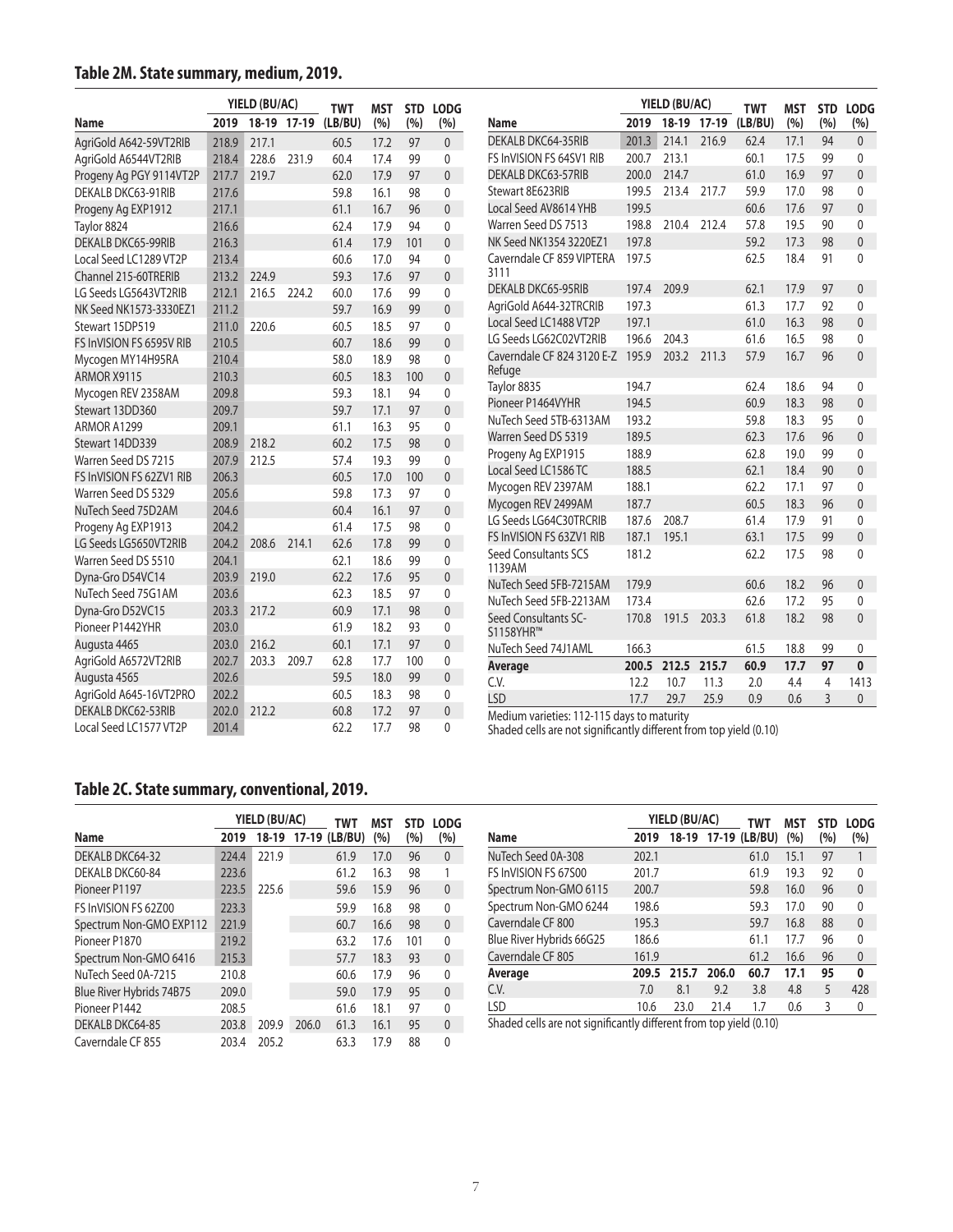## **Table 2M. State summary, medium, 2019.**

|                           |       | YIELD (BU/AC) |             | <b>TWT</b> | MST  | YIELD (BU/AC)<br><b>LODG</b><br><b>STD</b> |                |                                                                    |       |             | <b>TWT</b> | <b>MST</b> |      | STD LODG       |              |
|---------------------------|-------|---------------|-------------|------------|------|--------------------------------------------|----------------|--------------------------------------------------------------------|-------|-------------|------------|------------|------|----------------|--------------|
| Name                      | 2019  |               | 18-19 17-19 | (LB/BU)    | (%)  | (%)                                        | (%)            | <b>Name</b>                                                        | 2019  | 18-19 17-19 |            | (LB/BU)    | (%)  | (%)            | (%)          |
| AgriGold A642-59VT2RIB    | 218.9 | 217.1         |             | 60.5       | 17.2 | 97                                         | $\mathbf{0}$   | DEKALB DKC64-35RIB                                                 | 201.3 | 214.1       | 216.9      | 62.4       | 17.1 | 94             | $\mathbf{0}$ |
| AgriGold A6544VT2RIB      | 218.4 | 228.6         | 231.9       | 60.4       | 17.4 | 99                                         | $\Omega$       | FS InVISION FS 64SV1 RIB                                           | 200.7 | 213.1       |            | 60.1       | 17.5 | 99             | $\mathbf{0}$ |
| Progeny Ag PGY 9114VT2P   | 217.7 | 219.7         |             | 62.0       | 17.9 | 97                                         | $\overline{0}$ | <b>DEKALB DKC63-57RIB</b>                                          | 200.0 | 214.7       |            | 61.0       | 16.9 | 97             | $\mathbf{0}$ |
| DEKALB DKC63-91RIB        | 217.6 |               |             | 59.8       | 16.1 | 98                                         | 0              | Stewart 8E623RIB                                                   | 199.5 | 213.4       | 217.7      | 59.9       | 17.0 | 98             | $\mathbf 0$  |
| Progeny Ag EXP1912        | 217.1 |               |             | 61.1       | 16.7 | 96                                         | $\overline{0}$ | Local Seed AV8614 YHB                                              | 199.5 |             |            | 60.6       | 17.6 | 97             | $\mathbf{0}$ |
| Taylor 8824               | 216.6 |               |             | 62.4       | 17.9 | 94                                         | 0              | Warren Seed DS 7513                                                | 198.8 | 210.4       | 212.4      | 57.8       | 19.5 | 90             | 0            |
| <b>DEKALB DKC65-99RIB</b> | 216.3 |               |             | 61.4       | 17.9 | 101                                        | $\overline{0}$ | NK Seed NK1354 3220EZ1                                             | 197.8 |             |            | 59.2       | 17.3 | 98             | $\mathbf{0}$ |
| Local Seed LC1289 VT2P    | 213.4 |               |             | 60.6       | 17.0 | 94                                         | 0              | Caverndale CF 859 VIPTERA                                          | 197.5 |             |            | 62.5       | 18.4 | 91             | $\mathbf{0}$ |
| Channel 215-60TRERIB      | 213.2 | 224.9         |             | 59.3       | 17.6 | 97                                         | $\mathbf 0$    | 3111                                                               |       |             |            |            |      |                |              |
| LG Seeds LG5643VT2RIB     | 212.1 | 216.5         | 224.2       | 60.0       | 17.6 | 99                                         | 0              | <b>DEKALB DKC65-95RIB</b>                                          | 197.4 | 209.9       |            | 62.1       | 17.9 | 97             | $\mathbf{0}$ |
| NK Seed NK1573-3330EZ1    | 211.2 |               |             | 59.7       | 16.9 | 99                                         | $\overline{0}$ | AgriGold A644-32TRCRIB                                             | 197.3 |             |            | 61.3       | 17.7 | 92             | $\mathbf{0}$ |
| Stewart 15DP519           | 211.0 | 220.6         |             | 60.5       | 18.5 | 97                                         | 0              | Local Seed LC1488 VT2P                                             | 197.1 |             |            | 61.0       | 16.3 | 98             | $\mathbf{0}$ |
| FS InVISION FS 6595V RIB  | 210.5 |               |             | 60.7       | 18.6 | 99                                         | $\mathbf{0}$   | LG Seeds LG62C02VT2RIB                                             | 196.6 | 204.3       |            | 61.6       | 16.5 | 98             | $\mathbf{0}$ |
| Mycogen MY14H95RA         | 210.4 |               |             | 58.0       | 18.9 | 98                                         | 0              | Caverndale CF 824 3120 E-Z 195.9                                   |       | 203.2       | 211.3      | 57.9       | 16.7 | 96             | $\Omega$     |
| ARMOR X9115               | 210.3 |               |             | 60.5       | 18.3 | 100                                        | $\overline{0}$ | Refuge                                                             |       |             |            |            |      |                |              |
| Mycogen REV 2358AM        | 209.8 |               |             | 59.3       | 18.1 | 94                                         | $\Omega$       | Taylor 8835                                                        | 194.7 |             |            | 62.4       | 18.6 | 94             | $\mathbf{0}$ |
| Stewart 13DD360           | 209.7 |               |             | 59.7       | 17.1 | 97                                         | $\overline{0}$ | Pioneer P1464VYHR                                                  | 194.5 |             |            | 60.9       | 18.3 | 98             | $\mathbf{0}$ |
| ARMOR A1299               | 209.1 |               |             | 61.1       | 16.3 | 95                                         | 0              | NuTech Seed 5TB-6313AM                                             | 193.2 |             |            | 59.8       | 18.3 | 95             | $\mathbf 0$  |
| Stewart 14DD339           | 208.9 | 218.2         |             | 60.2       | 17.5 | 98                                         | $\overline{0}$ | Warren Seed DS 5319                                                | 189.5 |             |            | 62.3       | 17.6 | 96             | $\mathbf{0}$ |
| Warren Seed DS 7215       | 207.9 | 212.5         |             | 57.4       | 19.3 | 99                                         | $\Omega$       | Progeny Ag EXP1915                                                 | 188.9 |             |            | 62.8       | 19.0 | 99             | $\mathbf{0}$ |
| FS InVISION FS 62ZV1 RIB  | 206.3 |               |             | 60.5       | 17.0 | 100                                        | $\overline{0}$ | Local Seed LC1586 TC                                               | 188.5 |             |            | 62.1       | 18.4 | 90             | $\mathbf{0}$ |
| Warren Seed DS 5329       | 205.6 |               |             | 59.8       | 17.3 | 97                                         | 0              | Mycogen REV 2397AM                                                 | 188.1 |             |            | 62.2       | 17.1 | 97             | $\mathbf 0$  |
| NuTech Seed 75D2AM        | 204.6 |               |             | 60.4       | 16.1 | 97                                         | $\overline{0}$ | Mycogen REV 2499AM                                                 | 187.7 |             |            | 60.5       | 18.3 | 96             | $\mathbf{0}$ |
| Progeny Ag EXP1913        | 204.2 |               |             | 61.4       | 17.5 | 98                                         | 0              | LG Seeds LG64C30TRCRIB                                             | 187.6 | 208.7       |            | 61.4       | 17.9 | 91             | $\mathbf{0}$ |
| LG Seeds LG5650VT2RIB     | 204.2 | 208.6         | 214.1       | 62.6       | 17.8 | 99                                         | $\overline{0}$ | FS InVISION FS 63ZV1 RIB                                           | 187.1 | 195.1       |            | 63.1       | 17.5 | 99             | $\mathbf{0}$ |
| Warren Seed DS 5510       | 204.1 |               |             | 62.1       | 18.6 | 99                                         | 0              | Seed Consultants SCS                                               | 181.2 |             |            | 62.2       | 17.5 | 98             | $\mathbf 0$  |
| Dyna-Gro D54VC14          | 203.9 | 219.0         |             | 62.2       | 17.6 | 95                                         | $\overline{0}$ | 1139AM<br>NuTech Seed 5FB-7215AM                                   |       |             |            |            |      |                |              |
| NuTech Seed 75G1AM        | 203.6 |               |             | 62.3       | 18.5 | 97                                         | 0              |                                                                    | 179.9 |             |            | 60.6       | 18.2 | 96<br>95       | $\mathbf{0}$ |
| Dyna-Gro D52VC15          | 203.3 | 217.2         |             | 60.9       | 17.1 | 98                                         | $\overline{0}$ | NuTech Seed 5FB-2213AM                                             | 173.4 |             |            | 62.6       | 17.2 |                | $\mathbf{0}$ |
| Pioneer P1442YHR          | 203.0 |               |             | 61.9       | 18.2 | 93                                         | 0              | Seed Consultants SC-<br>S1158YHR™                                  | 170.8 | 191.5       | 203.3      | 61.8       | 18.2 | 98             | $\mathbf{0}$ |
| Augusta 4465              | 203.0 | 216.2         |             | 60.1       | 17.1 | 97                                         | $\overline{0}$ | NuTech Seed 74J1AML                                                | 166.3 |             |            | 61.5       | 18.8 | 99             | 0            |
| AgriGold A6572VT2RIB      | 202.7 | 203.3         | 209.7       | 62.8       | 17.7 | 100                                        | 0              | Average                                                            | 200.5 | 212.5       | 215.7      | 60.9       | 17.7 | 97             | $\mathbf{0}$ |
| Augusta 4565              | 202.6 |               |             | 59.5       | 18.0 | 99                                         | $\mathbf 0$    | C.V.                                                               | 12.2  | 10.7        | 11.3       | 2.0        | 4.4  | $\overline{4}$ | 1413         |
| AgriGold A645-16VT2PRO    | 202.2 |               |             | 60.5       | 18.3 | 98                                         | 0              | <b>LSD</b>                                                         | 17.7  | 29.7        | 25.9       | 0.9        | 0.6  | $\overline{3}$ | $\mathbf{0}$ |
| <b>DEKALB DKC62-53RIB</b> | 202.0 | 212.2         |             | 60.8       | 17.2 | 97                                         | $\overline{0}$ | Medium varieties: 112-115 days to maturity                         |       |             |            |            |      |                |              |
| Local Seed LC1577 VT2P    | 201.4 |               |             | 62.2       | 17.7 | 98                                         | $\Omega$       | Shaded cells are not significantly different from top yield (0.10) |       |             |            |            |      |                |              |

Shaded cells are not significantly different from top yield (0.10)

## **Table 2C. State summary, conventional, 2019.**

|                          |       | YIELD (BU/AC) |       | TWT                 | MST  | <b>STD</b> | <b>LODG</b>  |
|--------------------------|-------|---------------|-------|---------------------|------|------------|--------------|
| Name                     | 2019  |               |       | 18-19 17-19 (LB/BU) | (%)  | (%)        | (%)          |
| DEKALB DKC64-32          | 224.4 | 221.9         |       | 61.9                | 17.0 | 96         | $\mathbf{0}$ |
| DEKALB DKC60-84          | 223.6 |               |       | 61.2                | 16.3 | 98         |              |
| Pioneer P1197            | 223.5 | 225.6         |       | 59.6                | 15.9 | 96         | $\theta$     |
| FS InVISION FS 62Z00     | 223.3 |               |       | 59.9                | 16.8 | 98         | 0            |
| Spectrum Non-GMO EXP112  | 221.9 |               |       | 60.7                | 16.6 | 98         | $\theta$     |
| Pioneer P1870            | 219.2 |               |       | 63.2                | 17.6 | 101        | 0            |
| Spectrum Non-GMO 6416    | 215.3 |               |       | 57.7                | 18.3 | 93         | $\mathbf{0}$ |
| NuTech Seed 0A-7215      | 210.8 |               |       | 60.6                | 17.9 | 96         | 0            |
| Blue River Hybrids 74B75 | 209.0 |               |       | 59.0                | 17.9 | 95         | $\Omega$     |
| Pioneer P1442            | 208.5 |               |       | 61.6                | 18.1 | 97         | 0            |
| DEKALB DKC64-85          | 203.8 | 209.9         | 206.0 | 61.3                | 16.1 | 95         | $\Omega$     |
| Caverndale CF 855        | 203.4 | 205.2         |       | 63.3                | 17.9 | 88         | U            |

|                                                                                      |       | YIELD (BU/AC) |       | TWT                 | MST  | <b>STD</b> | <b>LODG</b>  |
|--------------------------------------------------------------------------------------|-------|---------------|-------|---------------------|------|------------|--------------|
| <b>Name</b>                                                                          | 2019  |               |       | 18-19 17-19 (LB/BU) | (%)  | (%)        | (%)          |
| NuTech Seed 0A-308                                                                   | 202.1 |               |       | 61.0                | 15.1 | 97         |              |
| FS InVISION FS 67500                                                                 | 201.7 |               |       | 61.9                | 19.3 | 92         | 0            |
| Spectrum Non-GMO 6115                                                                | 200.7 |               |       | 59.8                | 16.0 | 96         | $\mathbf{0}$ |
| Spectrum Non-GMO 6244                                                                | 198.6 |               |       | 59.3                | 17.0 | 90         | 0            |
| Caverndale CF 800                                                                    | 195.3 |               |       | 59.7                | 16.8 | 88         | $\mathbf{0}$ |
| Blue River Hybrids 66G25                                                             | 186.6 |               |       | 61.1                | 17.7 | 96         | 0            |
| Caverndale CF 805                                                                    | 161.9 |               |       | 61.2                | 16.6 | 96         | $\mathbf{0}$ |
| Average                                                                              | 209.5 | 215.7         | 206.0 | 60.7                | 17.1 | 95         | 0            |
| C.V.                                                                                 | 7.0   | 8.1           | 9.2   | 3.8                 | 4.8  | 5          | 428          |
| <b>LSD</b>                                                                           | 10.6  | 23.0          | 21.4  | 1.7                 | 0.6  | 3          | 0            |
| (10.10). وإمام ترجمه ومرموز فيرموه وكثاف بالعوم عن من في من من ما امو اموا و المحادي |       |               |       |                     |      |            |              |

Shaded cells are not significantly different from top yield (0.10)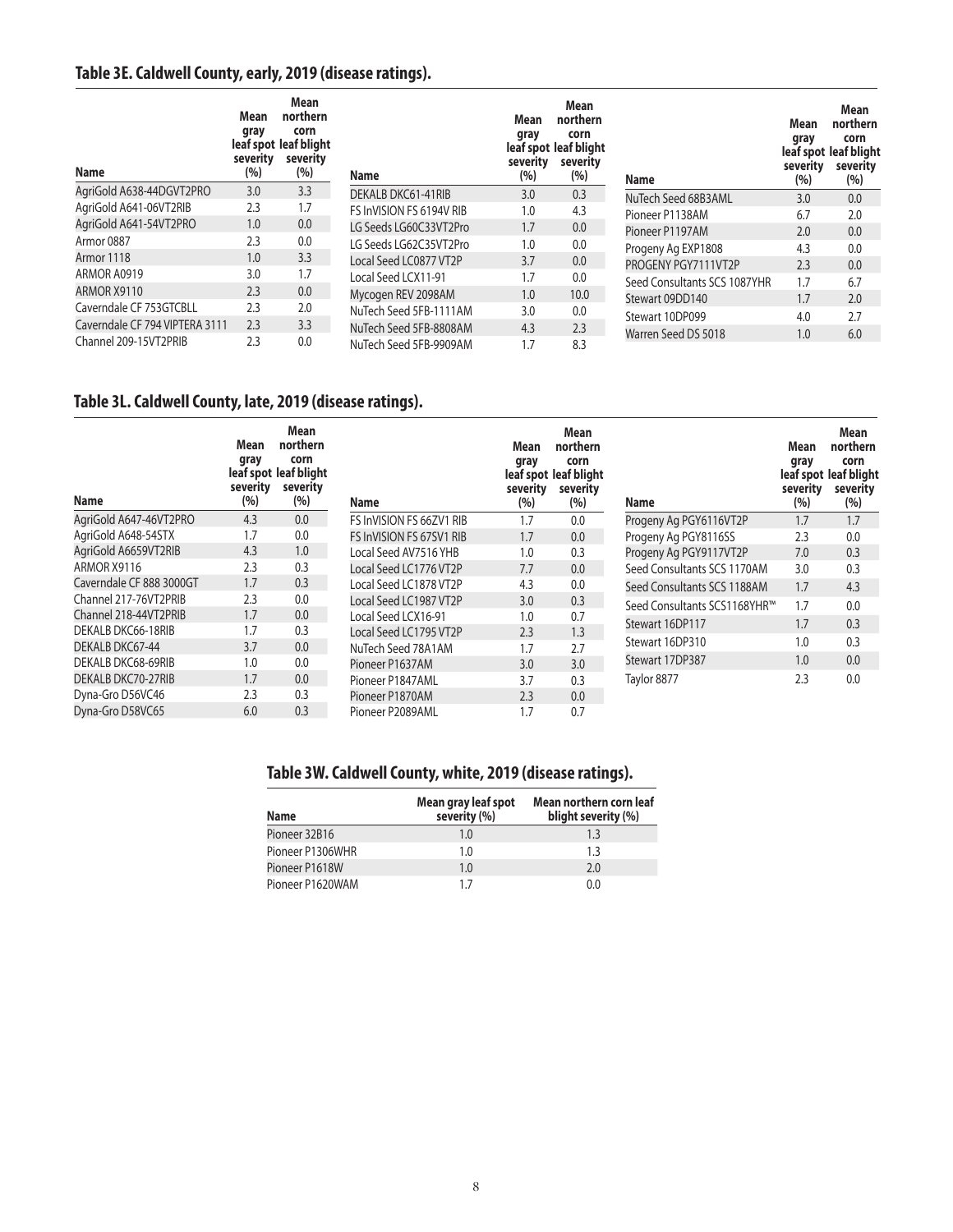# **Table 3E. Caldwell County, early, 2019 (disease ratings).**

| Name                           | Mean<br>gray<br>severity<br>(%) | Mean<br>northern<br>corn<br>leaf spot leaf blight<br>severity<br>(%) | <b>Name</b>              | Mean<br>gray<br>severity<br>(%) | <b>Mean</b><br>northern<br>corn<br>leaf spot leaf blight<br>severity<br>(%) | <b>Name</b>                  | Mean<br>gray<br>severity<br>(%) | Mean<br>northern<br>corn<br>leaf spot leaf blight<br>severity<br>(%) |
|--------------------------------|---------------------------------|----------------------------------------------------------------------|--------------------------|---------------------------------|-----------------------------------------------------------------------------|------------------------------|---------------------------------|----------------------------------------------------------------------|
| AgriGold A638-44DGVT2PRO       | 3.0                             | 3.3                                                                  | DEKALB DKC61-41RIB       | 3.0                             | 0.3                                                                         | NuTech Seed 68B3AML          | 3.0                             | 0.0                                                                  |
| AgriGold A641-06VT2RIB         | 2.3                             | 1.7                                                                  | FS InVISION FS 6194V RIB | 1.0                             | 4.3                                                                         | Pioneer P1138AM              | 6.7                             | 2.0                                                                  |
| AgriGold A641-54VT2PRO         | 1.0                             | 0.0                                                                  | LG Seeds LG60C33VT2Pro   | 1.7                             | 0.0                                                                         | Pioneer P1197AM              | 2.0                             | 0.0                                                                  |
| Armor 0887                     | 2.3                             | 0.0                                                                  | LG Seeds LG62C35VT2Pro   | 1.0                             | 0.0                                                                         | Progeny Ag EXP1808           | 4.3                             | 0.0                                                                  |
| Armor 1118                     | 1.0                             | 3.3                                                                  | Local Seed LC0877 VT2P   | 3.7                             | 0.0                                                                         | PROGENY PGY7111VT2P          | 2.3                             | 0.0                                                                  |
| ARMOR A0919                    | 3.0                             | 1.7                                                                  | Local Seed LCX11-91      | 1.7                             | 0.0                                                                         |                              |                                 |                                                                      |
| ARMOR X9110                    | 2.3                             | 0.0                                                                  | Mycogen REV 2098AM       | 1.0                             | 10.0                                                                        | Seed Consultants SCS 1087YHR | 1.7                             | 6.7                                                                  |
| Caverndale CF 753GTCBLL        | 2.3                             | 2.0                                                                  |                          |                                 |                                                                             | Stewart 09DD140              | 1.7                             | 2.0                                                                  |
| Caverndale CF 794 VIPTERA 3111 |                                 |                                                                      | NuTech Seed 5FB-1111AM   | 3.0                             | 0.0                                                                         | Stewart 10DP099              | 4.0                             | 2.7                                                                  |
|                                | 2.3                             | 3.3                                                                  | NuTech Seed 5FB-8808AM   | 4.3                             | 2.3                                                                         | Warren Seed DS 5018          | 1.0                             | 6.0                                                                  |
| Channel 209-15VT2PRIB          | 2.3                             | 0.0                                                                  | NuTech Seed 5FB-9909AM   | 1.7                             | 8.3                                                                         |                              |                                 |                                                                      |

## **Table 3L. Caldwell County, late, 2019 (disease ratings).**

| <b>Name</b>               | Mean<br>gray<br>severity<br>(%) | Mean<br>northern<br>corn<br>leaf spot leaf blight<br>severity<br>(%) | <b>Name</b>              | Mean<br>gray<br>severity<br>(%) | Mean<br>northern<br>corn<br>leaf spot leaf blight<br>severity<br>(%) | <b>Name</b>                  | Mean<br>gray<br>severity<br>(%) | Mean<br>northern<br>corn<br>leaf spot leaf blight<br>severity<br>(%) |
|---------------------------|---------------------------------|----------------------------------------------------------------------|--------------------------|---------------------------------|----------------------------------------------------------------------|------------------------------|---------------------------------|----------------------------------------------------------------------|
| AgriGold A647-46VT2PRO    | 4.3                             | 0.0                                                                  | FS InVISION FS 66ZV1 RIB | 1.7                             | 0.0                                                                  | Progeny Ag PGY6116VT2P       | 1.7                             | 1.7                                                                  |
| AgriGold A648-54STX       | 1.7                             | 0.0                                                                  | FS InVISION FS 67SV1 RIB | 1.7                             | 0.0                                                                  | Progeny Ag PGY8116SS         | 2.3                             | 0.0                                                                  |
| AgriGold A6659VT2RIB      | 4.3                             | 1.0                                                                  | Local Seed AV7516 YHB    | 1.0                             | 0.3                                                                  | Progeny Ag PGY9117VT2P       | 7.0                             | 0.3                                                                  |
| ARMOR X9116               | 2.3                             | 0.3                                                                  | Local Seed LC1776 VT2P   | 7.7                             | 0.0                                                                  | Seed Consultants SCS 1170AM  | 3.0                             | 0.3                                                                  |
| Caverndale CF 888 3000GT  | 1.7                             | 0.3                                                                  | Local Seed LC1878 VT2P   | 4.3                             | 0.0                                                                  | Seed Consultants SCS 1188AM  | 1.7                             | 4.3                                                                  |
| Channel 217-76VT2PRIB     | 2.3                             | 0.0                                                                  | Local Seed LC1987 VT2P   | 3.0                             | 0.3                                                                  | Seed Consultants SCS1168YHR™ | 1.7                             | 0.0                                                                  |
| Channel 218-44VT2PRIB     | 1.7                             | 0.0                                                                  | Local Seed LCX16-91      | 1.0                             | 0.7                                                                  | Stewart 16DP117              | 1.7                             | 0.3                                                                  |
| DEKALB DKC66-18RIB        | 1.7                             | 0.3                                                                  | Local Seed LC1795 VT2P   | 2.3                             | 1.3                                                                  |                              |                                 |                                                                      |
| DEKALB DKC67-44           | 3.7                             | 0.0                                                                  | NuTech Seed 78A1AM       | 1.7                             | 2.7                                                                  | Stewart 16DP310              | 1.0                             | 0.3                                                                  |
| DEKALB DKC68-69RIB        | 1.0                             | 0.0                                                                  | Pioneer P1637AM          | 3.0                             | 3.0                                                                  | Stewart 17DP387              | 1.0                             | 0.0                                                                  |
| <b>DEKALB DKC70-27RIB</b> | 1.7                             | 0.0                                                                  | Pioneer P1847AML         | 3.7                             | 0.3                                                                  | Taylor 8877                  | 2.3                             | 0.0                                                                  |
| Dyna-Gro D56VC46          | 2.3                             | 0.3                                                                  | Pioneer P1870AM          | 2.3                             | 0.0                                                                  |                              |                                 |                                                                      |
| Dyna-Gro D58VC65          | 6.0                             | 0.3                                                                  | Pioneer P2089AML         | 1.7                             | 0.7                                                                  |                              |                                 |                                                                      |

## **Table 3W. Caldwell County, white, 2019 (disease ratings).**

| <b>Name</b>      | Mean gray leaf spot<br>severity (%) | Mean northern corn leaf<br>blight severity (%) |
|------------------|-------------------------------------|------------------------------------------------|
| Pioneer 32B16    | 1.0                                 | 1.3                                            |
| Pioneer P1306WHR | 1.0                                 | 1.3                                            |
| Pioneer P1618W   | 1.0                                 | 2.0                                            |
| Pioneer P1620WAM | 17                                  | 0.0                                            |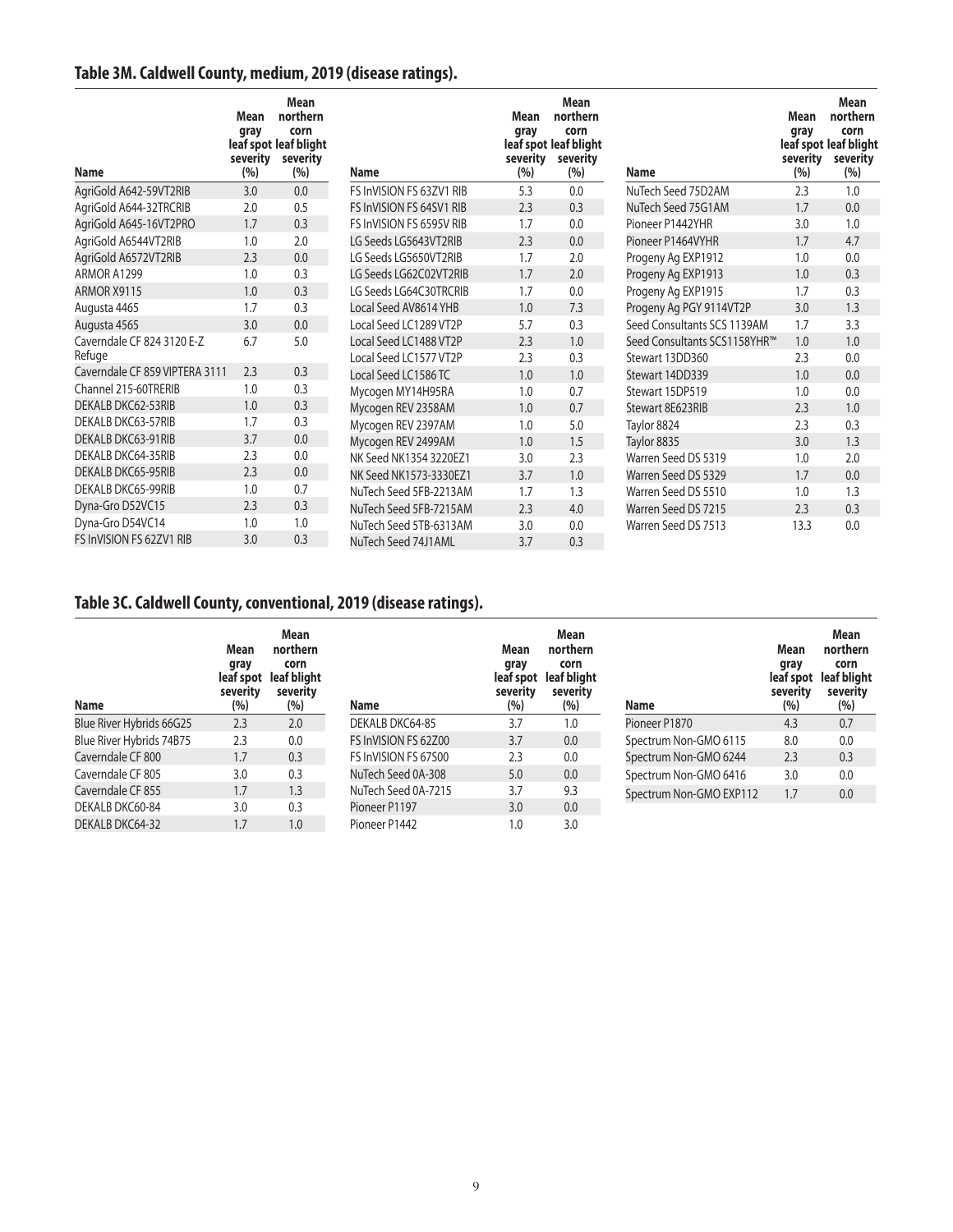# **Table 3M. Caldwell County, medium, 2019 (disease ratings).**

| <b>Name</b>                    | Mean<br>gray<br>severity<br>(%) | <b>Mean</b><br>northern<br>corn<br>leaf spot leaf blight<br>severity<br>(%) | <b>Name</b>              | Mean<br>gray<br>severity<br>(%) | <b>Mean</b><br>northern<br>corn<br>leaf spot leaf blight<br>severity<br>(%) | <b>Name</b>                  | Mean<br>gray<br>severity<br>(%) | Mean<br>northern<br>corn<br>leaf spot leaf blight<br>severity<br>(%) |
|--------------------------------|---------------------------------|-----------------------------------------------------------------------------|--------------------------|---------------------------------|-----------------------------------------------------------------------------|------------------------------|---------------------------------|----------------------------------------------------------------------|
| AgriGold A642-59VT2RIB         | 3.0                             | 0.0                                                                         | FS InVISION FS 63ZV1 RIB | 5.3                             | 0.0                                                                         | NuTech Seed 75D2AM           | 2.3                             | 1.0                                                                  |
| AgriGold A644-32TRCRIB         | 2.0                             | 0.5                                                                         | FS InVISION FS 64SV1 RIB | 2.3                             | 0.3                                                                         | NuTech Seed 75G1AM           | 1.7                             | 0.0                                                                  |
| AgriGold A645-16VT2PRO         | 1.7                             | 0.3                                                                         | FS InVISION FS 6595V RIB | 1.7                             | 0.0                                                                         | Pioneer P1442YHR             | 3.0                             | 1.0                                                                  |
| AgriGold A6544VT2RIB           | 1.0                             | 2.0                                                                         | LG Seeds LG5643VT2RIB    | 2.3                             | 0.0                                                                         | Pioneer P1464VYHR            | 1.7                             | 4.7                                                                  |
| AgriGold A6572VT2RIB           | 2.3                             | 0.0                                                                         | LG Seeds LG5650VT2RIB    | 1.7                             | 2.0                                                                         | Progeny Ag EXP1912           | 1.0                             | 0.0                                                                  |
| ARMOR A1299                    | 1.0                             | 0.3                                                                         | LG Seeds LG62C02VT2RIB   | 1.7                             | 2.0                                                                         | Progeny Ag EXP1913           | 1.0                             | 0.3                                                                  |
| ARMOR X9115                    | 1.0                             | 0.3                                                                         | LG Seeds LG64C30TRCRIB   | 1.7                             | 0.0                                                                         | Progeny Ag EXP1915           | 1.7                             | 0.3                                                                  |
| Augusta 4465                   | 1.7                             | 0.3                                                                         | Local Seed AV8614 YHB    | 1.0                             | 7.3                                                                         | Progeny Ag PGY 9114VT2P      | 3.0                             | 1.3                                                                  |
| Augusta 4565                   | 3.0                             | 0.0                                                                         | Local Seed LC1289 VT2P   | 5.7                             | 0.3                                                                         | Seed Consultants SCS 1139AM  | 1.7                             | 3.3                                                                  |
| Caverndale CF 824 3120 E-Z     | 6.7                             | 5.0                                                                         | Local Seed LC1488 VT2P   | 2.3                             | 1.0                                                                         | Seed Consultants SCS1158YHR™ | 1.0                             | 1.0                                                                  |
| Refuge                         |                                 |                                                                             | Local Seed LC1577 VT2P   | 2.3                             | 0.3                                                                         | Stewart 13DD360              | 2.3                             | 0.0                                                                  |
| Caverndale CF 859 VIPTERA 3111 | 2.3                             | 0.3                                                                         | Local Seed LC1586 TC     | 1.0                             | 1.0                                                                         | Stewart 14DD339              | 1.0                             | 0.0                                                                  |
| Channel 215-60TRERIB           | 1.0                             | 0.3                                                                         | Mycogen MY14H95RA        | 1.0                             | 0.7                                                                         | Stewart 15DP519              | 1.0                             | 0.0                                                                  |
| <b>DEKALB DKC62-53RIB</b>      | 1.0                             | 0.3                                                                         | Mycogen REV 2358AM       | 1.0                             | 0.7                                                                         | Stewart 8E623RIB             | 2.3                             | 1.0                                                                  |
| DEKALB DKC63-57RIB             | 1.7                             | 0.3                                                                         | Mycogen REV 2397AM       | 1.0                             | 5.0                                                                         | Taylor 8824                  | 2.3                             | 0.3                                                                  |
| DEKALB DKC63-91RIB             | 3.7                             | 0.0                                                                         | Mycogen REV 2499AM       | 1.0                             | 1.5                                                                         | Taylor 8835                  | 3.0                             | 1.3                                                                  |
| DEKALB DKC64-35RIB             | 2.3                             | 0.0                                                                         | NK Seed NK1354 3220EZ1   | 3.0                             | 2.3                                                                         | Warren Seed DS 5319          | 1.0                             | 2.0                                                                  |
| DEKALB DKC65-95RIB             | 2.3                             | 0.0                                                                         | NK Seed NK1573-3330EZ1   | 3.7                             | 1.0                                                                         | Warren Seed DS 5329          | 1.7                             | 0.0                                                                  |
| <b>DEKALB DKC65-99RIB</b>      | 1.0                             | 0.7                                                                         | NuTech Seed 5FB-2213AM   | 1.7                             | 1.3                                                                         | Warren Seed DS 5510          | 1.0                             | 1.3                                                                  |
| Dyna-Gro D52VC15               | 2.3                             | 0.3                                                                         | NuTech Seed 5FB-7215AM   | 2.3                             | 4.0                                                                         | Warren Seed DS 7215          | 2.3                             | 0.3                                                                  |
| Dyna-Gro D54VC14               | 1.0                             | 1.0                                                                         | NuTech Seed 5TB-6313AM   | 3.0                             | 0.0                                                                         | Warren Seed DS 7513          | 13.3                            | 0.0                                                                  |
| FS InVISION FS 62ZV1 RIB       | 3.0                             | 0.3                                                                         | NuTech Seed 74J1AML      | 3.7                             | 0.3                                                                         |                              |                                 |                                                                      |

# **Table 3C. Caldwell County, conventional, 2019 (disease ratings).**

| Name                     | Mean<br>gray<br>leaf spot<br>severity<br>(%) | Mean<br>northern<br>corn<br>leaf blight<br>severity<br>(%) | <b>Name</b>          | Mean<br>gray<br>severity<br>(%) | Mean<br>northern<br>corn<br>leaf spot leaf blight<br>severity<br>(%) | <b>Name</b>             | Mean<br>gray<br>leaf spot<br>severity<br>(%) | Mean<br>northern<br>corn<br>leaf blight<br>severity<br>(%) |
|--------------------------|----------------------------------------------|------------------------------------------------------------|----------------------|---------------------------------|----------------------------------------------------------------------|-------------------------|----------------------------------------------|------------------------------------------------------------|
| Blue River Hybrids 66G25 | 2.3                                          | 2.0                                                        | DEKALB DKC64-85      | 3.7                             | 1.0                                                                  | Pioneer P1870           | 4.3                                          | 0.7                                                        |
| Blue River Hybrids 74B75 | 2.3                                          | 0.0                                                        | FS InVISION FS 62Z00 | 3.7                             | 0.0                                                                  | Spectrum Non-GMO 6115   | 8.0                                          | 0.0                                                        |
| Caverndale CF 800        | 1.7                                          | 0.3                                                        | FS InVISION FS 67500 | 2.3                             | 0.0                                                                  | Spectrum Non-GMO 6244   | 2.3                                          | 0.3                                                        |
| Caverndale CF 805        | 3.0                                          | 0.3                                                        | NuTech Seed 0A-308   | 5.0                             | 0.0                                                                  | Spectrum Non-GMO 6416   | 3.0                                          | 0.0                                                        |
| Caverndale CF 855        | 1.7                                          | 1.3                                                        | NuTech Seed 0A-7215  | 3.7                             | 9.3                                                                  | Spectrum Non-GMO EXP112 | 1.7                                          | 0.0                                                        |
| DEKALB DKC60-84          | 3.0                                          | 0.3                                                        | Pioneer P1197        | 3.0                             | 0.0                                                                  |                         |                                              |                                                            |
| DEKALB DKC64-32          | 1.7                                          | 1.0                                                        | Pioneer P1442        | 1.0                             | 3.0                                                                  |                         |                                              |                                                            |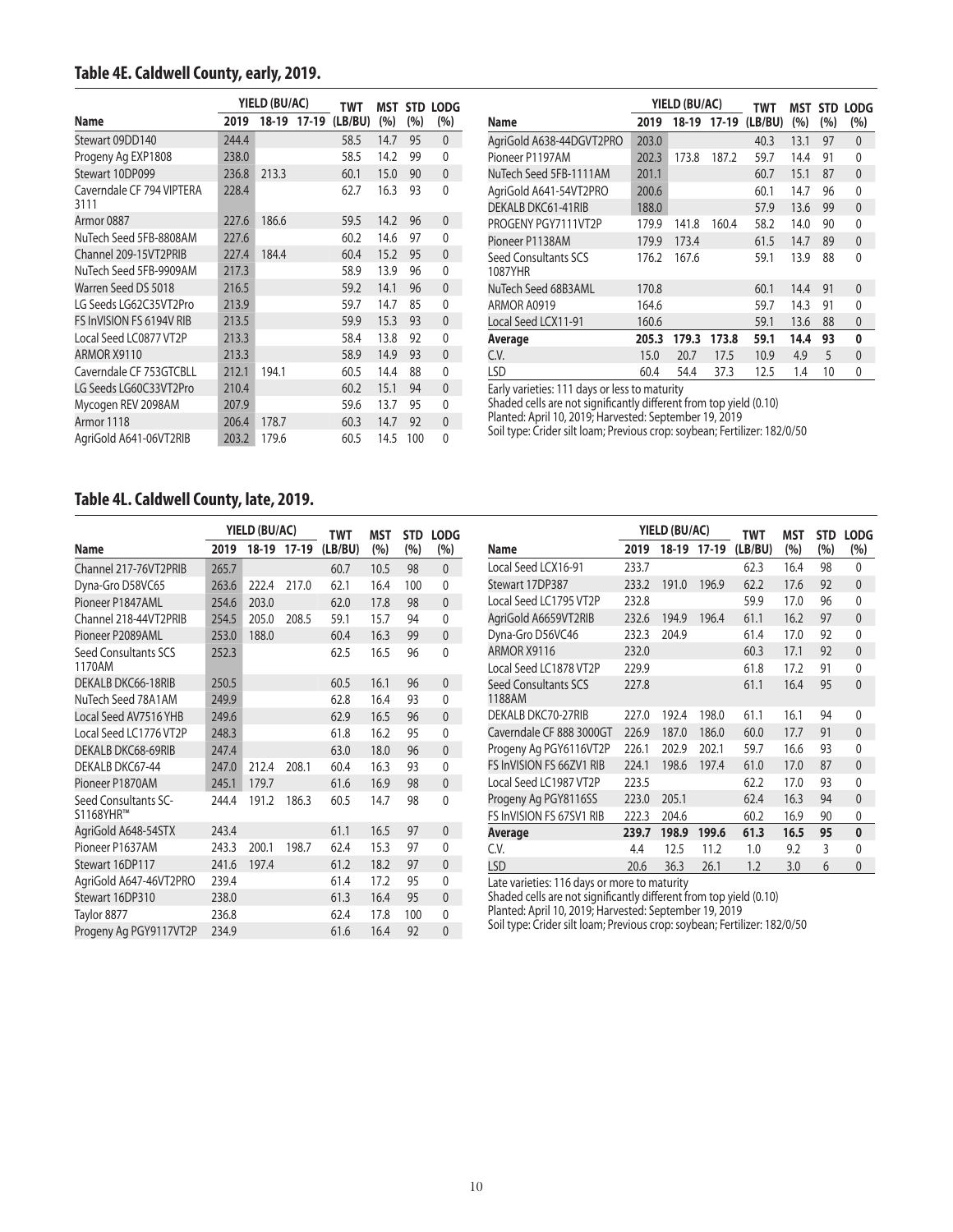#### **Table 4E. Caldwell County, early, 2019.**

|                                   |       | YIELD (BU/AC) |             | TWT     | MST  |     | STD LODG     |
|-----------------------------------|-------|---------------|-------------|---------|------|-----|--------------|
| Name                              | 2019  |               | 18-19 17-19 | (LB/BU) | (%)  | (%) | (%)          |
| Stewart 09DD140                   | 244.4 |               |             | 58.5    | 14.7 | 95  | $\mathbf{0}$ |
| Progeny Ag EXP1808                | 238.0 |               |             | 58.5    | 14.2 | 99  | $\Omega$     |
| Stewart 10DP099                   | 236.8 | 213.3         |             | 60.1    | 15.0 | 90  | $\mathbf{0}$ |
| Caverndale CF 794 VIPTERA<br>3111 | 228.4 |               |             | 62.7    | 16.3 | 93  | 0            |
| Armor 0887                        | 227.6 | 186.6         |             | 59.5    | 14.2 | 96  | 0            |
| NuTech Seed 5FB-8808AM            | 227.6 |               |             | 60.2    | 14.6 | 97  | 0            |
| Channel 209-15VT2PRIB             | 227.4 | 184.4         |             | 60.4    | 15.2 | 95  | $\mathbf{0}$ |
| NuTech Seed 5FB-9909AM            | 217.3 |               |             | 58.9    | 13.9 | 96  | 0            |
| Warren Seed DS 5018               | 216.5 |               |             | 59.2    | 14.1 | 96  | $\mathbf{0}$ |
| LG Seeds LG62C35VT2Pro            | 213.9 |               |             | 59.7    | 14.7 | 85  | 0            |
| FS InVISION FS 6194V RIB          | 213.5 |               |             | 59.9    | 15.3 | 93  | $\mathbf{0}$ |
| Local Seed LC0877 VT2P            | 213.3 |               |             | 58.4    | 13.8 | 92  | 0            |
| ARMOR X9110                       | 213.3 |               |             | 58.9    | 14.9 | 93  | $\mathbf{0}$ |
| Caverndale CF 753GTCBLL           | 212.1 | 194.1         |             | 60.5    | 14.4 | 88  | 0            |
| LG Seeds LG60C33VT2Pro            | 210.4 |               |             | 60.2    | 15.1 | 94  | $\mathbf{0}$ |
| Mycogen REV 2098AM                | 207.9 |               |             | 59.6    | 13.7 | 95  | 0            |
| Armor 1118                        | 206.4 | 178.7         |             | 60.3    | 14.7 | 92  | $\mathbf{0}$ |
| AgriGold A641-06VT2RIB            | 203.2 | 179.6         |             | 60.5    | 14.5 | 100 | 0            |

|                                 |       | YIELD (BU/AC) |       | TWT                 | MST  |     | STD LODG     |
|---------------------------------|-------|---------------|-------|---------------------|------|-----|--------------|
| Name                            | 2019  |               |       | 18-19 17-19 (LB/BU) | (%)  | (%) | (%)          |
| AgriGold A638-44DGVT2PRO        | 203.0 |               |       | 40.3                | 13.1 | 97  | $\mathbf{0}$ |
| Pioneer P1197AM                 | 202.3 | 173.8         | 187.2 | 59.7                | 14.4 | 91  | $\mathbf{0}$ |
| NuTech Seed 5FB-1111AM          | 201.1 |               |       | 60.7                | 15.1 | 87  | $\mathbf{0}$ |
| AgriGold A641-54VT2PRO          | 200.6 |               |       | 60.1                | 14.7 | 96  | 0            |
| DEKALB DKC61-41RIB              | 188.0 |               |       | 57.9                | 13.6 | 99  | $\mathbf{0}$ |
| PROGENY PGY7111VT2P             | 179.9 | 141.8         | 160.4 | 58.2                | 14.0 | 90  | $\mathbf{0}$ |
| Pioneer P1138AM                 | 179.9 | 173.4         |       | 61.5                | 14.7 | 89  | $\mathbf{0}$ |
| Seed Consultants SCS<br>1087YHR | 176.2 | 167.6         |       | 59.1                | 13.9 | 88  | 0            |
| NuTech Seed 68B3AML             | 170.8 |               |       | 60.1                | 14.4 | 91  | $\mathbf{0}$ |
| ARMOR A0919                     | 164.6 |               |       | 59.7                | 14.3 | 91  | 0            |
| Local Seed LCX11-91             | 160.6 |               |       | 59.1                | 13.6 | 88  | $\mathbf{0}$ |
| Average                         | 205.3 | 179.3         | 173.8 | 59.1                | 14.4 | 93  | 0            |
| C.V.                            | 15.0  | 20.7          | 17.5  | 10.9                | 4.9  | 5   | $\mathbf{0}$ |
| <b>LSD</b>                      | 60.4  | 54.4          | 37.3  | 12.5                | 1.4  | 10  | 0            |

Early varieties: 111 days or less to maturity

Shaded cells are not significantly different from top yield (0.10)

Planted: April 10, 2019; Harvested: September 19, 2019

Soil type: Crider silt loam; Previous crop: soybean; Fertilizer: 182/0/50

## **Table 4L. Caldwell County, late, 2019.**

|                                   |       | YIELD (BU/AC) |         | <b>TWT</b> | MST  | <b>STD</b> | <b>LODG</b>  |
|-----------------------------------|-------|---------------|---------|------------|------|------------|--------------|
| Name                              | 2019  | 18-19         | $17-19$ | (LB/BU)    | (%)  | (%)        | (%)          |
| Channel 217-76VT2PRIB             | 265.7 |               |         | 60.7       | 10.5 | 98         | $\mathbf{0}$ |
| Dyna-Gro D58VC65                  | 263.6 | 222.4         | 217.0   | 62.1       | 16.4 | 100        | 0            |
| Pioneer P1847AML                  | 254.6 | 203.0         |         | 62.0       | 17.8 | 98         | $\mathbf{0}$ |
| Channel 218-44VT2PRIB             | 254.5 | 205.0         | 208.5   | 59.1       | 15.7 | 94         | 0            |
| Pioneer P2089AML                  | 253.0 | 188.0         |         | 60.4       | 16.3 | 99         | $\mathbf{0}$ |
| Seed Consultants SCS<br>1170AM    | 252.3 |               |         | 62.5       | 16.5 | 96         | 0            |
| DEKALB DKC66-18RIB                | 250.5 |               |         | 60.5       | 16.1 | 96         | $\mathbf{0}$ |
| NuTech Seed 78A1AM                | 249.9 |               |         | 62.8       | 16.4 | 93         | $\mathbf{0}$ |
| Local Seed AV7516 YHB             | 249.6 |               |         | 62.9       | 16.5 | 96         | $\mathbf{0}$ |
| Local Seed LC1776 VT2P            | 248.3 |               |         | 61.8       | 16.2 | 95         | $\mathbf{0}$ |
| DEKALB DKC68-69RIB                | 247.4 |               |         | 63.0       | 18.0 | 96         | $\mathbf{0}$ |
| DEKALB DKC67-44                   | 247.0 | 212.4         | 208.1   | 60.4       | 16.3 | 93         | $\mathbf{0}$ |
| Pioneer P1870AM                   | 245.1 | 179.7         |         | 61.6       | 16.9 | 98         | $\mathbf{0}$ |
| Seed Consultants SC-<br>S1168YHR™ | 244.4 | 191.2         | 186.3   | 60.5       | 14.7 | 98         | $\Omega$     |
| AgriGold A648-54STX               | 243.4 |               |         | 61.1       | 16.5 | 97         | $\mathbf{0}$ |
| Pioneer P1637AM                   | 243.3 | 200.1         | 198.7   | 62.4       | 15.3 | 97         | 0            |
| Stewart 16DP117                   | 241.6 | 197.4         |         | 61.2       | 18.2 | 97         | $\mathbf{0}$ |
| AgriGold A647-46VT2PRO            | 239.4 |               |         | 61.4       | 17.2 | 95         | 0            |
| Stewart 16DP310                   | 238.0 |               |         | 61.3       | 16.4 | 95         | $\mathbf{0}$ |
| Taylor 8877                       | 236.8 |               |         | 62.4       | 17.8 | 100        | 0            |
| Progeny Ag PGY9117VT2P            | 234.9 |               |         | 61.6       | 16.4 | 92         | 0            |

|                                |       | YIELD (BU/AC) |             | TWT     | MST  | <b>STD</b> | <b>LODG</b>  |
|--------------------------------|-------|---------------|-------------|---------|------|------------|--------------|
| Name                           | 2019  |               | 18-19 17-19 | (LB/BU) | (%)  | (%)        | (%)          |
| Local Seed LCX16-91            | 233.7 |               |             | 62.3    | 16.4 | 98         | 0            |
| Stewart 17DP387                | 233.2 | 191.0         | 196.9       | 62.2    | 17.6 | 92         | $\mathbf{0}$ |
| Local Seed LC1795 VT2P         | 232.8 |               |             | 59.9    | 17.0 | 96         | $\Omega$     |
| AgriGold A6659VT2RIB           | 232.6 | 194.9         | 196.4       | 61.1    | 16.2 | 97         | $\mathbf{0}$ |
| Dyna-Gro D56VC46               | 232.3 | 204.9         |             | 61.4    | 17.0 | 92         | $\mathbf{0}$ |
| ARMOR X9116                    | 232.0 |               |             | 60.3    | 17.1 | 92         | $\mathbf{0}$ |
| Local Seed LC1878 VT2P         | 229.9 |               |             | 61.8    | 17.2 | 91         | $\Omega$     |
| Seed Consultants SCS<br>1188AM | 227.8 |               |             | 61.1    | 16.4 | 95         | $\Omega$     |
| DEKALB DKC70-27RIB             | 227.0 | 192.4         | 198.0       | 61.1    | 16.1 | 94         | 0            |
| Caverndale CF 888 3000GT       | 226.9 | 187.0         | 186.0       | 60.0    | 17.7 | 91         | $\mathbf{0}$ |
| Progeny Ag PGY6116VT2P         | 226.1 | 202.9         | 202.1       | 59.7    | 16.6 | 93         | $\mathbf{0}$ |
| FS InVISION FS 66ZV1 RIB       | 224.1 | 198.6         | 197.4       | 61.0    | 17.0 | 87         | $\mathbf{0}$ |
| Local Seed LC1987 VT2P         | 223.5 |               |             | 62.2    | 17.0 | 93         | 0            |
| Progeny Ag PGY8116SS           | 223.0 | 205.1         |             | 62.4    | 16.3 | 94         | $\mathbf{0}$ |
| FS InVISION FS 67SV1 RIB       | 222.3 | 204.6         |             | 60.2    | 16.9 | 90         | 0            |
| Average                        | 239.7 | 198.9         | 199.6       | 61.3    | 16.5 | 95         | $\bf{0}$     |
| C.V.                           | 4.4   | 12.5          | 11.2        | 1.0     | 9.2  | 3          | 0            |
| LSD                            | 20.6  | 36.3          | 26.1        | 1.2     | 3.0  | 6          | $\mathbf{0}$ |

Late varieties: 116 days or more to maturity

Shaded cells are not significantly different from top yield (0.10)

Planted: April 10, 2019; Harvested: September 19, 2019

Soil type: Crider silt loam; Previous crop: soybean; Fertilizer: 182/0/50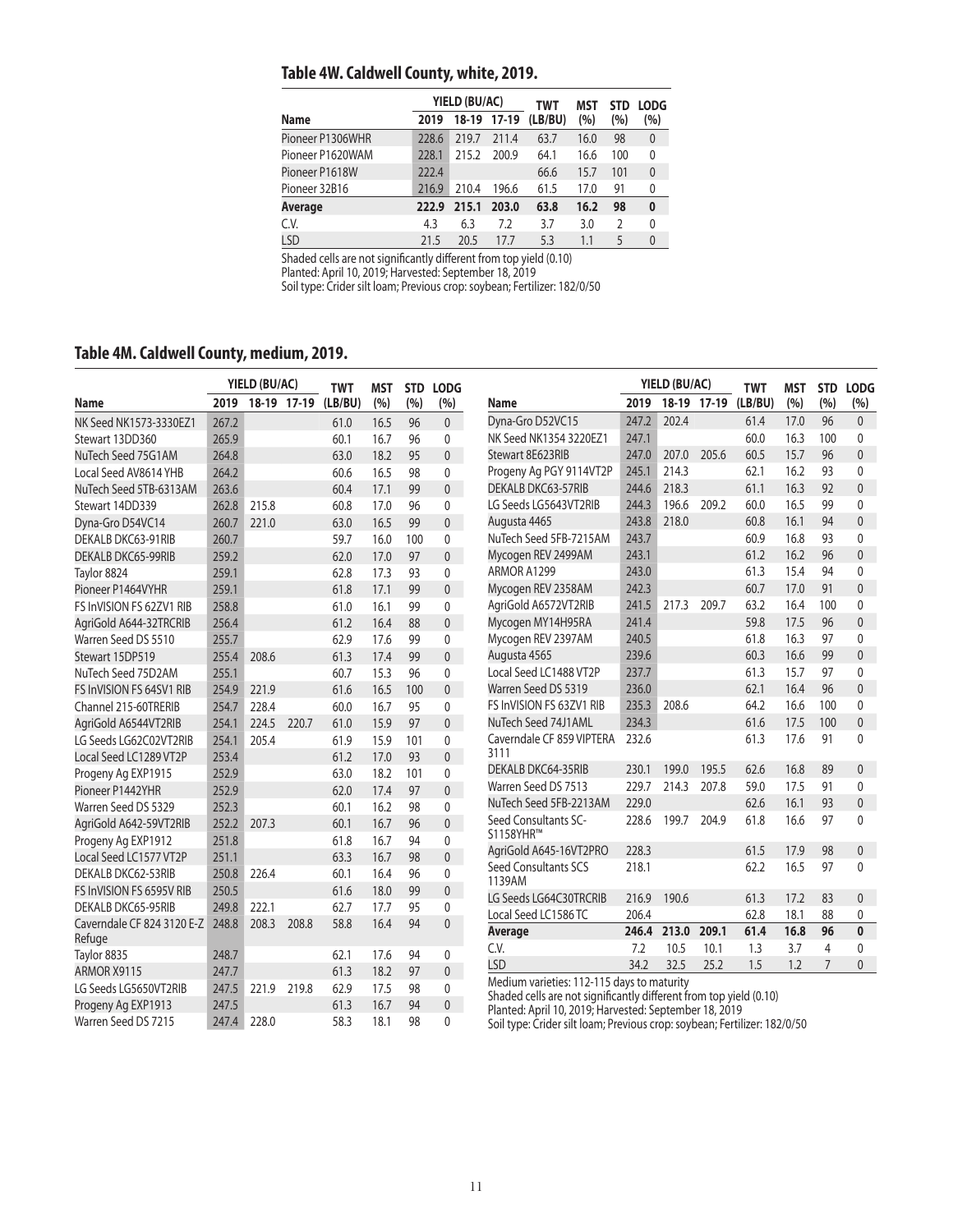## **Table 4W. Caldwell County, white, 2019.**

|                  |       | YIELD (BU/AC) |         | TWT     | MST  | <b>STD</b> | <b>LODG</b>  |
|------------------|-------|---------------|---------|---------|------|------------|--------------|
| <b>Name</b>      | 2019  | 18-19         | $17-19$ | (LB/BU) | (%)  | (%)        | $(\% )$      |
| Pioneer P1306WHR | 228.6 | 219.7         | 211.4   | 63.7    | 16.0 | 98         | $\theta$     |
| Pioneer P1620WAM | 228.1 | 215.2         | 200.9   | 64.1    | 16.6 | 100        | $\mathbf{0}$ |
| Pioneer P1618W   | 222.4 |               |         | 66.6    | 15.7 | 101        | $\theta$     |
| Pioneer 32B16    | 216.9 | 210.4         | 196.6   | 61.5    | 17.0 | 91         | 0            |
| Average          | 222.9 | 215.1         | 203.0   | 63.8    | 16.2 | 98         | $\bf{0}$     |
| C.V.             | 4.3   | 6.3           | 7.2     | 3.7     | 3.0  | 2          | 0            |
| LSD              | 21.5  | 20.5          | 17.7    | 5.3     | 1.1  | 5          | $\mathbf{0}$ |

Shaded cells are not significantly different from top yield (0.10)

Planted: April 10, 2019; Harvested: September 18, 2019

Soil type: Crider silt loam; Previous crop: soybean; Fertilizer: 182/0/50

## **Table 4M. Caldwell County, medium, 2019.**

|                                      | YIELD (BU/AC) |       |             |                       | MST  | <b>STD</b> | <b>LODG</b>    |                                                                                                                              | YIELD (BU/AC)<br><b>TWT</b> |       | <b>MST</b>  | <b>STD</b> | <b>LODG</b> |                |              |
|--------------------------------------|---------------|-------|-------------|-----------------------|------|------------|----------------|------------------------------------------------------------------------------------------------------------------------------|-----------------------------|-------|-------------|------------|-------------|----------------|--------------|
| Name                                 | 2019          |       | 18-19 17-19 | <b>TWT</b><br>(LB/BU) | (%)  | (%)        | (%)            | Name                                                                                                                         | 2019                        |       | 18-19 17-19 | (LB/BU)    | (%)         | (%)            | (%)          |
| NK Seed NK1573-3330EZ1               | 267.2         |       |             | 61.0                  | 16.5 | 96         | $\mathbf{0}$   | Dyna-Gro D52VC15                                                                                                             | 247.2                       | 202.4 |             | 61.4       | 17.0        | 96             | $\mathbf{0}$ |
| Stewart 13DD360                      | 265.9         |       |             | 60.1                  | 16.7 | 96         | $\mathbf{0}$   | NK Seed NK1354 3220EZ1                                                                                                       | 247.1                       |       |             | 60.0       | 16.3        | 100            | $\mathbf{0}$ |
| NuTech Seed 75G1AM                   | 264.8         |       |             | 63.0                  | 18.2 | 95         | $\mathbf{0}$   | Stewart 8E623RIB                                                                                                             | 247.0                       | 207.0 | 205.6       | 60.5       | 15.7        | 96             | $\mathbf{0}$ |
| Local Seed AV8614 YHB                | 264.2         |       |             | 60.6                  | 16.5 | 98         | $\mathbf{0}$   | Progeny Ag PGY 9114VT2P                                                                                                      | 245.1                       | 214.3 |             | 62.1       | 16.2        | 93             | $\Omega$     |
| NuTech Seed 5TB-6313AM               | 263.6         |       |             | 60.4                  | 17.1 | 99         | $\mathbf{0}$   | <b>DEKALB DKC63-57RIB</b>                                                                                                    | 244.6                       | 218.3 |             | 61.1       | 16.3        | 92             | $\mathbf{0}$ |
| Stewart 14DD339                      | 262.8         | 215.8 |             | 60.8                  | 17.0 | 96         | $\mathbf{0}$   | LG Seeds LG5643VT2RIB                                                                                                        | 244.3                       | 196.6 | 209.2       | 60.0       | 16.5        | 99             | $\mathbf{0}$ |
| Dyna-Gro D54VC14                     | 260.7         | 221.0 |             | 63.0                  | 16.5 | 99         | $\mathbf{0}$   | Augusta 4465                                                                                                                 | 243.8                       | 218.0 |             | 60.8       | 16.1        | 94             | $\mathbf{0}$ |
| DEKALB DKC63-91RIB                   | 260.7         |       |             | 59.7                  | 16.0 | 100        | $\mathbf{0}$   | NuTech Seed 5FB-7215AM                                                                                                       | 243.7                       |       |             | 60.9       | 16.8        | 93             | $\mathbf{0}$ |
| <b>DEKALB DKC65-99RIB</b>            | 259.2         |       |             | 62.0                  | 17.0 | 97         | $\Omega$       | Mycogen REV 2499AM                                                                                                           | 243.1                       |       |             | 61.2       | 16.2        | 96             | $\mathbf{0}$ |
| Taylor 8824                          | 259.1         |       |             | 62.8                  | 17.3 | 93         | 0              | ARMOR A1299                                                                                                                  | 243.0                       |       |             | 61.3       | 15.4        | 94             | $\mathbf{0}$ |
| Pioneer P1464VYHR                    | 259.1         |       |             | 61.8                  | 17.1 | 99         | $\mathbf{0}$   | Mycogen REV 2358AM                                                                                                           | 242.3                       |       |             | 60.7       | 17.0        | 91             | $\Omega$     |
| FS InVISION FS 62ZV1 RIB             | 258.8         |       |             | 61.0                  | 16.1 | 99         | 0              | AgriGold A6572VT2RIB                                                                                                         | 241.5                       | 217.3 | 209.7       | 63.2       | 16.4        | 100            | $\mathbf{0}$ |
| AgriGold A644-32TRCRIB               | 256.4         |       |             | 61.2                  | 16.4 | 88         | $\mathbf{0}$   | Mycogen MY14H95RA                                                                                                            | 241.4                       |       |             | 59.8       | 17.5        | 96             | $\Omega$     |
| Warren Seed DS 5510                  | 255.7         |       |             | 62.9                  | 17.6 | 99         | $\mathbf{0}$   | Mycogen REV 2397AM                                                                                                           | 240.5                       |       |             | 61.8       | 16.3        | 97             | $\mathbf{0}$ |
| Stewart 15DP519                      | 255.4         | 208.6 |             | 61.3                  | 17.4 | 99         | $\mathbf{0}$   | Augusta 4565                                                                                                                 | 239.6                       |       |             | 60.3       | 16.6        | 99             | $\mathbf{0}$ |
| NuTech Seed 75D2AM                   | 255.1         |       |             | 60.7                  | 15.3 | 96         | $\mathbf{0}$   | Local Seed LC1488 VT2P                                                                                                       | 237.7                       |       |             | 61.3       | 15.7        | 97             | $\mathbf{0}$ |
| FS InVISION FS 64SV1 RIB             | 254.9         | 221.9 |             | 61.6                  | 16.5 | 100        | $\overline{0}$ | Warren Seed DS 5319                                                                                                          | 236.0                       |       |             | 62.1       | 16.4        | 96             | $\mathbf{0}$ |
| Channel 215-60TRERIB                 | 254.7         | 228.4 |             | 60.0                  | 16.7 | 95         | $\mathbf{0}$   | FS InVISION FS 63ZV1 RIB                                                                                                     | 235.3                       | 208.6 |             | 64.2       | 16.6        | 100            | $\mathbf{0}$ |
| AgriGold A6544VT2RIB                 | 254.1         | 224.5 | 220.7       | 61.0                  | 15.9 | 97         | $\mathbf{0}$   | NuTech Seed 74J1AML                                                                                                          | 234.3                       |       |             | 61.6       | 17.5        | 100            | $\mathbf{0}$ |
| LG Seeds LG62C02VT2RIB               | 254.1         | 205.4 |             | 61.9                  | 15.9 | 101        | $\mathbf{0}$   | Caverndale CF 859 VIPTERA                                                                                                    | 232.6                       |       |             | 61.3       | 17.6        | 91             | $\Omega$     |
| Local Seed LC1289 VT2P               | 253.4         |       |             | 61.2                  | 17.0 | 93         | $\mathbf{0}$   | 3111                                                                                                                         |                             |       |             |            |             |                |              |
| Progeny Ag EXP1915                   | 252.9         |       |             | 63.0                  | 18.2 | 101        | $\mathbf{0}$   | DEKALB DKC64-35RIB                                                                                                           | 230.1                       | 199.0 | 195.5       | 62.6       | 16.8        | 89             | $\mathbf{0}$ |
| Pioneer P1442YHR                     | 252.9         |       |             | 62.0                  | 17.4 | 97         | $\mathbf{0}$   | Warren Seed DS 7513                                                                                                          | 229.7                       | 214.3 | 207.8       | 59.0       | 17.5        | 91             | $\mathbf{0}$ |
| Warren Seed DS 5329                  | 252.3         |       |             | 60.1                  | 16.2 | 98         | $\mathbf{0}$   | NuTech Seed 5FB-2213AM                                                                                                       | 229.0                       |       |             | 62.6       | 16.1        | 93             | $\mathbf{0}$ |
| AgriGold A642-59VT2RIB               | 252.2         | 207.3 |             | 60.1                  | 16.7 | 96         | $\mathbf{0}$   | Seed Consultants SC-                                                                                                         | 228.6                       | 199.7 | 204.9       | 61.8       | 16.6        | 97             | $\mathbf{0}$ |
| Progeny Ag EXP1912                   | 251.8         |       |             | 61.8                  | 16.7 | 94         | $\mathbf{0}$   | S1158YHR™<br>AgriGold A645-16VT2PRO                                                                                          | 228.3                       |       |             | 61.5       | 17.9        | 98             | $\mathbf{0}$ |
| Local Seed LC1577 VT2P               | 251.1         |       |             | 63.3                  | 16.7 | 98         | $\Omega$       | Seed Consultants SCS                                                                                                         | 218.1                       |       |             | 62.2       | 16.5        | 97             | $\Omega$     |
| DEKALB DKC62-53RIB                   | 250.8         | 226.4 |             | 60.1                  | 16.4 | 96         | 0              | 1139AM                                                                                                                       |                             |       |             |            |             |                |              |
| FS InVISION FS 6595V RIB             | 250.5         |       |             | 61.6                  | 18.0 | 99         | $\mathbf{0}$   | LG Seeds LG64C30TRCRIB                                                                                                       | 216.9                       | 190.6 |             | 61.3       | 17.2        | 83             | $\mathbf{0}$ |
| <b>DEKALB DKC65-95RIB</b>            | 249.8         | 222.1 |             | 62.7                  | 17.7 | 95         | 0              | Local Seed LC1586 TC                                                                                                         | 206.4                       |       |             | 62.8       | 18.1        | 88             | 0            |
| Caverndale CF 824 3120 E-Z<br>Refuge | 248.8         | 208.3 | 208.8       | 58.8                  | 16.4 | 94         | $\Omega$       | <b>Average</b>                                                                                                               | 246.4                       | 213.0 | 209.1       | 61.4       | 16.8        | 96             | $\mathbf{0}$ |
| Taylor 8835                          | 248.7         |       |             | 62.1                  | 17.6 | 94         | $\mathbf{0}$   | C.V.                                                                                                                         | 7.2                         | 10.5  | 10.1        | 1.3        | 3.7         | $\overline{4}$ | 0            |
| ARMOR X9115                          | 247.7         |       |             | 61.3                  | 18.2 | 97         | $\mathbf{0}$   | <b>LSD</b>                                                                                                                   | 34.2                        | 32.5  | 25.2        | 1.5        | 1.2         | $\overline{7}$ | $\mathbf{0}$ |
| LG Seeds LG5650VT2RIB                | 247.5         | 221.9 | 219.8       | 62.9                  | 17.5 | 98         | $\mathbf{0}$   | Medium varieties: 112-115 days to maturity                                                                                   |                             |       |             |            |             |                |              |
| Progeny Ag EXP1913                   | 247.5         |       |             | 61.3                  | 16.7 | 94         | $\mathbf{0}$   | Shaded cells are not significantly different from top yield (0.10)<br>Planted: April 10, 2019; Harvested: September 18, 2019 |                             |       |             |            |             |                |              |
| Warren Seed DS 7215                  | 247.4         | 228.0 |             | 58.3                  | 18.1 | 98         | $\Omega$       | Soil type: Crider silt loam; Previous crop: soybean; Fertilizer: 182/0/50                                                    |                             |       |             |            |             |                |              |

Soil type: Crider silt loam; Previous crop: soybean; Fertilizer: 182/0/50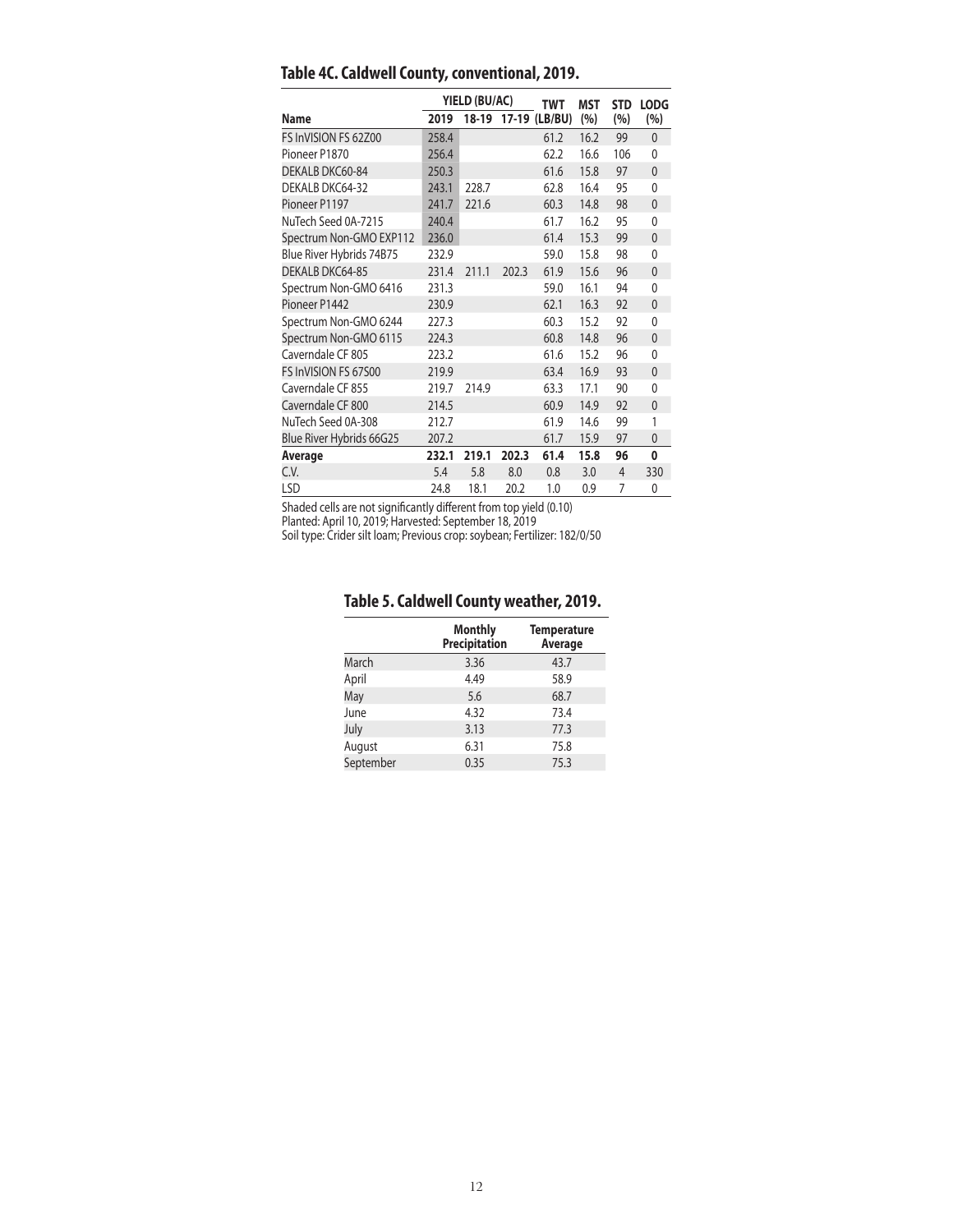|                          |       | YIELD (BU/AC) |       | TWT                 | <b>MST</b> | <b>STD</b>     | <b>LODG</b>  |
|--------------------------|-------|---------------|-------|---------------------|------------|----------------|--------------|
| Name                     | 2019  |               |       | 18-19 17-19 (LB/BU) | (%)        | (%)            | (%)          |
| FS InVISION FS 62Z00     | 258.4 |               |       | 61.2                | 16.2       | 99             | $\mathbf{0}$ |
| Pioneer P1870            | 256.4 |               |       | 62.2                | 16.6       | 106            | $\mathbf{0}$ |
| DEKALB DKC60-84          | 250.3 |               |       | 61.6                | 15.8       | 97             | $\mathbf{0}$ |
| DEKALB DKC64-32          | 243.1 | 228.7         |       | 62.8                | 16.4       | 95             | 0            |
| Pioneer P1197            | 241.7 | 221.6         |       | 60.3                | 14.8       | 98             | $\mathbf{0}$ |
| NuTech Seed 0A-7215      | 240.4 |               |       | 61.7                | 16.2       | 95             | $\mathbf{0}$ |
| Spectrum Non-GMO EXP112  | 236.0 |               |       | 61.4                | 15.3       | 99             | $\mathbf{0}$ |
| Blue River Hybrids 74B75 | 232.9 |               |       | 59.0                | 15.8       | 98             | $\mathbf{0}$ |
| DEKALB DKC64-85          | 231.4 | 211.1         | 202.3 | 61.9                | 15.6       | 96             | $\mathbf{0}$ |
| Spectrum Non-GMO 6416    | 231.3 |               |       | 59.0                | 16.1       | 94             | $\mathbf{0}$ |
| Pioneer P1442            | 230.9 |               |       | 62.1                | 16.3       | 92             | $\mathbf{0}$ |
| Spectrum Non-GMO 6244    | 227.3 |               |       | 60.3                | 15.2       | 92             | 0            |
| Spectrum Non-GMO 6115    | 224.3 |               |       | 60.8                | 14.8       | 96             | $\mathbf{0}$ |
| Caverndale CF 805        | 223.2 |               |       | 61.6                | 15.2       | 96             | 0            |
| FS InVISION FS 67500     | 219.9 |               |       | 63.4                | 16.9       | 93             | $\mathbf{0}$ |
| Caverndale CF 855        | 219.7 | 214.9         |       | 63.3                | 17.1       | 90             | 0            |
| Caverndale CF 800        | 214.5 |               |       | 60.9                | 14.9       | 92             | $\mathbf{0}$ |
| NuTech Seed 0A-308       | 212.7 |               |       | 61.9                | 14.6       | 99             | 1            |
| Blue River Hybrids 66G25 | 207.2 |               |       | 61.7                | 15.9       | 97             | 0            |
| Average                  | 232.1 | 219.1         | 202.3 | 61.4                | 15.8       | 96             | 0            |
| C.V.                     | 5.4   | 5.8           | 8.0   | 0.8                 | 3.0        | $\overline{4}$ | 330          |
| LSD                      | 24.8  | 18.1          | 20.2  | 1.0                 | 0.9        | 7              | 0            |

## **Table 4C. Caldwell County, conventional, 2019.**

Shaded cells are not significantly different from top yield (0.10)

Planted: April 10, 2019; Harvested: September 18, 2019

Soil type: Crider silt loam; Previous crop: soybean; Fertilizer: 182/0/50

## **Table 5. Caldwell County weather, 2019.**

|           | <b>Monthly</b><br><b>Precipitation</b> | <b>Temperature</b><br>Average |
|-----------|----------------------------------------|-------------------------------|
| March     | 3.36                                   | 43.7                          |
| April     | 4.49                                   | 58.9                          |
| May       | 5.6                                    | 68.7                          |
| June      | 4.32                                   | 73.4                          |
| July      | 3.13                                   | 77.3                          |
| August    | 6.31                                   | 75.8                          |
| September | 0.35                                   | 75.3                          |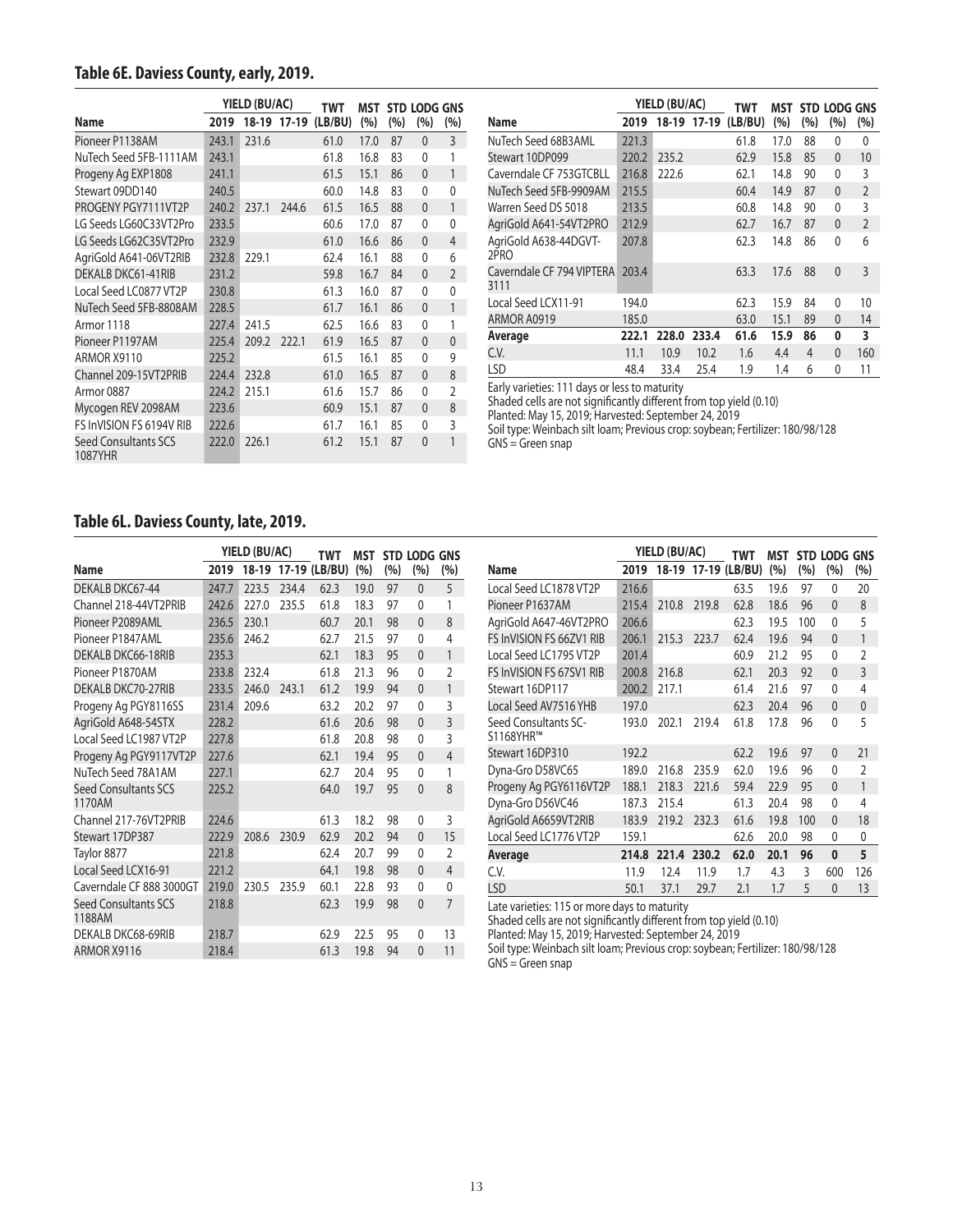## **Table 6E. Daviess County, early, 2019.**

|                                 |       | YIELD (BU/AC) |             | TWT     | MST  |     |              | STD LODG GNS   |
|---------------------------------|-------|---------------|-------------|---------|------|-----|--------------|----------------|
| Name                            | 2019  |               | 18-19 17-19 | (LB/BU) | (%)  | (%) | (%)          | (%)            |
| Pioneer P1138AM                 | 243.1 | 231.6         |             | 61.0    | 17.0 | 87  | $\Omega$     | 3              |
| NuTech Seed 5FB-1111AM          | 243.1 |               |             | 61.8    | 16.8 | 83  | 0            | 1              |
| Progeny Ag EXP1808              | 241.1 |               |             | 61.5    | 15.1 | 86  | $\mathbf{0}$ | 1              |
| Stewart 09DD140                 | 240.5 |               |             | 60.0    | 14.8 | 83  | 0            | 0              |
| PROGENY PGY7111VT2P             | 240.2 | 237.1         | 244.6       | 61.5    | 16.5 | 88  | 0            | 1              |
| LG Seeds LG60C33VT2Pro          | 233.5 |               |             | 60.6    | 17.0 | 87  | 0            | 0              |
| LG Seeds LG62C35VT2Pro          | 232.9 |               |             | 61.0    | 16.6 | 86  | $\mathbf{0}$ | $\overline{4}$ |
| AgriGold A641-06VT2RIB          | 232.8 | 229.1         |             | 62.4    | 16.1 | 88  | 0            | 6              |
| DEKALB DKC61-41RIB              | 231.2 |               |             | 59.8    | 16.7 | 84  | $\mathbf{0}$ | $\overline{2}$ |
| Local Seed LC0877 VT2P          | 230.8 |               |             | 61.3    | 16.0 | 87  | 0            | 0              |
| NuTech Seed 5FB-8808AM          | 228.5 |               |             | 61.7    | 16.1 | 86  | $\mathbf{0}$ | 1              |
| Armor 1118                      | 227.4 | 241.5         |             | 62.5    | 16.6 | 83  | 0            | 1              |
| Pioneer P1197AM                 | 225.4 | 209.2         | 222.1       | 61.9    | 16.5 | 87  | $\mathbf{0}$ | $\overline{0}$ |
| ARMOR X9110                     | 225.2 |               |             | 61.5    | 16.1 | 85  | 0            | 9              |
| Channel 209-15VT2PRIB           | 224.4 | 232.8         |             | 61.0    | 16.5 | 87  | $\mathbf{0}$ | 8              |
| Armor 0887                      | 224.2 | 215.1         |             | 61.6    | 15.7 | 86  | 0            | $\overline{2}$ |
| Mycogen REV 2098AM              | 223.6 |               |             | 60.9    | 15.1 | 87  | $\mathbf{0}$ | 8              |
| FS InVISION FS 6194V RIB        | 222.6 |               |             | 61.7    | 16.1 | 85  | 0            | 3              |
| Seed Consultants SCS<br>1087YHR | 222.0 | 226.1         |             | 61.2    | 15.1 | 87  | 0            | 1              |

|                                   |       | YIELD (BU/AC) |             | TWT     | MST  |     | STD LODG GNS |                |
|-----------------------------------|-------|---------------|-------------|---------|------|-----|--------------|----------------|
| <b>Name</b>                       | 2019  |               | 18-19 17-19 | (LB/BU) | (%)  | (%) | (%)          | (%)            |
| NuTech Seed 68B3AML               | 221.3 |               |             | 61.8    | 17.0 | 88  | 0            | 0              |
| Stewart 10DP099                   | 220.2 | 235.2         |             | 62.9    | 15.8 | 85  | $\mathbf{0}$ | 10             |
| Caverndale CF 753GTCBLL           | 216.8 | 222.6         |             | 62.1    | 14.8 | 90  | 0            | 3              |
| NuTech Seed 5FB-9909AM            | 215.5 |               |             | 60.4    | 14.9 | 87  | $\mathbf{0}$ | $\overline{2}$ |
| Warren Seed DS 5018               | 213.5 |               |             | 60.8    | 14.8 | 90  | 0            | 3              |
| AgriGold A641-54VT2PRO            | 212.9 |               |             | 62.7    | 16.7 | 87  | $\mathbf{0}$ | $\overline{2}$ |
| AgriGold A638-44DGVT-<br>2PRO     | 207.8 |               |             | 62.3    | 14.8 | 86  | $\Omega$     | 6              |
| Caverndale CF 794 VIPTERA<br>3111 | 203.4 |               |             | 63.3    | 17.6 | 88  | $\mathbf{0}$ | 3              |
| Local Seed LCX11-91               | 194.0 |               |             | 62.3    | 15.9 | 84  | 0            | 10             |
| ARMOR A0919                       | 185.0 |               |             | 63.0    | 15.1 | 89  | 0            | 14             |
| Average                           | 222.1 | 228.0         | 233.4       | 61.6    | 15.9 | 86  | 0            | 3              |
| C.V.                              | 11.1  | 10.9          | 10.2        | 1.6     | 4.4  | 4   | $\mathbf{0}$ | 160            |
| <b>LSD</b>                        | 48.4  | 33.4          | 25.4        | 1.9     | 1.4  | 6   | 0            | 11             |

Early varieties: 111 days or less to maturity

Shaded cells are not significantly different from top yield (0.10)

Planted: May 15, 2019; Harvested: September 24, 2019

Soil type: Weinbach silt loam; Previous crop: soybean; Fertilizer: 180/98/128  $GNS =$  Green snap

#### **Table 6L. Daviess County, late, 2019.**

|                                       |       | YIELD (BU/AC) |       | <b>TWT</b>          | <b>MST</b> |     | STD LODG GNS |                |
|---------------------------------------|-------|---------------|-------|---------------------|------------|-----|--------------|----------------|
| <b>Name</b>                           | 2019  |               |       | 18-19 17-19 (LB/BU) | (%)        | (%) | (%)          | (%)            |
| DEKALB DKC67-44                       | 247.7 | 223.5         | 234.4 | 62.3                | 19.0       | 97  | $\mathbf{0}$ | 5              |
| Channel 218-44VT2PRIB                 | 242.6 | 227.0         | 235.5 | 61.8                | 18.3       | 97  | 0            | 1              |
| Pioneer P2089AML                      | 236.5 | 230.1         |       | 60.7                | 20.1       | 98  | $\mathbf{0}$ | 8              |
| Pioneer P1847AML                      | 235.6 | 246.2         |       | 62.7                | 21.5       | 97  | $\mathbf{0}$ | 4              |
| DEKALB DKC66-18RIB                    | 235.3 |               |       | 62.1                | 18.3       | 95  | $\mathbf{0}$ | 1              |
| Pioneer P1870AM                       | 233.8 | 232.4         |       | 61.8                | 21.3       | 96  | $\mathbf{0}$ | $\overline{2}$ |
| <b>DEKALB DKC70-27RIB</b>             | 233.5 | 246.0         | 243.1 | 61.2                | 19.9       | 94  | $\mathbf{0}$ | 1              |
| Progeny Ag PGY8116SS                  | 231.4 | 209.6         |       | 63.2                | 20.2       | 97  | $\mathbf{0}$ | 3              |
| AgriGold A648-54STX                   | 228.2 |               |       | 61.6                | 20.6       | 98  | $\mathbf{0}$ | 3              |
| Local Seed LC1987 VT2P                | 227.8 |               |       | 61.8                | 20.8       | 98  | 0            | $\overline{3}$ |
| Progeny Ag PGY9117VT2P                | 227.6 |               |       | 62.1                | 19.4       | 95  | $\mathbf{0}$ | $\overline{4}$ |
| NuTech Seed 78A1AM                    | 227.1 |               |       | 62.7                | 20.4       | 95  | 0            | 1              |
| <b>Seed Consultants SCS</b><br>1170AM | 225.2 |               |       | 64.0                | 19.7       | 95  | $\mathbf{0}$ | 8              |
| Channel 217-76VT2PRIB                 | 224.6 |               |       | 61.3                | 18.2       | 98  | $\mathbf{0}$ | 3              |
| Stewart 17DP387                       | 222.9 | 208.6         | 230.9 | 62.9                | 20.2       | 94  | $\mathbf{0}$ | 15             |
| Taylor 8877                           | 221.8 |               |       | 62.4                | 20.7       | 99  | $\mathbf{0}$ | $\overline{2}$ |
| Local Seed LCX16-91                   | 221.2 |               |       | 64.1                | 19.8       | 98  | $\mathbf{0}$ | $\overline{4}$ |
| Caverndale CF 888 3000GT              | 219.0 | 230.5         | 235.9 | 60.1                | 22.8       | 93  | $\mathbf{0}$ | 0              |
| Seed Consultants SCS<br>1188AM        | 218.8 |               |       | 62.3                | 19.9       | 98  | $\mathbf{0}$ | $\overline{7}$ |
| DEKALB DKC68-69RIB                    | 218.7 |               |       | 62.9                | 22.5       | 95  | 0            | 13             |
| ARMOR X9116                           | 218.4 |               |       | 61.3                | 19.8       | 94  | $\mathbf{0}$ | 11             |

|                                   |       | YIELD (BU/AC) |       |                     | MST  |     | <b>STD LODG</b> | <b>GNS</b>     |
|-----------------------------------|-------|---------------|-------|---------------------|------|-----|-----------------|----------------|
| Name                              | 2019  |               |       | 18-19 17-19 (LB/BU) | (%)  | (%) | (%)             | (%)            |
| Local Seed LC1878 VT2P            | 216.6 |               |       | 63.5                | 19.6 | 97  | 0               | 20             |
| Pioneer P1637AM                   | 215.4 | 210.8         | 219.8 | 62.8                | 18.6 | 96  | $\mathbf{0}$    | 8              |
| AgriGold A647-46VT2PRO            | 206.6 |               |       | 62.3                | 19.5 | 100 | 0               | 5              |
| FS InVISION FS 66ZV1 RIB          | 206.1 | 215.3         | 223.7 | 62.4                | 19.6 | 94  | $\mathbf{0}$    | 1              |
| Local Seed LC1795 VT2P            | 201.4 |               |       | 60.9                | 21.2 | 95  | 0               | $\overline{2}$ |
| FS InVISION FS 67SV1 RIB          | 200.8 | 216.8         |       | 62.1                | 20.3 | 92  | 0               | 3              |
| Stewart 16DP117                   | 200.2 | 217.1         |       | 61.4                | 21.6 | 97  | 0               | 4              |
| Local Seed AV7516 YHB             | 197.0 |               |       | 62.3                | 20.4 | 96  | $\mathbf{0}$    | $\mathbf{0}$   |
| Seed Consultants SC-<br>S1168YHR™ | 193.0 | 202.1         | 219.4 | 61.8                | 17.8 | 96  | 0               | 5              |
| Stewart 16DP310                   | 192.2 |               |       | 62.2                | 19.6 | 97  | 0               | 21             |
| Dyna-Gro D58VC65                  | 189.0 | 216.8         | 235.9 | 62.0                | 19.6 | 96  | 0               | $\overline{2}$ |
| Progeny Ag PGY6116VT2P            | 188.1 | 218.3         | 221.6 | 59.4                | 22.9 | 95  | $\mathbf{0}$    | 1              |
| Dyna-Gro D56VC46                  | 187.3 | 215.4         |       | 61.3                | 20.4 | 98  | 0               | 4              |
| AgriGold A6659VT2RIB              | 183.9 | 219.2         | 232.3 | 61.6                | 19.8 | 100 | $\mathbf{0}$    | 18             |
| Local Seed LC1776 VT2P            | 159.1 |               |       | 62.6                | 20.0 | 98  | 0               | 0              |
| Average                           | 214.8 | 221.4         | 230.2 | 62.0                | 20.1 | 96  | 0               | 5              |
| C.V.                              | 11.9  | 12.4          | 11.9  | 1.7                 | 4.3  | 3   | 600             | 126            |
| <b>LSD</b>                        | 50.1  | 37.1          | 29.7  | 2.1                 | 1.7  | 5   | $\mathbf{0}$    | 13             |

Late varieties: 115 or more days to maturity

Shaded cells are not significantly different from top yield (0.10)

Planted: May 15, 2019; Harvested: September 24, 2019

Soil type: Weinbach silt loam; Previous crop: soybean; Fertilizer: 180/98/128 GNS = Green snap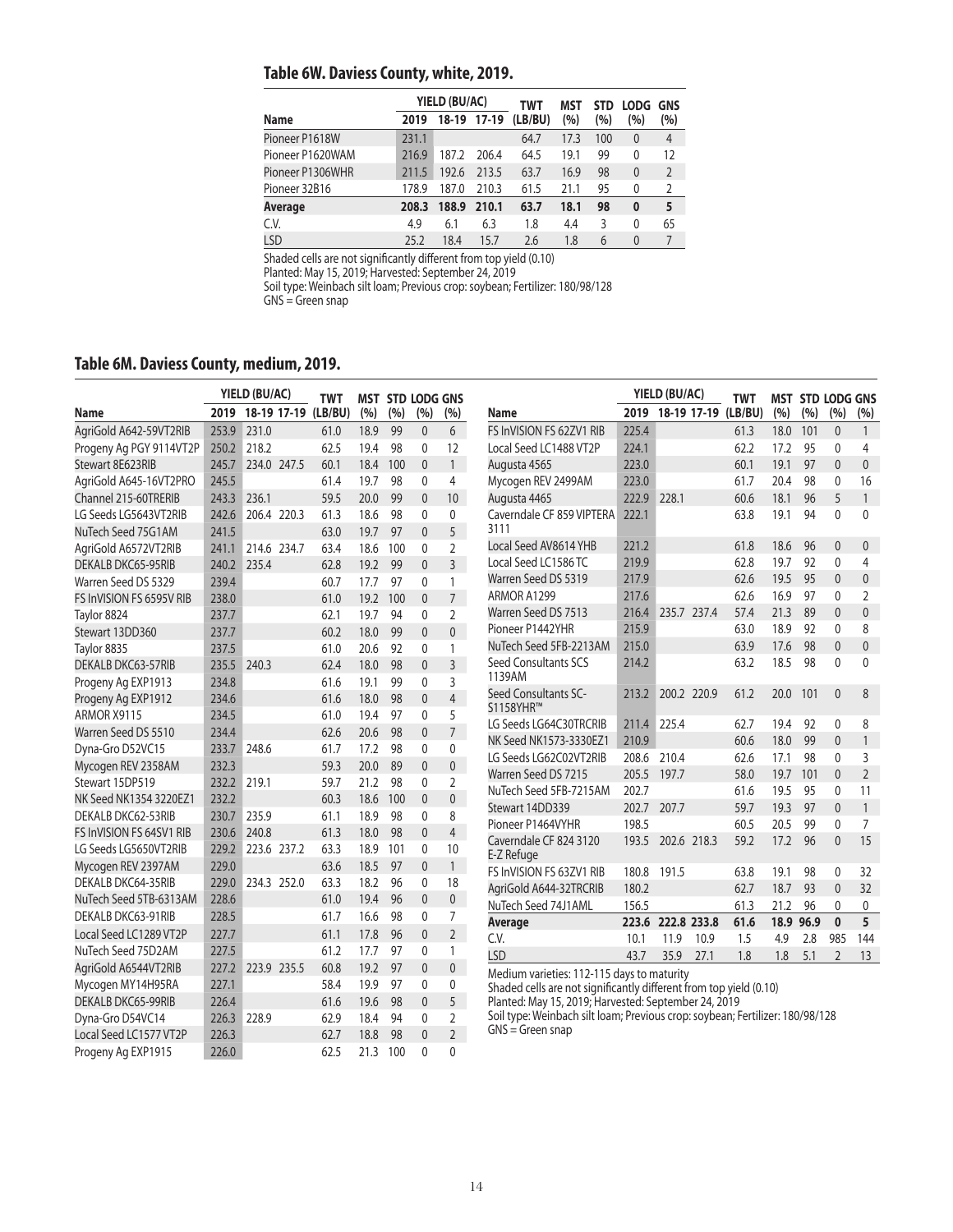## **Table 6W. Daviess County, white, 2019.**

|                  |       | YIELD (BU/AC) |             | <b>TWT</b> | MST  | <b>STD</b> | <b>LODG</b> | <b>GNS</b>     |
|------------------|-------|---------------|-------------|------------|------|------------|-------------|----------------|
| Name             | 2019  |               | 18-19 17-19 | (LB/BU)    | (%)  | (%)        | (%)         | (%)            |
| Pioneer P1618W   | 231.1 |               |             | 64.7       | 17.3 | 100        | $\theta$    | 4              |
| Pioneer P1620WAM | 216.9 | 187.2         | 206.4       | 64.5       | 19.1 | 99         | 0           | 12             |
| Pioneer P1306WHR | 211.5 | 192.6         | 213.5       | 63.7       | 16.9 | 98         | $\theta$    | 2              |
| Pioneer 32B16    | 178.9 | 187.0         | 210.3       | 61.5       | 21.1 | 95         | 0           | $\overline{2}$ |
| Average          | 208.3 | 188.9         | 210.1       | 63.7       | 18.1 | 98         | $\bf{0}$    | 5              |
| C.V.             | 4.9   | 6.1           | 6.3         | 1.8        | 4.4  | 3          | 0           | 65             |
| LSD              | 25.2  | 18.4          | 15.7        | 2.6        | 1.8  | 6          | $\Omega$    | 7              |

Shaded cells are not significantly different from top yield (0.10)

Planted: May 15, 2019; Harvested: September 24, 2019

Soil type: Weinbach silt loam; Previous crop: soybean; Fertilizer: 180/98/128

#### GNS = Green snap

Progeny Ag EXP1915 226.0 62.5 21.3 100 0 0

## **Table 6M. Daviess County, medium, 2019.**

|                           |       | YIELD (BU/AC) |             | <b>TWT</b>          |      |     | <b>MST STD LODG GNS</b> |                          |                                                                               |       | YIELD (BU/AC)            | <b>TWT</b> |      |      | <b>MST STD LODG GNS</b> |                |
|---------------------------|-------|---------------|-------------|---------------------|------|-----|-------------------------|--------------------------|-------------------------------------------------------------------------------|-------|--------------------------|------------|------|------|-------------------------|----------------|
| <b>Name</b>               | 2019  |               |             | 18-19 17-19 (LB/BU) | (%)  | (%) | (%)                     | (%)                      | Name                                                                          |       | 2019 18-19 17-19 (LB/BU) |            | (%)  | (%)  | (%)                     | (%)            |
| AgriGold A642-59VT2RIB    | 253.9 | 231.0         |             | 61.0                | 18.9 | 99  | $\mathbf{0}$            | 6                        | FS InVISION FS 62ZV1 RIB                                                      | 225.4 |                          | 61.3       | 18.0 | 101  | $\mathbf{0}$            | $\mathbf{1}$   |
| Progeny Ag PGY 9114VT2P   | 250.2 | 218.2         |             | 62.5                | 19.4 | 98  | $\mathbf{0}$            | 12                       | Local Seed LC1488 VT2P                                                        | 224.1 |                          | 62.2       | 17.2 | 95   | $\Omega$                | 4              |
| Stewart 8E623RIB          | 245.7 | 234.0 247.5   |             | 60.1                | 18.4 | 100 | $\mathbf{0}$            | 1                        | Augusta 4565                                                                  | 223.0 |                          | 60.1       | 19.1 | 97   | $\mathbf{0}$            | $\mathbf{0}$   |
| AgriGold A645-16VT2PRO    | 245.5 |               |             | 61.4                | 19.7 | 98  | $\mathbf{0}$            | 4                        | Mycogen REV 2499AM                                                            | 223.0 |                          | 61.7       | 20.4 | 98   | $\Omega$                | 16             |
| Channel 215-60TRERIB      | 243.3 | 236.1         |             | 59.5                | 20.0 | 99  | $\Omega$                | 10 <sup>1</sup>          | Augusta 4465                                                                  | 222.9 | 228.1                    | 60.6       | 18.1 | 96   | 5                       | $\mathbf{1}$   |
| LG Seeds LG5643VT2RIB     | 242.6 |               | 206.4 220.3 | 61.3                | 18.6 | 98  | $\mathbf{0}$            | $\mathbf{0}$             | Caverndale CF 859 VIPTERA                                                     | 222.1 |                          | 63.8       | 19.1 | 94   | $\Omega$                | $\mathbf{0}$   |
| NuTech Seed 75G1AM        | 241.5 |               |             | 63.0                | 19.7 | 97  | $\mathbf{0}$            | 5                        | 3111                                                                          |       |                          |            |      |      |                         |                |
| AgriGold A6572VT2RIB      | 241.1 | 214.6 234.7   |             | 63.4                | 18.6 | 100 | $\mathbf{0}$            | $\overline{2}$           | Local Seed AV8614 YHB                                                         | 221.2 |                          | 61.8       | 18.6 | 96   | $\mathbf{0}$            | $\mathbf{0}$   |
| <b>DEKALB DKC65-95RIB</b> | 240.2 | 235.4         |             | 62.8                | 19.2 | 99  | $\Omega$                | $\overline{3}$           | Local Seed LC1586 TC                                                          | 219.9 |                          | 62.8       | 19.7 | 92   | $\Omega$                | 4              |
| Warren Seed DS 5329       | 239.4 |               |             | 60.7                | 17.7 | 97  | $\Omega$                | $\mathbf{1}$             | Warren Seed DS 5319                                                           | 217.9 |                          | 62.6       | 19.5 | 95   | $\overline{0}$          | $\overline{0}$ |
| FS InVISION FS 6595V RIB  | 238.0 |               |             | 61.0                | 19.2 | 100 | $\mathbf{0}$            | 7 <sup>7</sup>           | ARMOR A1299                                                                   | 217.6 |                          | 62.6       | 16.9 | 97   | $\Omega$                | $\overline{2}$ |
| Taylor 8824               | 237.7 |               |             | 62.1                | 19.7 | 94  | $\mathbf{0}$            | $\overline{2}$           | Warren Seed DS 7513                                                           | 216.4 | 235.7 237.4              | 57.4       | 21.3 | 89   | $\mathbf{0}$            | $\overline{0}$ |
| Stewart 13DD360           | 237.7 |               |             | 60.2                | 18.0 | 99  | $\mathbf{0}$            | $\mathbf 0$              | Pioneer P1442YHR                                                              | 215.9 |                          | 63.0       | 18.9 | 92   | 0                       | 8              |
| Taylor 8835               | 237.5 |               |             | 61.0                | 20.6 | 92  | $\mathbf{0}$            | 1                        | NuTech Seed 5FB-2213AM                                                        | 215.0 |                          | 63.9       | 17.6 | 98   | $\mathbf{0}$            | $\overline{0}$ |
| <b>DEKALB DKC63-57RIB</b> | 235.5 | 240.3         |             | 62.4                | 18.0 | 98  | $\mathbf{0}$            | $\overline{3}$           | Seed Consultants SCS                                                          | 214.2 |                          | 63.2       | 18.5 | 98   | $\mathbf{0}$            | $\mathbf{0}$   |
| Progeny Ag EXP1913        | 234.8 |               |             | 61.6                | 19.1 | 99  | $\mathbf{0}$            | $\overline{3}$           | 1139AM                                                                        |       |                          |            |      |      |                         |                |
| Progeny Ag EXP1912        | 234.6 |               |             | 61.6                | 18.0 | 98  | $\mathbf{0}$            | $\overline{4}$           | Seed Consultants SC-                                                          | 213.2 | 200.2 220.9              | 61.2       | 20.0 | 101  | $\mathbf{0}$            | 8              |
| ARMOR X9115               | 234.5 |               |             | 61.0                | 19.4 | 97  | $\mathbf{0}$            | 5                        | S1158YHR™                                                                     |       |                          |            |      |      |                         |                |
| Warren Seed DS 5510       | 234.4 |               |             | 62.6                | 20.6 | 98  | $\mathbf{0}$            | 7 <sup>7</sup>           | LG Seeds LG64C30TRCRIB                                                        | 211.4 | 225.4                    | 62.7       | 19.4 | 92   | $\Omega$                | 8              |
| Dyna-Gro D52VC15          | 233.7 | 248.6         |             | 61.7                | 17.2 | 98  | $\mathbf{0}$            | $\mathbf{0}$             | NK Seed NK1573-3330EZ1                                                        | 210.9 |                          | 60.6       | 18.0 | 99   | $\mathbf{0}$            | $\mathbf{1}$   |
| Mycogen REV 2358AM        | 232.3 |               |             | 59.3                | 20.0 | 89  | $\mathbf{0}$            | $\mathbf{0}$             | LG Seeds LG62C02VT2RIB                                                        | 208.6 | 210.4                    | 62.6       | 17.1 | 98   | $\mathbf{0}$            | 3              |
| Stewart 15DP519           | 232.2 | 219.1         |             | 59.7                | 21.2 | 98  | $\mathbf{0}$            | $\overline{2}$           | Warren Seed DS 7215                                                           | 205.5 | 197.7                    | 58.0       | 19.7 | 101  | $\Omega$                | $\overline{2}$ |
| NK Seed NK1354 3220EZ1    | 232.2 |               |             | 60.3                | 18.6 | 100 | $\mathbf{0}$            | $\mathbf{0}$             | NuTech Seed 5FB-7215AM                                                        | 202.7 |                          | 61.6       | 19.5 | 95   | $\mathbf{0}$            | 11             |
| DEKALB DKC62-53RIB        | 230.7 | 235.9         |             | 61.1                | 18.9 | 98  | $\Omega$                | 8                        | Stewart 14DD339                                                               | 202.7 | 207.7                    | 59.7       | 19.3 | 97   | $\Omega$                | $\mathbf{1}$   |
| FS InVISION FS 64SV1 RIB  | 230.6 | 240.8         |             | 61.3                | 18.0 | 98  | $\mathbf{0}$            | $\overline{4}$           | Pioneer P1464VYHR                                                             | 198.5 |                          | 60.5       | 20.5 | 99   | $\Omega$                | 7              |
| LG Seeds LG5650VT2RIB     | 229.2 |               | 223.6 237.2 | 63.3                | 18.9 | 101 | $\mathbf{0}$            | 10                       | Caverndale CF 824 3120<br>E-Z Refuge                                          | 193.5 | 202.6 218.3              | 59.2       | 17.2 | 96   | $\mathbf{0}$            | 15             |
| Mycogen REV 2397AM        | 229.0 |               |             | 63.6                | 18.5 | 97  | $\mathbf{0}$            | 1                        | FS InVISION FS 63ZV1 RIB                                                      | 180.8 | 191.5                    | 63.8       | 19.1 | 98   | 0                       | 32             |
| DEKALB DKC64-35RIB        | 229.0 |               | 234.3 252.0 | 63.3                | 18.2 | 96  | $\mathbf{0}$            | 18                       | AgriGold A644-32TRCRIB                                                        | 180.2 |                          | 62.7       | 18.7 | 93   | $\Omega$                | 32             |
| NuTech Seed 5TB-6313AM    | 228.6 |               |             | 61.0                | 19.4 | 96  | $\mathbf{0}$            | $\mathbf{0}$             | NuTech Seed 74J1AML                                                           | 156.5 |                          | 61.3       | 21.2 | 96   | $\mathbf{0}$            | $\mathbf{0}$   |
| DEKALB DKC63-91RIB        | 228.5 |               |             | 61.7                | 16.6 | 98  | $\Omega$                | $\overline{7}$           | Average                                                                       | 223.6 | 222.8 233.8              | 61.6       | 18.9 | 96.9 | $\mathbf{0}$            | 5              |
| Local Seed LC1289 VT2P    | 227.7 |               |             | 61.1                | 17.8 | 96  | $\mathbf{0}$            | $2^{\circ}$              | C.V.                                                                          | 10.1  | 11.9<br>10.9             | 1.5        | 4.9  | 2.8  | 985                     | 144            |
| NuTech Seed 75D2AM        | 227.5 |               |             | 61.2                | 17.7 | 97  | $\mathbf{0}$            | 1                        | <b>LSD</b>                                                                    | 43.7  | 35.9<br>27.1             | 1.8        | 1.8  | 5.1  | $\overline{2}$          | 13             |
| AgriGold A6544VT2RIB      | 227.2 | 223.9 235.5   |             | 60.8                | 19.2 | 97  | $\mathbf{0}$            | $\mathbf{0}$             | Medium varieties: 112-115 days to maturity                                    |       |                          |            |      |      |                         |                |
| Mycogen MY14H95RA         | 227.1 |               |             | 58.4                | 19.9 | 97  | 0                       | $\mathbf 0$              | Shaded cells are not significantly different from top yield (0.10)            |       |                          |            |      |      |                         |                |
| <b>DEKALB DKC65-99RIB</b> | 226.4 |               |             | 61.6                | 19.6 | 98  | $\Omega$                | 5 <sup>7</sup>           | Planted: May 15, 2019; Harvested: September 24, 2019                          |       |                          |            |      |      |                         |                |
| Dyna-Gro D54VC14          | 226.3 | 228.9         |             | 62.9                | 18.4 | 94  | $\Omega$                | $\overline{2}$           | Soil type: Weinbach silt loam; Previous crop: soybean; Fertilizer: 180/98/128 |       |                          |            |      |      |                         |                |
| Local Seed LC1577 VT2P    | 226.3 |               |             | 62.7                | 18.8 | 98  | $\Omega$                | $\overline{\phantom{a}}$ | $GNS = Green$ snap                                                            |       |                          |            |      |      |                         |                |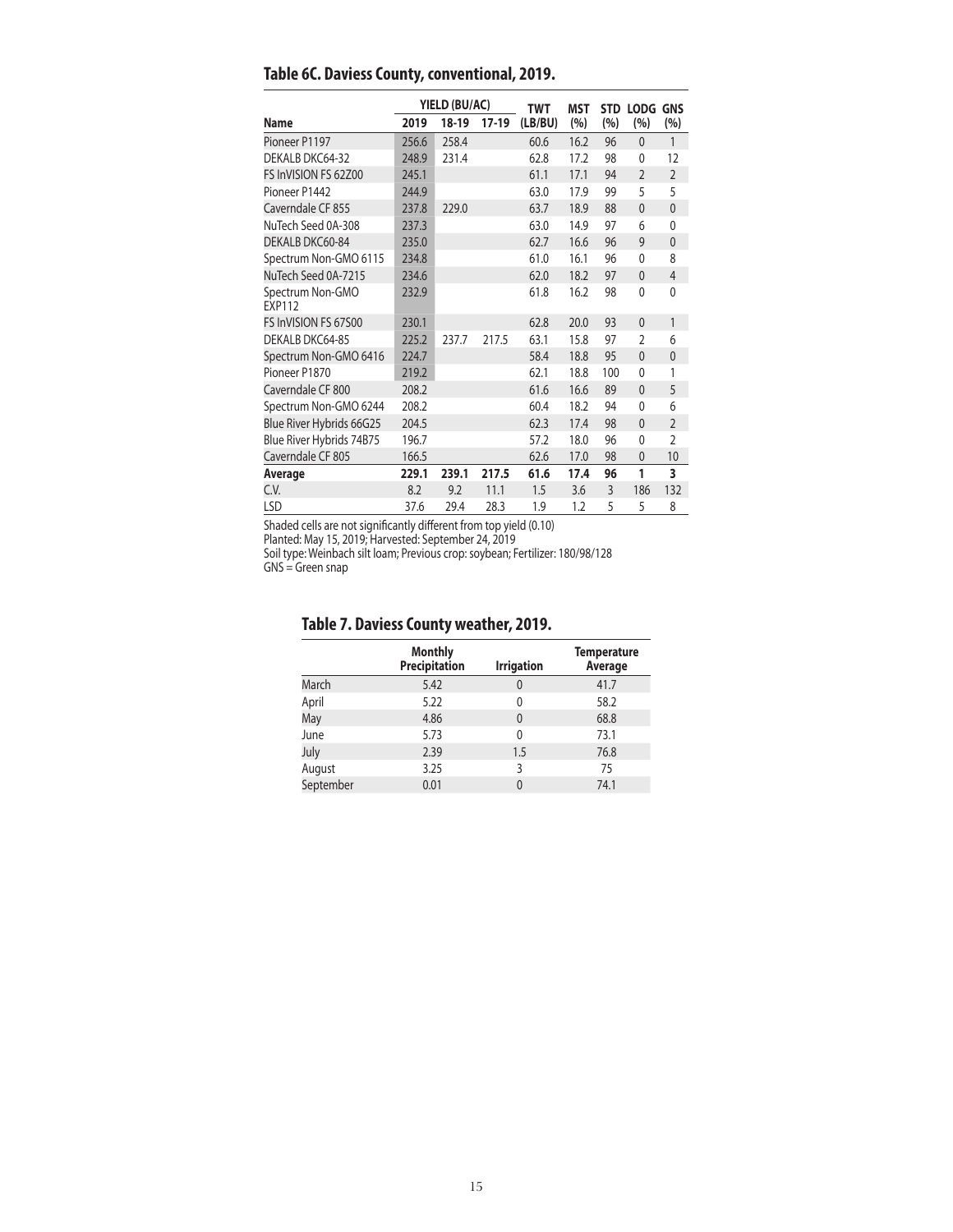|                                   |       | YIELD (BU/AC) |         | <b>TWT</b> | <b>MST</b> |     | STD LODG GNS   |                |
|-----------------------------------|-------|---------------|---------|------------|------------|-----|----------------|----------------|
| <b>Name</b>                       | 2019  | 18-19         | $17-19$ | (LB/BU)    | (%)        | (%) | (%)            | (%)            |
| Pioneer P1197                     | 256.6 | 258.4         |         | 60.6       | 16.2       | 96  | $\mathbf{0}$   | 1              |
| DEKALB DKC64-32                   | 248.9 | 231.4         |         | 62.8       | 17.2       | 98  | $\mathbf{0}$   | 12             |
| FS InVISION FS 62Z00              | 245.1 |               |         | 61.1       | 17.1       | 94  | $\overline{2}$ | $\overline{2}$ |
| Pioneer P1442                     | 244.9 |               |         | 63.0       | 17.9       | 99  | 5              | 5              |
| Caverndale CF 855                 | 237.8 | 229.0         |         | 63.7       | 18.9       | 88  | $\mathbf{0}$   | $\overline{0}$ |
| NuTech Seed 0A-308                | 237.3 |               |         | 63.0       | 14.9       | 97  | 6              | $\mathbf{0}$   |
| DEKALB DKC60-84                   | 235.0 |               |         | 62.7       | 16.6       | 96  | 9              | $\mathbf{0}$   |
| Spectrum Non-GMO 6115             | 234.8 |               |         | 61.0       | 16.1       | 96  | $\mathbf{0}$   | 8              |
| NuTech Seed 0A-7215               | 234.6 |               |         | 62.0       | 18.2       | 97  | $\mathbf{0}$   | $\overline{4}$ |
| Spectrum Non-GMO<br><b>EXP112</b> | 232.9 |               |         | 61.8       | 16.2       | 98  | $\mathbf{0}$   | $\mathbf{0}$   |
| FS InVISION FS 67500              | 230.1 |               |         | 62.8       | 20.0       | 93  | $\mathbf{0}$   | 1              |
| DEKALB DKC64-85                   | 225.2 | 237.7         | 217.5   | 63.1       | 15.8       | 97  | $\overline{2}$ | 6              |
| Spectrum Non-GMO 6416             | 224.7 |               |         | 58.4       | 18.8       | 95  | $\mathbf{0}$   | $\mathbf{0}$   |
| Pioneer P1870                     | 219.2 |               |         | 62.1       | 18.8       | 100 | $\mathbf{0}$   | 1              |
| Caverndale CF 800                 | 208.2 |               |         | 61.6       | 16.6       | 89  | $\mathbf{0}$   | 5              |
| Spectrum Non-GMO 6244             | 208.2 |               |         | 60.4       | 18.2       | 94  | $\mathbf{0}$   | 6              |
| Blue River Hybrids 66G25          | 204.5 |               |         | 62.3       | 17.4       | 98  | $\mathbf{0}$   | $\overline{2}$ |
| Blue River Hybrids 74B75          | 196.7 |               |         | 57.2       | 18.0       | 96  | 0              | $\overline{2}$ |
| Caverndale CF 805                 | 166.5 |               |         | 62.6       | 17.0       | 98  | $\mathbf{0}$   | 10             |
| Average                           | 229.1 | 239.1         | 217.5   | 61.6       | 17.4       | 96  | 1              | 3              |
| C.V.                              | 8.2   | 9.2           | 11.1    | 1.5        | 3.6        | 3   | 186            | 132            |
| <b>LSD</b>                        | 37.6  | 29.4          | 28.3    | 1.9        | 1.2        | 5   | 5              | 8              |

**Table 6C. Daviess County, conventional, 2019.**

Shaded cells are not significantly different from top yield (0.10)

Planted: May 15, 2019; Harvested: September 24, 2019

Soil type: Weinbach silt loam; Previous crop: soybean; Fertilizer: 180/98/128

GNS = Green snap

## **Table 7. Daviess County weather, 2019.**

|           | <b>Monthly</b><br>Precipitation | <b>Irrigation</b> | <b>Temperature</b><br>Average |
|-----------|---------------------------------|-------------------|-------------------------------|
| March     | 5.42                            | 0                 | 41.7                          |
| April     | 5.22                            | 0                 | 58.2                          |
| May       | 4.86                            | 0                 | 68.8                          |
| June      | 5.73                            | 0                 | 73.1                          |
| July      | 2.39                            | 1.5               | 76.8                          |
| August    | 3.25                            | 3                 | 75                            |
| September | 0.01                            | 0                 | 74.1                          |
|           |                                 |                   |                               |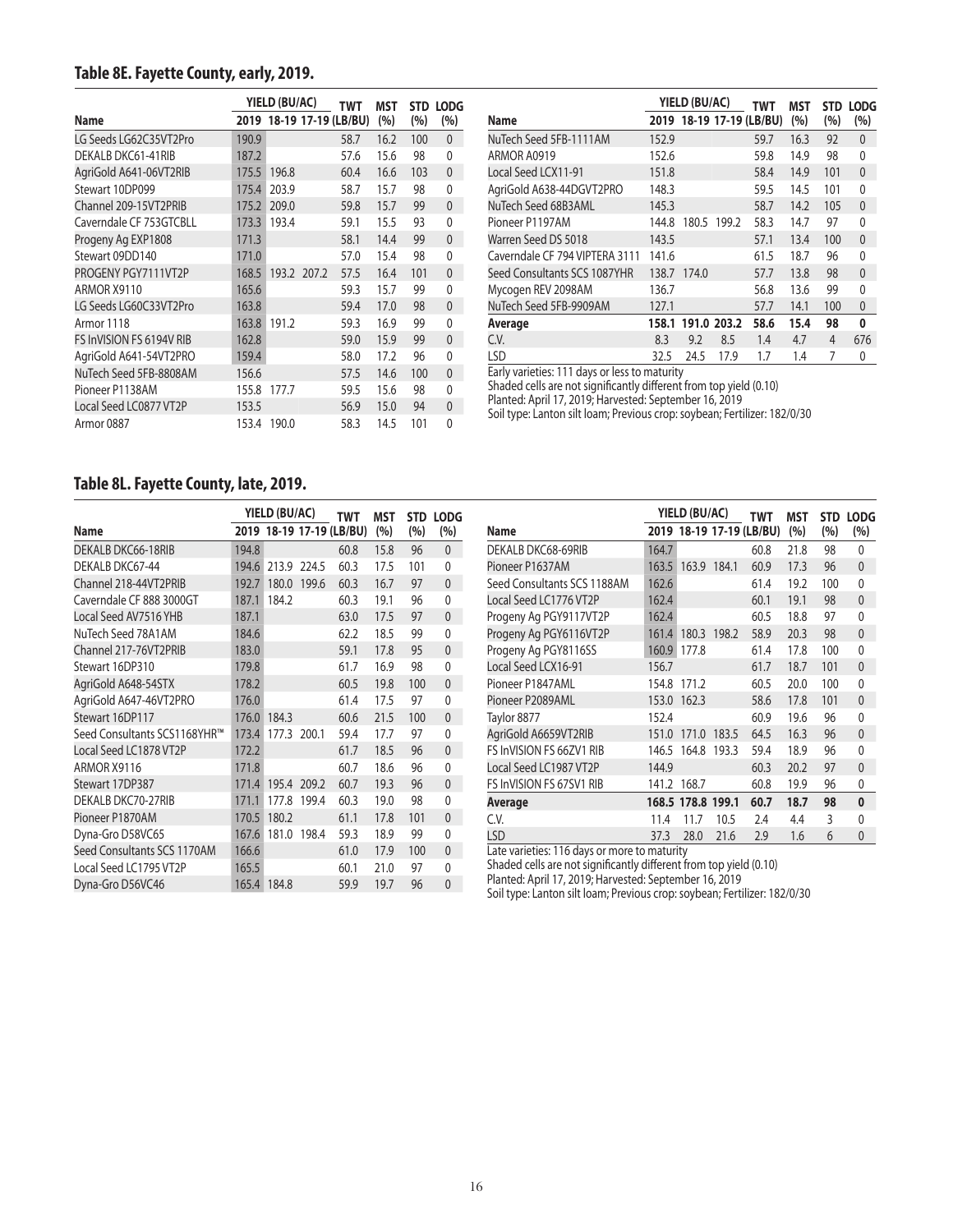#### **Table 8E. Fayette County, early, 2019.**

|                          | YIELD (BU/AC) |       |                          | TWT  | MST  |     | STD LODG     |
|--------------------------|---------------|-------|--------------------------|------|------|-----|--------------|
| Name                     |               |       | 2019 18-19 17-19 (LB/BU) |      | (%)  | (%) | (%)          |
| LG Seeds LG62C35VT2Pro   | 190.9         |       |                          | 58.7 | 16.2 | 100 | $\mathbf{0}$ |
| DEKALB DKC61-41RIB       | 187.2         |       |                          | 57.6 | 15.6 | 98  | 0            |
| AgriGold A641-06VT2RIB   | 175.5         | 196.8 |                          | 60.4 | 16.6 | 103 | $\mathbf{0}$ |
| Stewart 10DP099          | 175.4         | 203.9 |                          | 58.7 | 15.7 | 98  | $\Omega$     |
| Channel 209-15VT2PRIB    | 175.2         | 209.0 |                          | 59.8 | 15.7 | 99  | $\mathbf{0}$ |
| Caverndale CF 753GTCBLL  | 173.3         | 193.4 |                          | 59.1 | 15.5 | 93  | $\Omega$     |
| Progeny Ag EXP1808       | 171.3         |       |                          | 58.1 | 14.4 | 99  | $\mathbf{0}$ |
| Stewart 09DD140          | 171.0         |       |                          | 57.0 | 15.4 | 98  | 0            |
| PROGENY PGY7111VT2P      | 168.5         |       | 193.2 207.2              | 57.5 | 16.4 | 101 | $\mathbf{0}$ |
| ARMOR X9110              | 165.6         |       |                          | 59.3 | 15.7 | 99  | $\Omega$     |
| LG Seeds LG60C33VT2Pro   | 163.8         |       |                          | 59.4 | 17.0 | 98  | $\mathbf{0}$ |
| Armor 1118               | 163.8         | 191.2 |                          | 59.3 | 16.9 | 99  | $\Omega$     |
| FS InVISION FS 6194V RIB | 162.8         |       |                          | 59.0 | 15.9 | 99  | $\mathbf{0}$ |
| AgriGold A641-54VT2PRO   | 159.4         |       |                          | 58.0 | 17.2 | 96  | 0            |
| NuTech Seed 5FB-8808AM   | 156.6         |       |                          | 57.5 | 14.6 | 100 | $\mathbf{0}$ |
| Pioneer P1138AM          | 155.8         | 177.7 |                          | 59.5 | 15.6 | 98  | $\Omega$     |
| Local Seed LC0877 VT2P   | 153.5         |       |                          | 56.9 | 15.0 | 94  | $\mathbf{0}$ |
| Armor 0887               | 153.4         | 190.0 |                          | 58.3 | 14.5 | 101 | $\Omega$     |

|                                |       | YIELD (BU/AC) |             | TWT                      | MST  | <b>STD</b> | <b>LODG</b>  |
|--------------------------------|-------|---------------|-------------|--------------------------|------|------------|--------------|
| Name                           |       |               |             | 2019 18-19 17-19 (LB/BU) | (%)  | (%)        | (%)          |
| NuTech Seed 5FB-1111AM         | 152.9 |               |             | 59.7                     | 16.3 | 92         | 0            |
| ARMOR A0919                    | 152.6 |               |             | 59.8                     | 14.9 | 98         | 0            |
| Local Seed LCX11-91            | 151.8 |               |             | 58.4                     | 14.9 | 101        | $\mathbf{0}$ |
| AgriGold A638-44DGVT2PRO       | 148.3 |               |             | 59.5                     | 14.5 | 101        | 0            |
| NuTech Seed 68B3AML            | 145.3 |               |             | 58.7                     | 14.2 | 105        | $\mathbf{0}$ |
| Pioneer P1197AM                | 144.8 | 180.5         | 199.2       | 58.3                     | 14.7 | 97         | 0            |
| Warren Seed DS 5018            | 143.5 |               |             | 57.1                     | 13.4 | 100        | $\mathbf{0}$ |
| Caverndale CF 794 VIPTERA 3111 | 141.6 |               |             | 61.5                     | 18.7 | 96         | 0            |
| Seed Consultants SCS 1087YHR   | 138.7 | 174.0         |             | 57.7                     | 13.8 | 98         | $\mathbf{0}$ |
| Mycogen REV 2098AM             | 136.7 |               |             | 56.8                     | 13.6 | 99         | 0            |
| NuTech Seed 5FB-9909AM         | 127.1 |               |             | 57.7                     | 14.1 | 100        | $\mathbf{0}$ |
| Average                        | 158.1 |               | 191.0 203.2 | 58.6                     | 15.4 | 98         | 0            |
| C.V.                           | 8.3   | 9.2           | 8.5         | 1.4                      | 4.7  | 4          | 676          |
| <b>LSD</b>                     | 32.5  | 24.5          | 17.9        | 1.7                      | 1.4  | 7          | 0            |

Early varieties: 111 days or less to maturity

Shaded cells are not significantly different from top yield (0.10)

Planted: April 17, 2019; Harvested: September 16, 2019

Soil type: Lanton silt loam; Previous crop: soybean; Fertilizer: 182/0/30

#### **Table 8L. Fayette County, late, 2019.**

|                                |       | YIELD (BU/AC) |                          |      | <b>MST</b> |     | <b>STD LODG</b> |
|--------------------------------|-------|---------------|--------------------------|------|------------|-----|-----------------|
| Name                           |       |               | 2019 18-19 17-19 (LB/BU) |      | (%)        | (%) | (%)             |
| DEKALB DKC66-18RIB             | 194.8 |               |                          | 60.8 | 15.8       | 96  | $\mathbf{0}$    |
| DEKALB DKC67-44                | 194.6 |               | 213.9 224.5              | 60.3 | 17.5       | 101 | 0               |
| Channel 218-44VT2PRIB<br>192.7 |       | 180.0         | 199.6                    | 60.3 | 16.7       | 97  | 0               |
| Caverndale CF 888 3000GT       | 187.1 | 184.2         |                          | 60.3 | 19.1       | 96  | $\mathbf{0}$    |
| Local Seed AV7516 YHB          | 187.1 |               |                          | 63.0 | 17.5       | 97  | 0               |
| NuTech Seed 78A1AM             | 184.6 |               |                          | 62.2 | 18.5       | 99  | 0               |
| Channel 217-76VT2PRIB          | 183.0 |               |                          | 59.1 | 17.8       | 95  | 0               |
| Stewart 16DP310                | 179.8 |               |                          | 61.7 | 16.9       | 98  | $\mathbf{0}$    |
| AgriGold A648-54STX            | 178.2 |               |                          | 60.5 | 19.8       | 100 | $\overline{0}$  |
| AgriGold A647-46VT2PRO         | 176.0 |               |                          | 61.4 | 17.5       | 97  | 0               |
| Stewart 16DP117                | 176.0 | 184.3         |                          | 60.6 | 21.5       | 100 | 0               |
| Seed Consultants SCS1168YHR™   | 173.4 | 177.3 200.1   |                          | 59.4 | 17.7       | 97  | 0               |
| Local Seed LC1878 VT2P         | 172.2 |               |                          | 61.7 | 18.5       | 96  | $\mathbf{0}$    |
| ARMOR X9116                    | 171.8 |               |                          | 60.7 | 18.6       | 96  | $\mathbf{0}$    |
| Stewart 17DP387                | 171.4 |               | 195.4 209.2              | 60.7 | 19.3       | 96  | $\mathbf{0}$    |
| DEKALB DKC70-27RIB             | 171.1 | 177.8         | 199.4                    | 60.3 | 19.0       | 98  | 0               |
| Pioneer P1870AM                | 170.5 | 180.2         |                          | 61.1 | 17.8       | 101 | $\mathbf{0}$    |
| Dyna-Gro D58VC65               | 167.6 | 181.0         | 198.4                    | 59.3 | 18.9       | 99  | $\mathbf{0}$    |
| Seed Consultants SCS 1170AM    | 166.6 |               |                          | 61.0 | 17.9       | 100 | $\mathbf{0}$    |
| Local Seed LC1795 VT2P         | 165.5 |               |                          | 60.1 | 21.0       | 97  | 0               |
| Dyna-Gro D56VC46               | 165.4 | 184.8         |                          | 59.9 | 19.7       | 96  | $\mathbf{0}$    |

|       |       |       | TWT                                                        | MST                      | <b>STD</b> | <b>LODG</b>    |
|-------|-------|-------|------------------------------------------------------------|--------------------------|------------|----------------|
|       |       |       |                                                            | (%)                      | (%)        | (%)            |
| 164.7 |       |       | 60.8                                                       | 21.8                     | 98         | $\mathbf{0}$   |
| 163.5 |       |       | 60.9                                                       | 17.3                     | 96         | $\mathbf{0}$   |
| 162.6 |       |       | 61.4                                                       | 19.2                     | 100        | 0              |
| 162.4 |       |       | 60.1                                                       | 19.1                     | 98         | $\overline{0}$ |
| 162.4 |       |       | 60.5                                                       | 18.8                     | 97         | $\mathbf{0}$   |
| 161.4 | 180.3 |       | 58.9                                                       | 20.3                     | 98         | $\mathbf{0}$   |
| 160.9 | 177.8 |       | 61.4                                                       | 17.8                     | 100        | 0              |
| 156.7 |       |       | 61.7                                                       | 18.7                     | 101        | $\mathbf{0}$   |
| 154.8 | 171.2 |       | 60.5                                                       | 20.0                     | 100        | 0              |
| 153.0 | 162.3 |       | 58.6                                                       | 17.8                     | 101        | $\mathbf{0}$   |
| 152.4 |       |       | 60.9                                                       | 19.6                     | 96         | 0              |
| 151.0 | 171.0 | 183.5 | 64.5                                                       | 16.3                     | 96         | $\mathbf{0}$   |
| 146.5 | 164.8 | 193.3 | 59.4                                                       | 18.9                     | 96         | $\mathbf{0}$   |
| 144.9 |       |       | 60.3                                                       | 20.2                     | 97         | $\mathbf{0}$   |
| 141.2 | 168.7 |       | 60.8                                                       | 19.9                     | 96         | 0              |
|       |       |       | 60.7                                                       | 18.7                     | 98         | 0              |
| 11.4  | 11.7  | 10.5  | 2.4                                                        | 4.4                      | 3          | 0              |
| 37.3  | 28.0  | 21.6  | 2.9                                                        | 1.6                      | 6          | $\mathbf 0$    |
|       |       |       | YIELD (BU/AC)<br>163.9 184.1<br>198.2<br>168.5 178.8 199.1 | 2019 18-19 17-19 (LB/BU) |            |                |

Late varieties: 116 days or more to maturity

Shaded cells are not significantly different from top yield (0.10)

Planted: April 17, 2019; Harvested: September 16, 2019

Soil type: Lanton silt loam; Previous crop: soybean; Fertilizer: 182/0/30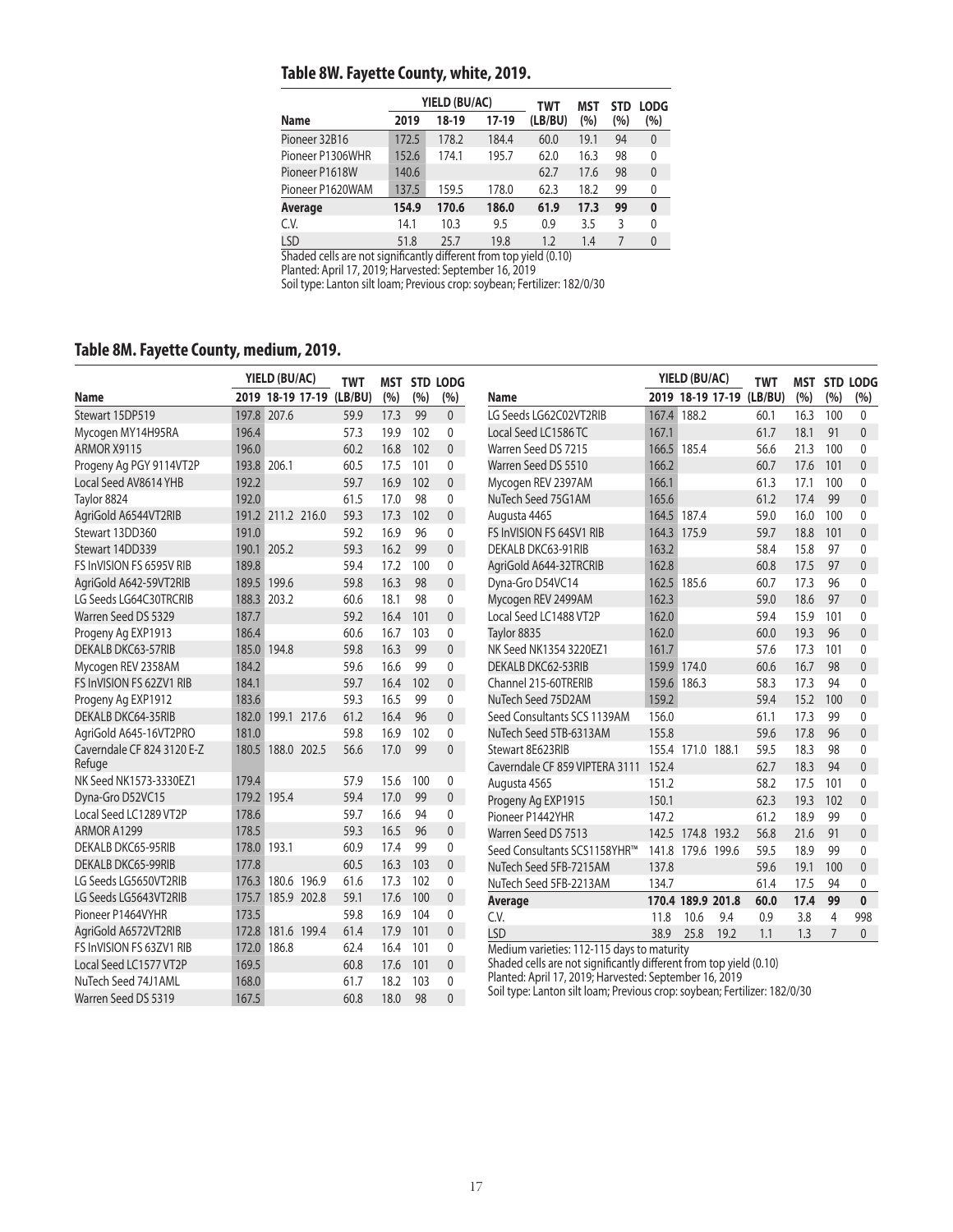## **Table 8W. Fayette County, white, 2019.**

|                  |       | YIELD (BU/AC) |       | TWT     | MST  | <b>STD</b> | <b>LODG</b>  |
|------------------|-------|---------------|-------|---------|------|------------|--------------|
| <b>Name</b>      | 2019  | 18-19         | 17-19 | (LB/BU) | (%)  | (%)        | (%)          |
| Pioneer 32B16    | 172.5 | 178.2         | 184.4 | 60.0    | 19.1 | 94         | $\mathbf{0}$ |
| Pioneer P1306WHR | 152.6 | 174.1         | 195.7 | 62.0    | 16.3 | 98         | 0            |
| Pioneer P1618W   | 140.6 |               |       | 62.7    | 17.6 | 98         | $\mathbf{0}$ |
| Pioneer P1620WAM | 137.5 | 159.5         | 178.0 | 62.3    | 18.2 | 99         | 0            |
| Average          | 154.9 | 170.6         | 186.0 | 61.9    | 17.3 | 99         | $\bf{0}$     |
| C.V.             | 14.1  | 10.3          | 9.5   | 0.9     | 3.5  | 3          | $\Omega$     |
| <b>LSD</b>       | 51.8  | 25.7          | 19.8  | 1.2     | 1.4  | 7          | $\theta$     |

Shaded cells are not significantly different from top yield (0.10)

Planted: April 17, 2019; Harvested: September 16, 2019

Soil type: Lanton silt loam; Previous crop: soybean; Fertilizer: 182/0/30

## **Table 8M. Fayette County, medium, 2019.**

|                            |       | YIELD (BU/AC)     |             | <b>TWT</b>               |      |     | <b>MST STD LODG</b> |                                                                                                                              | YIELD (BU/AC) |                   | <b>TWT</b> | <b>MST</b>               |      | STD LODG       |              |
|----------------------------|-------|-------------------|-------------|--------------------------|------|-----|---------------------|------------------------------------------------------------------------------------------------------------------------------|---------------|-------------------|------------|--------------------------|------|----------------|--------------|
| <b>Name</b>                |       |                   |             | 2019 18-19 17-19 (LB/BU) | (%)  | (%) | (%)                 | Name                                                                                                                         |               |                   |            | 2019 18-19 17-19 (LB/BU) | (%)  | (%)            | (%)          |
| Stewart 15DP519            |       | 197.8 207.6       |             | 59.9                     | 17.3 | 99  | $\overline{0}$      | LG Seeds LG62C02VT2RIB                                                                                                       | 167.4         | 188.2             |            | 60.1                     | 16.3 | 100            | $\mathbf{0}$ |
| Mycogen MY14H95RA          | 196.4 |                   |             | 57.3                     | 19.9 | 102 | $\mathbf{0}$        | Local Seed LC1586 TC                                                                                                         | 167.1         |                   |            | 61.7                     | 18.1 | 91             | $\Omega$     |
| ARMOR X9115                | 196.0 |                   |             | 60.2                     | 16.8 | 102 | $\mathbf{0}$        | Warren Seed DS 7215                                                                                                          |               | 166.5 185.4       |            | 56.6                     | 21.3 | 100            | $\mathbf{0}$ |
| Progeny Ag PGY 9114VT2P    |       | 193.8 206.1       |             | 60.5                     | 17.5 | 101 | $\Omega$            | Warren Seed DS 5510                                                                                                          | 166.2         |                   |            | 60.7                     | 17.6 | 101            | $\Omega$     |
| Local Seed AV8614 YHB      | 192.2 |                   |             | 59.7                     | 16.9 | 102 | $\overline{0}$      | Mycogen REV 2397AM                                                                                                           | 166.1         |                   |            | 61.3                     | 17.1 | 100            | $\mathbf{0}$ |
| Taylor 8824                | 192.0 |                   |             | 61.5                     | 17.0 | 98  | 0                   | NuTech Seed 75G1AM                                                                                                           | 165.6         |                   |            | 61.2                     | 17.4 | 99             | $\mathbf{0}$ |
| AgriGold A6544VT2RIB       |       | 191.2 211.2 216.0 |             | 59.3                     | 17.3 | 102 | 0                   | Augusta 4465                                                                                                                 |               | 164.5 187.4       |            | 59.0                     | 16.0 | 100            | $\mathbf 0$  |
| Stewart 13DD360            | 191.0 |                   |             | 59.2                     | 16.9 | 96  | 0                   | FS InVISION FS 64SV1 RIB                                                                                                     |               | 164.3 175.9       |            | 59.7                     | 18.8 | 101            | $\mathbf{0}$ |
| Stewart 14DD339            |       | 190.1 205.2       |             | 59.3                     | 16.2 | 99  | $\overline{0}$      | DEKALB DKC63-91RIB                                                                                                           | 163.2         |                   |            | 58.4                     | 15.8 | 97             | $\mathbf{0}$ |
| FS InVISION FS 6595V RIB   | 189.8 |                   |             | 59.4                     | 17.2 | 100 | 0                   | AgriGold A644-32TRCRIB                                                                                                       | 162.8         |                   |            | 60.8                     | 17.5 | 97             | $\mathbf{0}$ |
| AgriGold A642-59VT2RIB     |       | 189.5 199.6       |             | 59.8                     | 16.3 | 98  | $\overline{0}$      | Dyna-Gro D54VC14                                                                                                             | 162.5         | 185.6             |            | 60.7                     | 17.3 | 96             | $\mathbf{0}$ |
| LG Seeds LG64C30TRCRIB     |       | 188.3 203.2       |             | 60.6                     | 18.1 | 98  | 0                   | Mycogen REV 2499AM                                                                                                           | 162.3         |                   |            | 59.0                     | 18.6 | 97             | $\mathbf{0}$ |
| Warren Seed DS 5329        | 187.7 |                   |             | 59.2                     | 16.4 | 101 | $\Omega$            | Local Seed LC1488 VT2P                                                                                                       | 162.0         |                   |            | 59.4                     | 15.9 | 101            | $\mathbf{0}$ |
| Progeny Ag EXP1913         | 186.4 |                   |             | 60.6                     | 16.7 | 103 | 0                   | Taylor 8835                                                                                                                  | 162.0         |                   |            | 60.0                     | 19.3 | 96             | $\mathbf{0}$ |
| DEKALB DKC63-57RIB         |       | 185.0 194.8       |             | 59.8                     | 16.3 | 99  | $\overline{0}$      | NK Seed NK1354 3220EZ1                                                                                                       | 161.7         |                   |            | 57.6                     | 17.3 | 101            | $\Omega$     |
| Mycogen REV 2358AM         | 184.2 |                   |             | 59.6                     | 16.6 | 99  | 0                   | DEKALB DKC62-53RIB                                                                                                           | 159.9         | 174.0             |            | 60.6                     | 16.7 | 98             | $\mathbf{0}$ |
| FS InVISION FS 62ZV1 RIB   | 184.1 |                   |             | 59.7                     | 16.4 | 102 | $\overline{0}$      | Channel 215-60TRERIB                                                                                                         | 159.6         | 186.3             |            | 58.3                     | 17.3 | 94             | $\mathbf{0}$ |
| Progeny Ag EXP1912         | 183.6 |                   |             | 59.3                     | 16.5 | 99  | 0                   | NuTech Seed 75D2AM                                                                                                           | 159.2         |                   |            | 59.4                     | 15.2 | 100            | $\mathbf{0}$ |
| <b>DEKALB DKC64-35RIB</b>  |       | 182.0 199.1 217.6 |             | 61.2                     | 16.4 | 96  | $\overline{0}$      | Seed Consultants SCS 1139AM                                                                                                  | 156.0         |                   |            | 61.1                     | 17.3 | 99             | $\mathbf{0}$ |
| AgriGold A645-16VT2PRO     | 181.0 |                   |             | 59.8                     | 16.9 | 102 | $\mathbf{0}$        | NuTech Seed 5TB-6313AM                                                                                                       | 155.8         |                   |            | 59.6                     | 17.8 | 96             | $\mathbf{0}$ |
| Caverndale CF 824 3120 E-Z |       | 180.5 188.0 202.5 |             | 56.6                     | 17.0 | 99  | $\Omega$            | Stewart 8E623RIB                                                                                                             |               | 155.4 171.0 188.1 |            | 59.5                     | 18.3 | 98             | $\mathbf{0}$ |
| Refuge                     |       |                   |             |                          |      |     |                     | Caverndale CF 859 VIPTERA 3111                                                                                               | 152.4         |                   |            | 62.7                     | 18.3 | 94             | $\Omega$     |
| NK Seed NK1573-3330EZ1     | 179.4 |                   |             | 57.9                     | 15.6 | 100 | 0                   | Augusta 4565                                                                                                                 | 151.2         |                   |            | 58.2                     | 17.5 | 101            | $\mathbf{0}$ |
| Dyna-Gro D52VC15           |       | 179.2 195.4       |             | 59.4                     | 17.0 | 99  | $\overline{0}$      | Progeny Ag EXP1915                                                                                                           | 150.1         |                   |            | 62.3                     | 19.3 | 102            | $\Omega$     |
| Local Seed LC1289 VT2P     | 178.6 |                   |             | 59.7                     | 16.6 | 94  | 0                   | Pioneer P1442YHR                                                                                                             | 147.2         |                   |            | 61.2                     | 18.9 | 99             | $\mathbf{0}$ |
| ARMOR A1299                | 178.5 |                   |             | 59.3                     | 16.5 | 96  | $\overline{0}$      | Warren Seed DS 7513                                                                                                          |               | 142.5 174.8 193.2 |            | 56.8                     | 21.6 | 91             | $\mathbf{0}$ |
| <b>DEKALB DKC65-95RIB</b>  |       | 178.0 193.1       |             | 60.9                     | 17.4 | 99  | $\mathbf{0}$        | Seed Consultants SCS1158YHR™                                                                                                 | 141.8         | 179.6 199.6       |            | 59.5                     | 18.9 | 99             | $\mathbf 0$  |
| DEKALB DKC65-99RIB         | 177.8 |                   |             | 60.5                     | 16.3 | 103 | $\mathbf{0}$        | NuTech Seed 5FB-7215AM                                                                                                       | 137.8         |                   |            | 59.6                     | 19.1 | 100            | $\mathbf{0}$ |
| LG Seeds LG5650VT2RIB      | 176.3 |                   | 180.6 196.9 | 61.6                     | 17.3 | 102 | $\mathbf{0}$        | NuTech Seed 5FB-2213AM                                                                                                       | 134.7         |                   |            | 61.4                     | 17.5 | 94             | 0            |
| LG Seeds LG5643VT2RIB      | 175.7 |                   | 185.9 202.8 | 59.1                     | 17.6 | 100 | $\mathbf{0}$        | Average                                                                                                                      |               | 170.4 189.9 201.8 |            | 60.0                     | 17.4 | 99             | $\mathbf{0}$ |
| Pioneer P1464VYHR          | 173.5 |                   |             | 59.8                     | 16.9 | 104 | 0                   | C.V.                                                                                                                         | 11.8          | 10.6              | 9.4        | 0.9                      | 3.8  | $\overline{4}$ | 998          |
| AgriGold A6572VT2RIB       | 172.8 |                   | 181.6 199.4 | 61.4                     | 17.9 | 101 | $\overline{0}$      | <b>LSD</b>                                                                                                                   | 38.9          | 25.8              | 19.2       | 1.1                      | 1.3  | $\overline{7}$ | $\mathbf{0}$ |
| FS InVISION FS 63ZV1 RIB   | 172.0 | 186.8             |             | 62.4                     | 16.4 | 101 | 0                   | Medium varieties: 112-115 days to maturity                                                                                   |               |                   |            |                          |      |                |              |
| Local Seed LC1577 VT2P     | 169.5 |                   |             | 60.8                     | 17.6 | 101 | $\overline{0}$      | Shaded cells are not significantly different from top yield (0.10)<br>Planted: April 17, 2019; Harvested: September 16, 2019 |               |                   |            |                          |      |                |              |
| NuTech Seed 74J1AML        | 168.0 |                   |             | 61.7                     | 18.2 | 103 | $\mathbf{0}$        | Soil type: Lanton silt loam; Previous crop: soybean; Fertilizer: 182/0/30                                                    |               |                   |            |                          |      |                |              |
| Warren Seed DS 5319        | 167.5 |                   |             | 60.8                     | 18.0 | 98  | $\Omega$            |                                                                                                                              |               |                   |            |                          |      |                |              |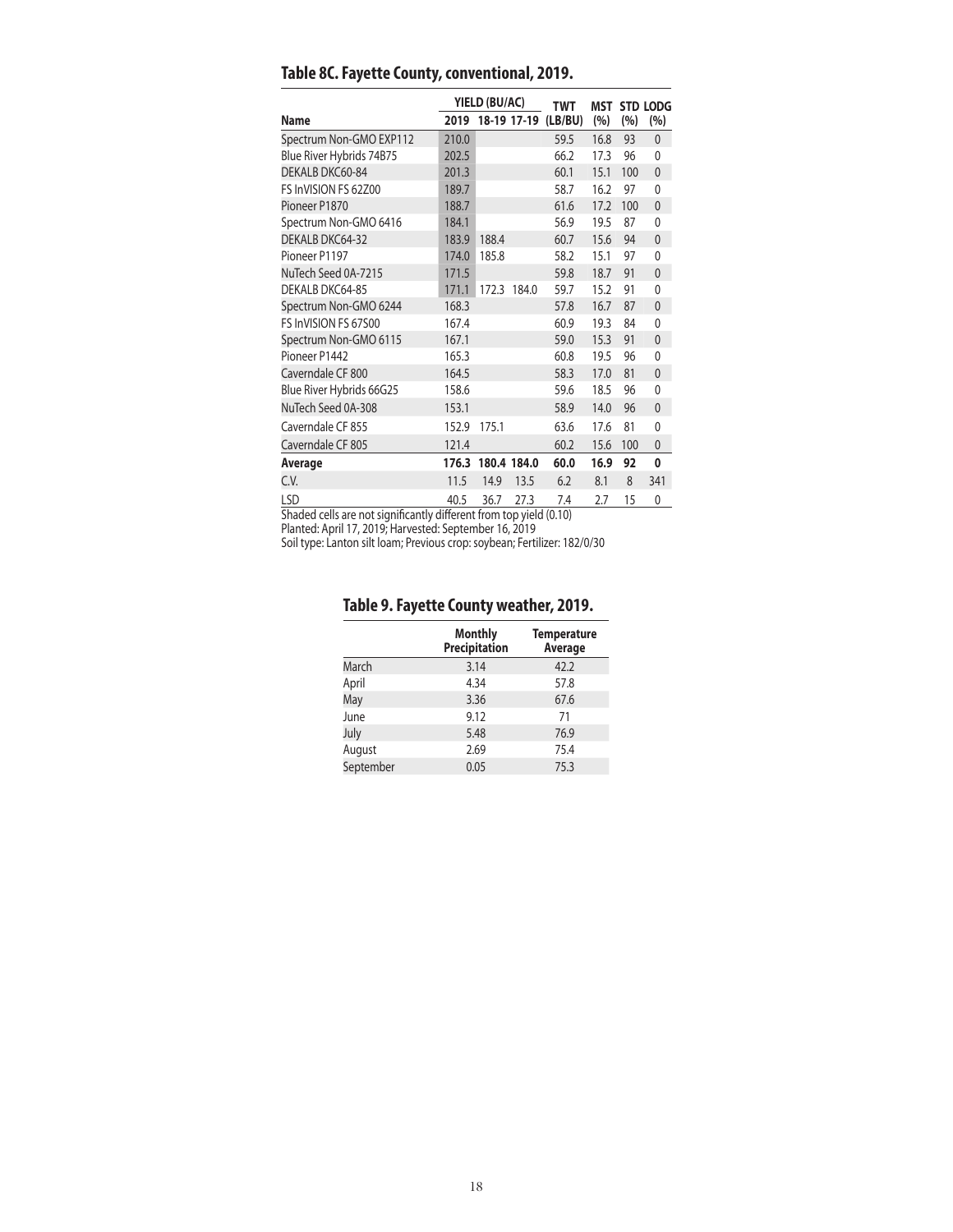|                          |       | YIELD (BU/AC)    |             | <b>TWT</b> |      |     | <b>MST STD LODG</b> |
|--------------------------|-------|------------------|-------------|------------|------|-----|---------------------|
| <b>Name</b>              |       | 2019 18-19 17-19 |             | (LB/BU)    | (%)  | (%) | (%)                 |
| Spectrum Non-GMO EXP112  | 210.0 |                  |             | 59.5       | 16.8 | 93  | $\mathbf{0}$        |
| Blue River Hybrids 74B75 | 202.5 |                  |             | 66.2       | 17.3 | 96  | 0                   |
| DEKALB DKC60-84          | 201.3 |                  |             | 60.1       | 15.1 | 100 | $\mathbf{0}$        |
| FS InVISION FS 62Z00     | 189.7 |                  |             | 58.7       | 16.2 | 97  | $\mathbf{0}$        |
| Pioneer P1870            | 188.7 |                  |             | 61.6       | 17.2 | 100 | $\mathbf{0}$        |
| Spectrum Non-GMO 6416    | 184.1 |                  |             | 56.9       | 19.5 | 87  | $\mathbf{0}$        |
| DEKALB DKC64-32          | 183.9 | 188.4            |             | 60.7       | 15.6 | 94  | $\mathbf{0}$        |
| Pioneer P1197            | 174.0 | 185.8            |             | 58.2       | 15.1 | 97  | $\mathbf{0}$        |
| NuTech Seed 0A-7215      | 171.5 |                  |             | 59.8       | 18.7 | 91  | $\mathbf{0}$        |
| DEKALB DKC64-85          | 171.1 |                  | 172.3 184.0 | 59.7       | 15.2 | 91  | $\mathbf{0}$        |
| Spectrum Non-GMO 6244    | 168.3 |                  |             | 57.8       | 16.7 | 87  | $\mathbf{0}$        |
| FS InVISION FS 67500     | 167.4 |                  |             | 60.9       | 19.3 | 84  | 0                   |
| Spectrum Non-GMO 6115    | 167.1 |                  |             | 59.0       | 15.3 | 91  | $\mathbf{0}$        |
| Pioneer P1442            | 165.3 |                  |             | 60.8       | 19.5 | 96  | 0                   |
| Caverndale CF 800        | 164.5 |                  |             | 58.3       | 17.0 | 81  | $\mathbf{0}$        |
| Blue River Hybrids 66G25 | 158.6 |                  |             | 59.6       | 18.5 | 96  | 0                   |
| NuTech Seed 0A-308       | 153.1 |                  |             | 58.9       | 14.0 | 96  | $\mathbf{0}$        |
| Caverndale CF 855        | 152.9 | 175.1            |             | 63.6       | 17.6 | 81  | 0                   |
| Caverndale CF 805        | 121.4 |                  |             | 60.2       | 15.6 | 100 | $\mathbf{0}$        |
| Average                  | 176.3 | 180.4 184.0      |             | 60.0       | 16.9 | 92  | 0                   |
| C.V.                     | 11.5  | 14.9             | 13.5        | 6.2        | 8.1  | 8   | 341                 |
| LSD                      | 40.5  | 36.7             | 27.3        | 7.4        | 2.7  | 15  | 0                   |

## **Table 8C. Fayette County, conventional, 2019.**

Shaded cells are not significantly different from top yield (0.10)

Planted: April 17, 2019; Harvested: September 16, 2019

Soil type: Lanton silt loam; Previous crop: soybean; Fertilizer: 182/0/30

## **Table 9. Fayette County weather, 2019.**

|           | <b>Monthly</b><br><b>Precipitation</b> | <b>Temperature</b><br>Average |
|-----------|----------------------------------------|-------------------------------|
| March     | 3.14                                   | 42.2                          |
| April     | 4.34                                   | 57.8                          |
| May       | 3.36                                   | 67.6                          |
| June      | 9.12                                   | 71                            |
| July      | 5.48                                   | 76.9                          |
| August    | 2.69                                   | 75.4                          |
| September | 0.05                                   | 75.3                          |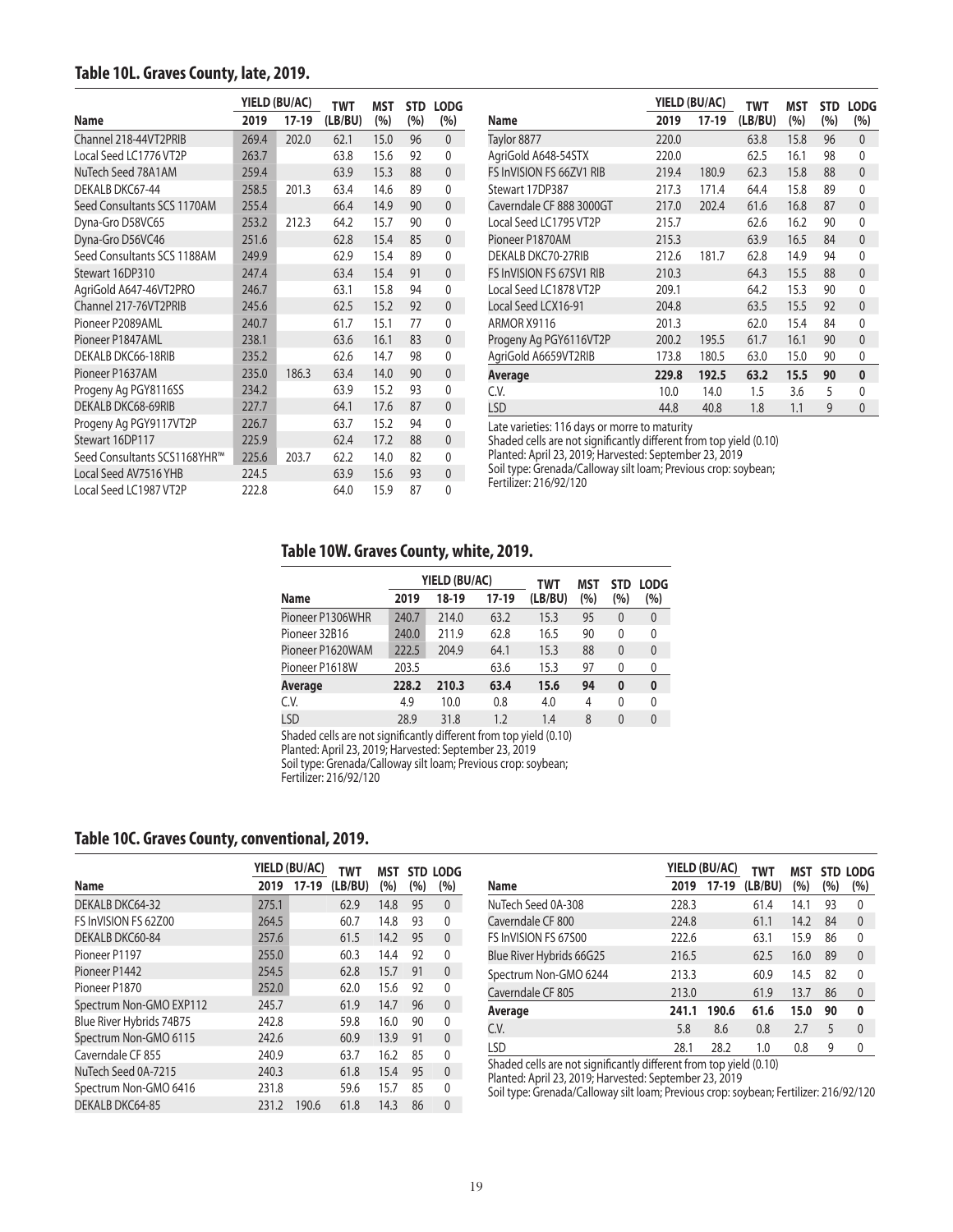#### **Table 10L. Graves County, late, 2019.**

|                              |       | YIELD (BU/AC) |         | <b>MST</b> | <b>STD</b> | <b>LODG</b>  |
|------------------------------|-------|---------------|---------|------------|------------|--------------|
| <b>Name</b>                  | 2019  | $17-19$       | (LB/BU) | (%)        | (%)        | (%)          |
| Channel 218-44VT2PRIB        | 269.4 | 202.0         | 62.1    | 15.0       | 96         | $\mathbf{0}$ |
| Local Seed LC1776 VT2P       | 263.7 |               | 63.8    | 15.6       | 92         | 0            |
| NuTech Seed 78A1AM           | 259.4 |               | 63.9    | 15.3       | 88         | $\mathbf{0}$ |
| DEKALB DKC67-44              | 258.5 | 201.3         | 63.4    | 14.6       | 89         | $\mathbf{0}$ |
| Seed Consultants SCS 1170AM  | 255.4 |               | 66.4    | 14.9       | 90         | $\mathbf{0}$ |
| Dyna-Gro D58VC65             | 253.2 | 212.3         | 64.2    | 15.7       | 90         | $\mathbf{0}$ |
| Dyna-Gro D56VC46             | 251.6 |               | 62.8    | 15.4       | 85         | $\mathbf{0}$ |
| Seed Consultants SCS 1188AM  | 249.9 |               | 62.9    | 15.4       | 89         | $\mathbf{0}$ |
| Stewart 16DP310              | 247.4 |               | 63.4    | 15.4       | 91         | $\mathbf{0}$ |
| AgriGold A647-46VT2PRO       | 246.7 |               | 63.1    | 15.8       | 94         | $\mathbf{0}$ |
| Channel 217-76VT2PRIB        | 245.6 |               | 62.5    | 15.2       | 92         | $\mathbf{0}$ |
| Pioneer P2089AML             | 240.7 |               | 61.7    | 15.1       | 77         | 0            |
| Pioneer P1847AML             | 238.1 |               | 63.6    | 16.1       | 83         | $\mathbf{0}$ |
| DEKALB DKC66-18RIB           | 235.2 |               | 62.6    | 14.7       | 98         | $\mathbf{0}$ |
| Pioneer P1637AM              | 235.0 | 186.3         | 63.4    | 14.0       | 90         | $\mathbf{0}$ |
| Progeny Ag PGY8116SS         | 234.2 |               | 63.9    | 15.2       | 93         | $\Omega$     |
| DEKALB DKC68-69RIB           | 227.7 |               | 64.1    | 17.6       | 87         | $\mathbf{0}$ |
| Progeny Ag PGY9117VT2P       | 226.7 |               | 63.7    | 15.2       | 94         | $\mathbf{0}$ |
| Stewart 16DP117              | 225.9 |               | 62.4    | 17.2       | 88         | $\mathbf{0}$ |
| Seed Consultants SCS1168YHR™ | 225.6 | 203.7         | 62.2    | 14.0       | 82         | 0            |
| Local Seed AV7516 YHB        | 224.5 |               | 63.9    | 15.6       | 93         | $\mathbf{0}$ |
| Local Seed LC1987 VT2P       | 222.8 |               | 64.0    | 15.9       | 87         | $\mathbf{0}$ |

|                                 |       | YIELD (BU/AC) | TWT     | MST  | <b>STD</b> | <b>LODG</b>  |
|---------------------------------|-------|---------------|---------|------|------------|--------------|
| Name                            | 2019  | 17-19         | (LB/BU) | (%)  | (%)        | (%)          |
| Taylor 8877                     | 220.0 |               | 63.8    | 15.8 | 96         | $\mathbf{0}$ |
| AgriGold A648-54STX             | 220.0 |               | 62.5    | 16.1 | 98         | 0            |
| FS InVISION FS 66ZV1 RIB        | 219.4 | 180.9         | 62.3    | 15.8 | 88         | $\mathbf{0}$ |
| Stewart 17DP387                 | 217.3 | 171.4         | 64.4    | 15.8 | 89         | 0            |
| Caverndale CF 888 3000GT        | 217.0 | 202.4         | 61.6    | 16.8 | 87         | $\mathbf{0}$ |
| Local Seed LC1795 VT2P          | 215.7 |               | 62.6    | 16.2 | 90         | $\mathbf{0}$ |
| Pioneer P1870AM                 | 215.3 |               | 63.9    | 16.5 | 84         | $\mathbf{0}$ |
| DEKALB DKC70-27RIB              | 212.6 | 181.7         | 62.8    | 14.9 | 94         | 0            |
| <b>FS InVISION FS 67SV1 RIB</b> | 210.3 |               | 64.3    | 15.5 | 88         | $\mathbf{0}$ |
| Local Seed LC1878 VT2P          | 209.1 |               | 64.2    | 15.3 | 90         | 0            |
| Local Seed LCX16-91             | 204.8 |               | 63.5    | 15.5 | 92         | $\mathbf{0}$ |
| ARMOR X9116                     | 201.3 |               | 62.0    | 15.4 | 84         | $\mathbf{0}$ |
| Progeny Ag PGY6116VT2P          | 200.2 | 195.5         | 61.7    | 16.1 | 90         | $\mathbf{0}$ |
| AgriGold A6659VT2RIB            | 173.8 | 180.5         | 63.0    | 15.0 | 90         | 0            |
| Average                         | 229.8 | 192.5         | 63.2    | 15.5 | 90         | 0            |
| C.V.                            | 10.0  | 14.0          | 1.5     | 3.6  | 5          | 0            |
| LSD                             | 44.8  | 40.8          | 1.8     | 1.1  | 9          | $\mathbf{0}$ |

Late varieties: 116 days or morre to maturity

Shaded cells are not significantly different from top yield (0.10) Planted: April 23, 2019; Harvested: September 23, 2019

Soil type: Grenada/Calloway silt loam; Previous crop: soybean;

Fertilizer: 216/92/120

#### **Table 10W. Graves County, white, 2019.**

|                  |       | YIELD (BU/AC) |       | TWT     | MST | <b>STD</b> | <b>LODG</b>  |
|------------------|-------|---------------|-------|---------|-----|------------|--------------|
| Name             | 2019  | 18-19         | 17-19 | (LB/BU) | (%) | (%)        | (%)          |
| Pioneer P1306WHR | 240.7 | 214.0         | 63.2  | 15.3    | 95  | $\theta$   | $\theta$     |
| Pioneer 32B16    | 240.0 | 211.9         | 62.8  | 16.5    | 90  | 0          | 0            |
| Pioneer P1620WAM | 222.5 | 204.9         | 64.1  | 15.3    | 88  | $\Omega$   | $\mathbf{0}$ |
| Pioneer P1618W   | 203.5 |               | 63.6  | 15.3    | 97  | 0          | 0            |
| Average          | 228.2 | 210.3         | 63.4  | 15.6    | 94  | $\bf{0}$   | $\bf{0}$     |
| C.V.             | 4.9   | 10.0          | 0.8   | 4.0     | 4   | 0          | 0            |
| LSD              | 28.9  | 31.8          | 1.2   | 1.4     | 8   | $\theta$   | $\theta$     |
|                  |       |               |       |         |     |            |              |

Shaded cells are not significantly different from top yield (0.10)

Planted: April 23, 2019; Harvested: September 23, 2019

Soil type: Grenada/Calloway silt loam; Previous crop: soybean;

Fertilizer: 216/92/120

#### **Table 10C. Graves County, conventional, 2019.**

|                          | YIELD (BU/AC) |         | TWT     | MST  |     | STD LODG     |
|--------------------------|---------------|---------|---------|------|-----|--------------|
| Name                     | 2019          | $17-19$ | (LB/BU) | (%)  | (%) | (%)          |
| DEKALB DKC64-32          | 275.1         |         | 62.9    | 14.8 | 95  | $\theta$     |
| FS InVISION FS 62Z00     | 264.5         |         | 60.7    | 14.8 | 93  | 0            |
| DEKALB DKC60-84          | 257.6         |         | 61.5    | 14.2 | 95  | $\mathbf{0}$ |
| Pioneer P1197            | 255.0         |         | 60.3    | 14.4 | 92  | 0            |
| Pioneer P1442            | 254.5         |         | 62.8    | 15.7 | 91  | 0            |
| Pioneer P1870            | 252.0         |         | 62.0    | 15.6 | 92  | 0            |
| Spectrum Non-GMO EXP112  | 245.7         |         | 61.9    | 14.7 | 96  | $\mathbf{0}$ |
| Blue River Hybrids 74B75 | 242.8         |         | 59.8    | 16.0 | 90  | 0            |
| Spectrum Non-GMO 6115    | 242.6         |         | 60.9    | 13.9 | 91  | $\Omega$     |
| Caverndale CF 855        | 240.9         |         | 63.7    | 16.2 | 85  | 0            |
| NuTech Seed 0A-7215      | 240.3         |         | 61.8    | 15.4 | 95  | $\Omega$     |
| Spectrum Non-GMO 6416    | 231.8         |         | 59.6    | 15.7 | 85  | 0            |
| DEKALB DKC64-85          | 231.2         | 190.6   | 61.8    | 14.3 | 86  | $\Omega$     |

|                                  |       | YIELD (BU/AC) | <b>TWT</b> | MST  | <b>STD</b> | <b>LODG</b>  |
|----------------------------------|-------|---------------|------------|------|------------|--------------|
| <b>Name</b>                      | 2019  | $17-19$       | (LB/BU)    | (%)  | (%)        | (%)          |
| NuTech Seed 0A-308               | 228.3 |               | 61.4       | 14.1 | 93         | 0            |
| Caverndale CF 800                | 224.8 |               | 61.1       | 14.2 | 84         | $\mathbf{0}$ |
| FS InVISION FS 67500             | 222.6 |               | 63.1       | 15.9 | 86         | 0            |
| Blue River Hybrids 66G25         | 216.5 |               | 62.5       | 16.0 | 89         | $\mathbf{0}$ |
| Spectrum Non-GMO 6244            | 213.3 |               | 60.9       | 14.5 | 82         | 0            |
| Caverndale CF 805                | 213.0 |               | 61.9       | 13.7 | 86         | $\mathbf{0}$ |
| Average                          | 241.1 | 190.6         | 61.6       | 15.0 | 90         | 0            |
| C.V.                             | 5.8   | 8.6           | 0.8        | 2.7  | 5          | $\mathbf{0}$ |
| LSD                              | 28.1  | 28.2          | 1.0        | 0.8  | 9          | 0            |
| <br>$\overline{\phantom{a}}$<br> |       |               | .          |      |            |              |

Shaded cells are not significantly different from top yield (0.10)

Planted: April 23, 2019; Harvested: September 23, 2019

Soil type: Grenada/Calloway silt loam; Previous crop: soybean; Fertilizer: 216/92/120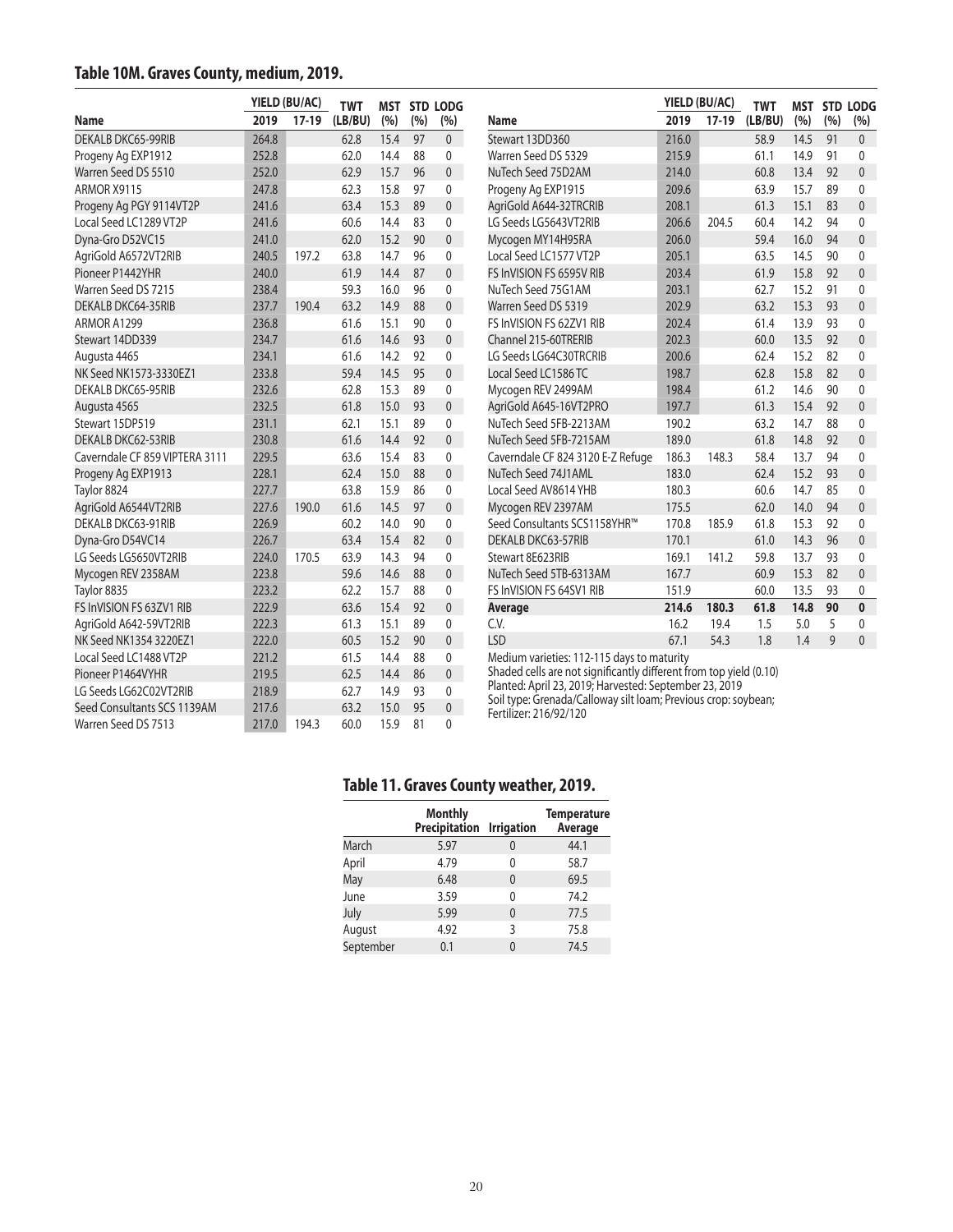#### **Table 10M. Graves County, medium, 2019.**

|                                |       | YIELD (BU/AC) | <b>TWT</b> |      | <b>MST STD LODG</b> |                |                                                                                          |       |         | YIELD (BU/AC) |      | <b>MST</b>   | <b>STD LOD</b> |  |
|--------------------------------|-------|---------------|------------|------|---------------------|----------------|------------------------------------------------------------------------------------------|-------|---------|---------------|------|--------------|----------------|--|
| Name                           | 2019  | $17-19$       | (LB/BU)    | (%)  | (%)                 | (%)            | Name                                                                                     | 2019  | $17-19$ | (LB/BU)       | (%)  | (%)          | (%)            |  |
| <b>DEKALB DKC65-99RIB</b>      | 264.8 |               | 62.8       | 15.4 | 97                  | $\overline{0}$ | Stewart 13DD360                                                                          | 216.0 |         | 58.9          | 14.5 | 91           | $\mathbf{0}$   |  |
| Progeny Ag EXP1912             | 252.8 |               | 62.0       | 14.4 | 88                  | 0              | Warren Seed DS 5329                                                                      | 215.9 |         | 61.1          | 14.9 | 91           | $\mathbf{0}$   |  |
| Warren Seed DS 5510            | 252.0 |               | 62.9       | 15.7 | 96                  | $\Omega$       | NuTech Seed 75D2AM                                                                       | 214.0 |         | 60.8          | 13.4 | 92           | $\overline{0}$ |  |
| ARMOR X9115                    | 247.8 |               | 62.3       | 15.8 | 97                  | 0              | Progeny Ag EXP1915                                                                       | 209.6 |         | 63.9          | 15.7 | 89           | $\mathbf{0}$   |  |
| Progeny Ag PGY 9114VT2P        | 241.6 |               | 63.4       | 15.3 | 89                  | $\overline{0}$ | AgriGold A644-32TRCRIB                                                                   | 208.1 |         | 61.3          | 15.1 | 83           | $\overline{0}$ |  |
| Local Seed LC1289 VT2P         | 241.6 |               | 60.6       | 14.4 | 83                  | 0              | LG Seeds LG5643VT2RIB                                                                    | 206.6 | 204.5   | 60.4          | 14.2 | 94           | 0              |  |
| Dyna-Gro D52VC15               | 241.0 |               | 62.0       | 15.2 | 90                  | $\overline{0}$ | Mycogen MY14H95RA                                                                        | 206.0 |         | 59.4          | 16.0 | 94           | $\mathbf{0}$   |  |
| AgriGold A6572VT2RIB           | 240.5 | 197.2         | 63.8       | 14.7 | 96                  | 0              | Local Seed LC1577 VT2P                                                                   | 205.1 |         | 63.5          | 14.5 | 90           | $\mathbf 0$    |  |
| Pioneer P1442YHR               | 240.0 |               | 61.9       | 14.4 | 87                  | $\overline{0}$ | FS InVISION FS 6595V RIB                                                                 | 203.4 |         | 61.9          | 15.8 | 92           | $\mathbf{0}$   |  |
| Warren Seed DS 7215            | 238.4 |               | 59.3       | 16.0 | 96                  | 0              | NuTech Seed 75G1AM                                                                       | 203.1 |         | 62.7          | 15.2 | 91           | $\mathbf{0}$   |  |
| DEKALB DKC64-35RIB             | 237.7 | 190.4         | 63.2       | 14.9 | 88                  | $\overline{0}$ | Warren Seed DS 5319                                                                      | 202.9 |         | 63.2          | 15.3 | 93           | $\mathbf{0}$   |  |
| ARMOR A1299                    | 236.8 |               | 61.6       | 15.1 | 90                  | 0              | FS InVISION FS 62ZV1 RIB                                                                 | 202.4 |         | 61.4          | 13.9 | 93           | $\mathbf{0}$   |  |
| Stewart 14DD339                | 234.7 |               | 61.6       | 14.6 | 93                  | $\overline{0}$ | Channel 215-60TRERIB                                                                     | 202.3 |         | 60.0          | 13.5 | 92           | $\mathbf{0}$   |  |
| Augusta 4465                   | 234.1 |               | 61.6       | 14.2 | 92                  | 0              | LG Seeds LG64C30TRCRIB                                                                   | 200.6 |         | 62.4          | 15.2 | 82           | $\mathbf{0}$   |  |
| NK Seed NK1573-3330EZ1         | 233.8 |               | 59.4       | 14.5 | 95                  | $\overline{0}$ | Local Seed LC1586 TC                                                                     | 198.7 |         | 62.8          | 15.8 | 82           | $\mathbf{0}$   |  |
| DEKALB DKC65-95RIB             | 232.6 |               | 62.8       | 15.3 | 89                  | 0              | Mycogen REV 2499AM                                                                       | 198.4 |         | 61.2          | 14.6 | 90           | $\mathbf{0}$   |  |
| Augusta 4565                   | 232.5 |               | 61.8       | 15.0 | 93                  | $\overline{0}$ | AgriGold A645-16VT2PRO                                                                   | 197.7 |         | 61.3          | 15.4 | 92           | $\mathbf{0}$   |  |
| Stewart 15DP519                | 231.1 |               | 62.1       | 15.1 | 89                  | 0              | NuTech Seed 5FB-2213AM                                                                   | 190.2 |         | 63.2          | 14.7 | 88           | 0              |  |
| DEKALB DKC62-53RIB             | 230.8 |               | 61.6       | 14.4 | 92                  | $\overline{0}$ | NuTech Seed 5FB-7215AM                                                                   | 189.0 |         | 61.8          | 14.8 | 92           | $\overline{0}$ |  |
| Caverndale CF 859 VIPTERA 3111 | 229.5 |               | 63.6       | 15.4 | 83                  | 0              | Caverndale CF 824 3120 E-Z Refuge                                                        | 186.3 | 148.3   | 58.4          | 13.7 | 94           | 0              |  |
| Progeny Ag EXP1913             | 228.1 |               | 62.4       | 15.0 | 88                  | $\overline{0}$ | NuTech Seed 74J1AML                                                                      | 183.0 |         | 62.4          | 15.2 | 93           | $\mathbf{0}$   |  |
| Taylor 8824                    | 227.7 |               | 63.8       | 15.9 | 86                  | 0              | Local Seed AV8614 YHB                                                                    | 180.3 |         | 60.6          | 14.7 | 85           | $\mathbf{0}$   |  |
| AgriGold A6544VT2RIB           | 227.6 | 190.0         | 61.6       | 14.5 | 97                  | $\overline{0}$ | Mycogen REV 2397AM                                                                       | 175.5 |         | 62.0          | 14.0 | 94           | $\mathbf{0}$   |  |
| DEKALB DKC63-91RIB             | 226.9 |               | 60.2       | 14.0 | 90                  | $\mathbf{0}$   | Seed Consultants SCS1158YHR™                                                             | 170.8 | 185.9   | 61.8          | 15.3 | 92           | $\mathbf{0}$   |  |
| Dyna-Gro D54VC14               | 226.7 |               | 63.4       | 15.4 | 82                  | $\overline{0}$ | DEKALB DKC63-57RIB                                                                       | 170.1 |         | 61.0          | 14.3 | 96           | $\mathbf{0}$   |  |
| LG Seeds LG5650VT2RIB          | 224.0 | 170.5         | 63.9       | 14.3 | 94                  | 0              | Stewart 8E623RIB                                                                         | 169.1 | 141.2   | 59.8          | 13.7 | 93           | $\mathbf{0}$   |  |
| Mycogen REV 2358AM             | 223.8 |               | 59.6       | 14.6 | 88                  | $\overline{0}$ | NuTech Seed 5TB-6313AM                                                                   | 167.7 |         | 60.9          | 15.3 | 82           | $\overline{0}$ |  |
| Taylor 8835                    | 223.2 |               | 62.2       | 15.7 | 88                  | 0              | FS InVISION FS 64SV1 RIB                                                                 | 151.9 |         | 60.0          | 13.5 | 93           | 0              |  |
| FS InVISION FS 63ZV1 RIB       | 222.9 |               | 63.6       | 15.4 | 92                  | $\overline{0}$ | <b>Average</b>                                                                           | 214.6 | 180.3   | 61.8          | 14.8 | 90           | $\mathbf{0}$   |  |
| AgriGold A642-59VT2RIB         | 222.3 |               | 61.3       | 15.1 | 89                  | 0              | C.V.                                                                                     | 16.2  | 19.4    | 1.5           | 5.0  | 5            | $\mathbf{0}$   |  |
| NK Seed NK1354 3220EZ1         | 222.0 |               | 60.5       | 15.2 | 90                  | $\overline{0}$ | <b>LSD</b>                                                                               | 67.1  | 54.3    | 1.8           | 1.4  | $\mathsf{q}$ | $\overline{0}$ |  |
| Local Seed LC1488 VT2P         | 221.2 |               | 61.5       | 14.4 | 88                  | 0              | Medium varieties: 112-115 days to maturity                                               |       |         |               |      |              |                |  |
| Pioneer P1464VYHR              | 219.5 |               | 62.5       | 14.4 | 86                  | $\overline{0}$ | Shaded cells are not significantly different from top yield (0.10)                       |       |         |               |      |              |                |  |
| LG Seeds LG62C02VT2RIB         | 218.9 |               | 62.7       | 14.9 | 93                  | $\mathbf{0}$   | Planted: April 23, 2019; Harvested: September 23, 2019                                   |       |         |               |      |              |                |  |
| Seed Consultants SCS 1139AM    | 217.6 |               | 63.2       | 15.0 | 95                  | $\mathbf{0}$   | Soil type: Grenada/Calloway silt loam; Previous crop: soybean;<br>Fertilizer: 216/92/120 |       |         |               |      |              |                |  |
| Warren Seed DS 7513            | 217.0 | 194.3         | 60.0       | 15.9 | 81                  | $\Omega$       |                                                                                          |       |         |               |      |              |                |  |

## **Table 11. Graves County weather, 2019.**

**MST STD LODG (%)**

|           | <b>Monthly</b><br>Precipitation Irrigation |          | <b>Temperature</b><br>Average |
|-----------|--------------------------------------------|----------|-------------------------------|
| March     | 5.97                                       | 0        | 44.1                          |
| April     | 4.79                                       | 0        | 58.7                          |
| May       | 6.48                                       | $\Omega$ | 69.5                          |
| June      | 3.59                                       | U        | 74.2                          |
| July      | 5.99                                       | $\Omega$ | 77.5                          |
| August    | 4.92                                       | 3        | 75.8                          |
| September | 0.1                                        | U        | 74.5                          |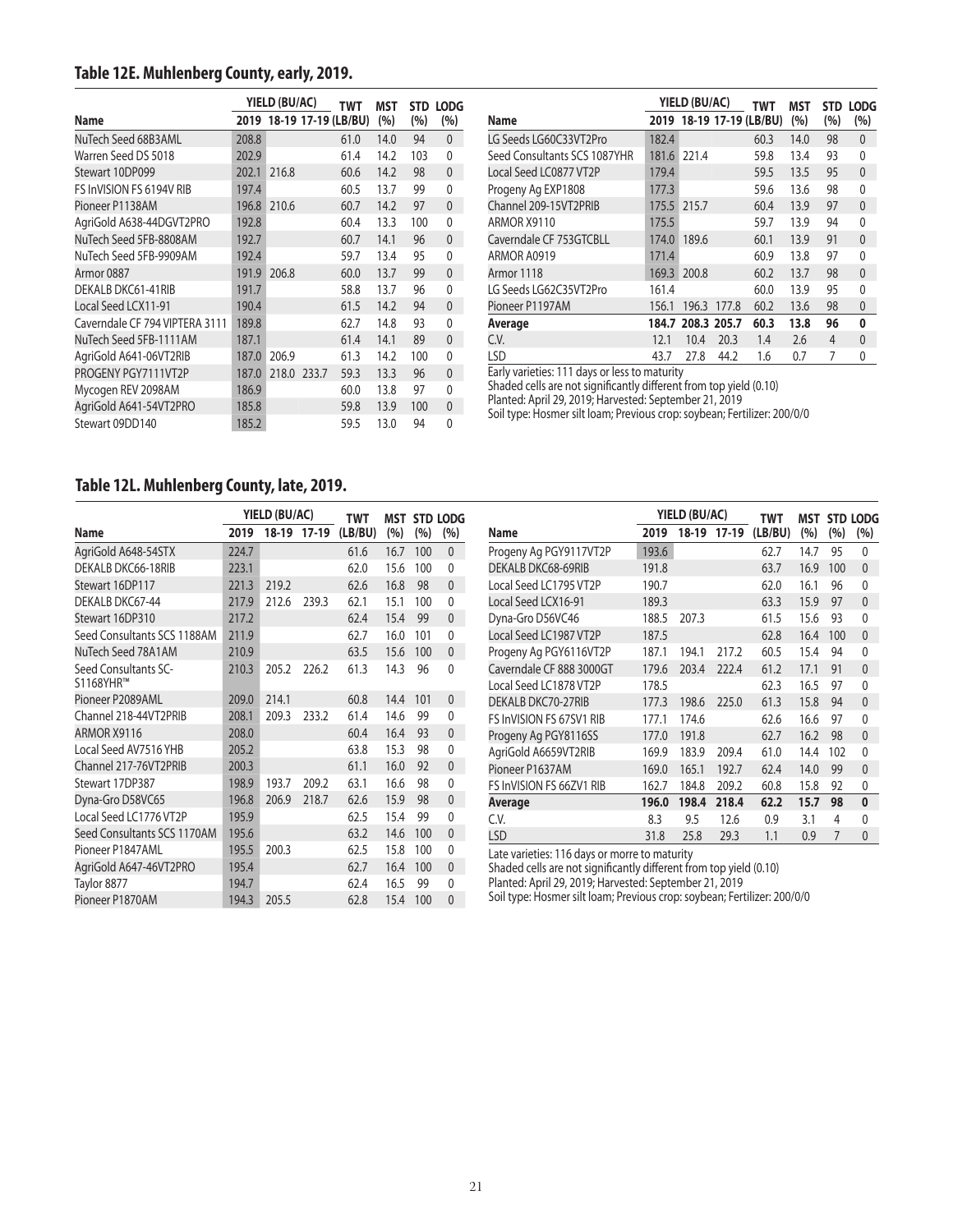## **Table 12E. Muhlenberg County, early, 2019.**

|                                |       | YIELD (BU/AC) |                          | TWT  | MST  | <b>STD</b> | <b>LODG</b>    |
|--------------------------------|-------|---------------|--------------------------|------|------|------------|----------------|
| Name                           |       |               | 2019 18-19 17-19 (LB/BU) |      | (%)  | (%)        | (%)            |
| NuTech Seed 68B3AML            | 208.8 |               |                          | 61.0 | 14.0 | 94         | $\mathbf{0}$   |
| Warren Seed DS 5018            | 202.9 |               |                          | 61.4 | 14.2 | 103        | 0              |
| Stewart 10DP099                | 202.1 | 216.8         |                          | 60.6 | 14.2 | 98         | $\overline{0}$ |
| FS InVISION FS 6194V RIB       | 197.4 |               |                          | 60.5 | 13.7 | 99         | $\Omega$       |
| Pioneer P1138AM                | 196.8 | 210.6         |                          | 60.7 | 14.2 | 97         | $\overline{0}$ |
| AgriGold A638-44DGVT2PRO       | 192.8 |               |                          | 60.4 | 13.3 | 100        | 0              |
| NuTech Seed 5FB-8808AM         | 192.7 |               |                          | 60.7 | 14.1 | 96         | $\overline{0}$ |
| NuTech Seed 5FB-9909AM         | 192.4 |               |                          | 59.7 | 13.4 | 95         | 0              |
| Armor 0887                     | 191.9 | 206.8         |                          | 60.0 | 13.7 | 99         | 0              |
| DEKALB DKC61-41RIB             | 191.7 |               |                          | 58.8 | 13.7 | 96         | $\Omega$       |
| Local Seed LCX11-91            | 190.4 |               |                          | 61.5 | 14.2 | 94         | $\mathbf{0}$   |
| Caverndale CF 794 VIPTERA 3111 | 189.8 |               |                          | 62.7 | 14.8 | 93         | 0              |
| NuTech Seed 5FB-1111AM         | 187.1 |               |                          | 61.4 | 14.1 | 89         | $\overline{0}$ |
| AgriGold A641-06VT2RIB         | 187.0 | 206.9         |                          | 61.3 | 14.2 | 100        | 0              |
| PROGENY PGY7111VT2P            | 187.0 |               | 218.0 233.7              | 59.3 | 13.3 | 96         | 0              |
| Mycogen REV 2098AM             | 186.9 |               |                          | 60.0 | 13.8 | 97         | 0              |
| AgriGold A641-54VT2PRO         | 185.8 |               |                          | 59.8 | 13.9 | 100        | $\mathbf{0}$   |
| Stewart 09DD140                | 185.2 |               |                          | 59.5 | 13.0 | 94         | 0              |

|                              |       | YIELD (BU/AC)     |       | TWT                 | MST  | <b>STD</b> | <b>LODG</b>  |
|------------------------------|-------|-------------------|-------|---------------------|------|------------|--------------|
| Name                         | 2019  |                   |       | 18-19 17-19 (LB/BU) | (%)  | (%)        | (%)          |
| LG Seeds LG60C33VT2Pro       | 182.4 |                   |       | 60.3                | 14.0 | 98         | $\mathbf{0}$ |
| Seed Consultants SCS 1087YHR | 181.6 | 221.4             |       | 59.8                | 13.4 | 93         | 0            |
| Local Seed LC0877 VT2P       | 179.4 |                   |       | 59.5                | 13.5 | 95         | $\mathbf{0}$ |
| Progeny Ag EXP1808           | 177.3 |                   |       | 59.6                | 13.6 | 98         | 0            |
| Channel 209-15VT2PRIB        | 175.5 | 215.7             |       | 60.4                | 13.9 | 97         | $\mathbf{0}$ |
| ARMOR X9110                  | 175.5 |                   |       | 59.7                | 13.9 | 94         | $\Omega$     |
| Caverndale CF 753GTCBLL      | 174.0 | 189.6             |       | 60.1                | 13.9 | 91         | $\mathbf{0}$ |
| ARMOR A0919                  | 171.4 |                   |       | 60.9                | 13.8 | 97         | 0            |
| Armor 1118                   | 169.3 | 200.8             |       | 60.2                | 13.7 | 98         | $\mathbf{0}$ |
| LG Seeds LG62C35VT2Pro       | 161.4 |                   |       | 60.0                | 13.9 | 95         | $\Omega$     |
| Pioneer P1197AM              | 156.1 | 196.3             | 177.8 | 60.2                | 13.6 | 98         | $\mathbf 0$  |
| Average                      |       | 184.7 208.3 205.7 |       | 60.3                | 13.8 | 96         | 0            |
| C.V.                         | 12.1  | 10.4              | 20.3  | 1.4                 | 2.6  | 4          | $\Omega$     |
| <b>LSD</b>                   | 43.7  | 27.8              | 44.2  | 1.6                 | 0.7  | 7          | 0            |

Early varieties: 111 days or less to maturity

Shaded cells are not significantly different from top yield (0.10)

Planted: April 29, 2019; Harvested: September 21, 2019

Soil type: Hosmer silt loam; Previous crop: soybean; Fertilizer: 200/0/0

#### **Table 12L. Muhlenberg County, late, 2019.**

|                                   | YIELD (BU/AC) |       |         | <b>TWT</b> |      |     | <b>MST STD LODG</b> |
|-----------------------------------|---------------|-------|---------|------------|------|-----|---------------------|
| Name                              | 2019          | 18-19 | $17-19$ | (LB/BU)    | (%)  | (%) | (%)                 |
| AgriGold A648-54STX               | 224.7         |       |         | 61.6       | 16.7 | 100 | $\mathbf{0}$        |
| DEKALB DKC66-18RIB                | 223.1         |       |         | 62.0       | 15.6 | 100 | $\mathbf{0}$        |
| Stewart 16DP117                   | 221.3         | 219.2 |         | 62.6       | 16.8 | 98  | $\mathbf{0}$        |
| DEKALB DKC67-44                   | 217.9         | 212.6 | 239.3   | 62.1       | 15.1 | 100 | 0                   |
| Stewart 16DP310                   | 217.2         |       |         | 62.4       | 15.4 | 99  | $\mathbf{0}$        |
| Seed Consultants SCS 1188AM       | 211.9         |       |         | 62.7       | 16.0 | 101 | 0                   |
| NuTech Seed 78A1AM                | 210.9         |       |         | 63.5       | 15.6 | 100 | $\mathbf{0}$        |
| Seed Consultants SC-<br>S1168YHR™ | 210.3         | 205.2 | 226.2   | 61.3       | 14.3 | 96  | $\Omega$            |
| Pioneer P2089AML                  | 209.0         | 214.1 |         | 60.8       | 14.4 | 101 | $\mathbf{0}$        |
| Channel 218-44VT2PRIB             | 208.1         | 209.3 | 233.2   | 61.4       | 14.6 | 99  | $\Omega$            |
| ARMOR X9116                       | 208.0         |       |         | 60.4       | 16.4 | 93  | $\mathbf{0}$        |
| Local Seed AV7516 YHB             | 205.2         |       |         | 63.8       | 15.3 | 98  | $\Omega$            |
| Channel 217-76VT2PRIB             | 200.3         |       |         | 61.1       | 16.0 | 92  | $\mathbf{0}$        |
| Stewart 17DP387                   | 198.9         | 193.7 | 209.2   | 63.1       | 16.6 | 98  | $\mathbf{0}$        |
| Dyna-Gro D58VC65                  | 196.8         | 206.9 | 218.7   | 62.6       | 15.9 | 98  | $\mathbf{0}$        |
| Local Seed LC1776 VT2P            | 195.9         |       |         | 62.5       | 15.4 | 99  | $\mathbf{0}$        |
| Seed Consultants SCS 1170AM       | 195.6         |       |         | 63.2       | 14.6 | 100 | $\mathbf{0}$        |
| Pioneer P1847AML                  | 195.5         | 200.3 |         | 62.5       | 15.8 | 100 | $\mathbf{0}$        |
| AgriGold A647-46VT2PRO            | 195.4         |       |         | 62.7       | 16.4 | 100 | $\mathbf{0}$        |
| Taylor 8877                       | 194.7         |       |         | 62.4       | 16.5 | 99  | 0                   |
| Pioneer P1870AM                   | 194.3         | 205.5 |         | 62.8       | 15.4 | 100 | $\overline{0}$      |

|       |       |         | TWT           | MST  |     | STD LODG     |
|-------|-------|---------|---------------|------|-----|--------------|
| 2019  | 18-19 | $17-19$ | (LB/BU)       | (%)  | (%) | (%)          |
| 193.6 |       |         | 62.7          | 14.7 | 95  | 0            |
| 191.8 |       |         | 63.7          | 16.9 | 100 | $\mathbf{0}$ |
| 190.7 |       |         | 62.0          | 16.1 | 96  | 0            |
| 189.3 |       |         | 63.3          | 15.9 | 97  | $\mathbf{0}$ |
| 188.5 | 207.3 |         | 61.5          | 15.6 | 93  | 0            |
| 187.5 |       |         | 62.8          | 16.4 | 100 | 0            |
| 187.1 | 194.1 | 217.2   | 60.5          | 15.4 | 94  | 0            |
| 179.6 | 203.4 | 222.4   | 61.2          | 17.1 | 91  | 0            |
| 178.5 |       |         | 62.3          | 16.5 | 97  | 0            |
| 177.3 | 198.6 | 225.0   | 61.3          | 15.8 | 94  | $\mathbf{0}$ |
| 177.1 | 174.6 |         | 62.6          | 16.6 | 97  | 0            |
| 177.0 | 191.8 |         | 62.7          | 16.2 | 98  | $\mathbf{0}$ |
| 169.9 | 183.9 | 209.4   | 61.0          | 14.4 | 102 | 0            |
| 169.0 | 165.1 | 192.7   | 62.4          | 14.0 | 99  | $\mathbf{0}$ |
| 162.7 | 184.8 | 209.2   | 60.8          | 15.8 | 92  | 0            |
| 196.0 | 198.4 | 218.4   | 62.2          | 15.7 | 98  | 0            |
| 8.3   | 9.5   | 12.6    | 0.9           | 3.1  | 4   | 0            |
| 31.8  | 25.8  | 29.3    | 1.1           | 0.9  | 7   | 0            |
|       |       |         | YIELD (BU/AC) |      |     |              |

Late varieties: 116 days or morre to maturity

Shaded cells are not significantly different from top yield (0.10)

Planted: April 29, 2019; Harvested: September 21, 2019

Soil type: Hosmer silt loam; Previous crop: soybean; Fertilizer: 200/0/0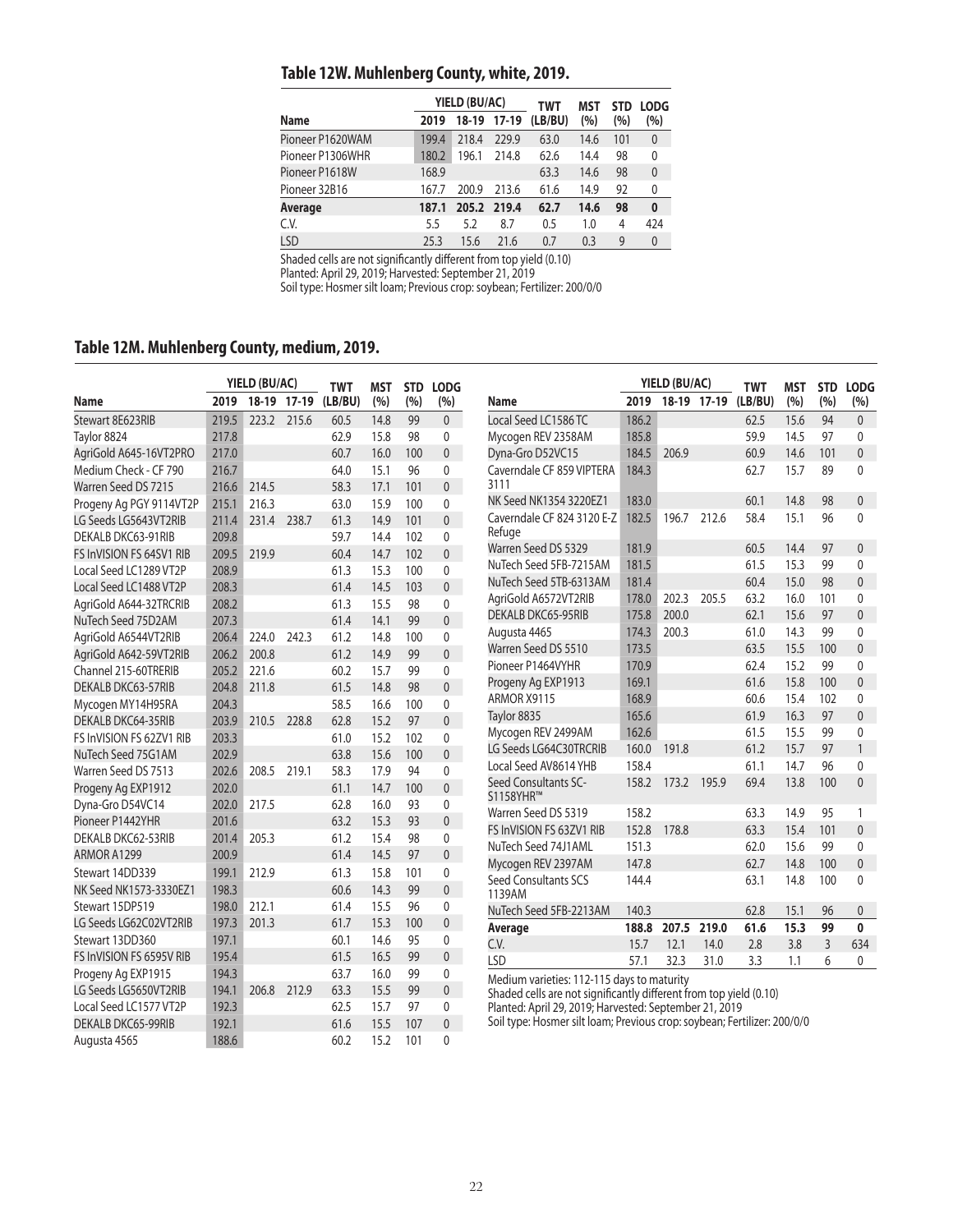## **Table 12W. Muhlenberg County, white, 2019.**

|                  |       | YIELD (BU/AC) |         | TWT     | <b>MST</b> | <b>STD</b> | <b>LODG</b>  |
|------------------|-------|---------------|---------|---------|------------|------------|--------------|
| <b>Name</b>      | 2019  | 18-19         | $17-19$ | (LB/BU) | (%)        | (%)        | (%)          |
| Pioneer P1620WAM | 199.4 | 218.4         | 229.9   | 63.0    | 14.6       | 101        | $\mathbf{0}$ |
| Pioneer P1306WHR | 180.2 | 196.1         | 214.8   | 62.6    | 14.4       | 98         | $\mathbf{0}$ |
| Pioneer P1618W   | 168.9 |               |         | 63.3    | 14.6       | 98         | $\mathbf{0}$ |
| Pioneer 32B16    | 167.7 | 200.9         | 213.6   | 61.6    | 14.9       | 92         | 0            |
| Average          | 187.1 | 205.2         | 219.4   | 62.7    | 14.6       | 98         | 0            |
| C.V.             | 5.5   | 5.2           | 8.7     | 0.5     | 1.0        | 4          | 424          |
| LSD              | 25.3  | 15.6          | 21.6    | 0.7     | 0.3        | 9          | $\mathbf{0}$ |

Shaded cells are not significantly different from top yield (0.10)

Planted: April 29, 2019; Harvested: September 21, 2019

Soil type: Hosmer silt loam; Previous crop: soybean; Fertilizer: 200/0/0

## **Table 12M. Muhlenberg County, medium, 2019.**

|                                 |       | YIELD (BU/AC) |             | <b>TWT</b> | MST  | <b>STD</b> | <b>LODG</b>  |                                                                                                                  | YIELD (BU/AC) |             |       | <b>TWT</b> | <b>MST</b>   | <b>STD</b>     | <b>LODG</b>              |
|---------------------------------|-------|---------------|-------------|------------|------|------------|--------------|------------------------------------------------------------------------------------------------------------------|---------------|-------------|-------|------------|--------------|----------------|--------------------------|
| Name                            | 2019  |               | 18-19 17-19 | (LB/BU)    | (%)  | (%)        | (%)          | <b>Name</b>                                                                                                      | 2019          | 18-19 17-19 |       | (LB/BU)    | (%)          | (%)            | (%)                      |
| Stewart 8E623RIB                | 219.5 |               | 223.2 215.6 | 60.5       | 14.8 | 99         | $\mathbf{0}$ | Local Seed LC1586 TC                                                                                             | 186.2         |             |       | 62.5       | 15.6         | 94             | $\mathbf{0}$             |
| Taylor 8824                     | 217.8 |               |             | 62.9       | 15.8 | 98         | 0            | Mycogen REV 2358AM                                                                                               | 185.8         |             |       | 59.9       | 14.5         | 97             | $\mathbf{0}$             |
| AgriGold A645-16VT2PRO          | 217.0 |               |             | 60.7       | 16.0 | 100        | $\Omega$     | Dyna-Gro D52VC15                                                                                                 | 184.5         | 206.9       |       | 60.9       | 14.6         | 101            | $\mathbf{0}$             |
| Medium Check - CF 790           | 216.7 |               |             | 64.0       | 15.1 | 96         | $\mathbf{0}$ | Caverndale CF 859 VIPTERA                                                                                        | 184.3         |             |       | 62.7       | 15.7         | 89             | $\mathbf{0}$             |
| Warren Seed DS 7215             | 216.6 | 214.5         |             | 58.3       | 17.1 | 101        | $\mathbf{0}$ | 3111                                                                                                             |               |             |       |            |              |                |                          |
| Progeny Ag PGY 9114VT2P         | 215.1 | 216.3         |             | 63.0       | 15.9 | 100        | $\mathbf{0}$ | NK Seed NK1354 3220EZ1                                                                                           | 183.0         |             |       | 60.1       | 14.8         | 98             | $\mathbf{0}$             |
| LG Seeds LG5643VT2RIB           | 211.4 | 231.4         | 238.7       | 61.3       | 14.9 | 101        | $\Omega$     | Caverndale CF 824 3120 E-Z                                                                                       | 182.5         | 196.7       | 212.6 | 58.4       | 15.1         | 96             | $\Omega$                 |
| DEKALB DKC63-91RIB              | 209.8 |               |             | 59.7       | 14.4 | 102        | $\mathbf{0}$ | Refuge                                                                                                           |               |             |       |            |              |                |                          |
| <b>FS InVISION FS 64SV1 RIB</b> | 209.5 | 219.9         |             | 60.4       | 14.7 | 102        | $\mathbf{0}$ | Warren Seed DS 5329                                                                                              | 181.9         |             |       | 60.5       | 14.4         | 97             | $\mathbf{0}$             |
| Local Seed LC1289 VT2P          | 208.9 |               |             | 61.3       | 15.3 | 100        | $\mathbf{0}$ | NuTech Seed 5FB-7215AM                                                                                           | 181.5         |             |       | 61.5       | 15.3         | 99             | $\mathbf{0}$             |
| Local Seed LC1488 VT2P          | 208.3 |               |             | 61.4       | 14.5 | 103        | $\mathbf{0}$ | NuTech Seed 5TB-6313AM                                                                                           | 181.4         |             |       | 60.4       | 15.0         | 98             | $\Omega$                 |
| AgriGold A644-32TRCRIB          | 208.2 |               |             | 61.3       | 15.5 | 98         | $\mathbf{0}$ | AgriGold A6572VT2RIB                                                                                             | 178.0         | 202.3       | 205.5 | 63.2       | 16.0         | 101            | $\mathbf{0}$             |
| NuTech Seed 75D2AM              | 207.3 |               |             | 61.4       | 14.1 | 99         | $\mathbf{0}$ | <b>DEKALB DKC65-95RIB</b>                                                                                        | 175.8         | 200.0       |       | 62.1       | 15.6         | 97             | $\Omega$                 |
| AgriGold A6544VT2RIB            | 206.4 | 224.0         | 242.3       | 61.2       | 14.8 | 100        | $\mathbf{0}$ | Augusta 4465                                                                                                     | 174.3         | 200.3       |       | 61.0       | 14.3         | 99             | $\mathbf{0}$             |
| AgriGold A642-59VT2RIB          | 206.2 | 200.8         |             | 61.2       | 14.9 | 99         | $\mathbf{0}$ | Warren Seed DS 5510                                                                                              | 173.5         |             |       | 63.5       | 15.5         | 100            | $\mathbf{0}$             |
| Channel 215-60TRERIB            | 205.2 | 221.6         |             | 60.2       | 15.7 | 99         | $\mathbf{0}$ | Pioneer P1464VYHR                                                                                                | 170.9         |             |       | 62.4       | 15.2         | 99             | $\mathbf{0}$             |
| DEKALB DKC63-57RIB              | 204.8 | 211.8         |             | 61.5       | 14.8 | 98         | $\mathbf{0}$ | Progeny Ag EXP1913                                                                                               | 169.1         |             |       | 61.6       | 15.8         | 100            | $\mathbf{0}$             |
| Mycogen MY14H95RA               | 204.3 |               |             | 58.5       | 16.6 | 100        | $\mathbf{0}$ | ARMOR X9115                                                                                                      | 168.9         |             |       | 60.6       | 15.4         | 102            | $\mathbf{0}$             |
| DEKALB DKC64-35RIB              | 203.9 | 210.5         | 228.8       | 62.8       | 15.2 | 97         | $\mathbf{0}$ | Taylor 8835                                                                                                      | 165.6         |             |       | 61.9       | 16.3         | 97             | $\mathbf{0}$             |
| FS InVISION FS 62ZV1 RIB        | 203.3 |               |             | 61.0       | 15.2 | 102        | $\Omega$     | Mycogen REV 2499AM                                                                                               | 162.6         |             |       | 61.5       | 15.5         | 99             | $\mathbf{0}$             |
| NuTech Seed 75G1AM              | 202.9 |               |             | 63.8       | 15.6 | 100        | $\mathbf{0}$ | LG Seeds LG64C30TRCRIB                                                                                           | 160.0         | 191.8       |       | 61.2       | 15.7         | 97             | $\mathbf{1}$             |
| Warren Seed DS 7513             | 202.6 | 208.5         | 219.1       | 58.3       | 17.9 | 94         | $\Omega$     | Local Seed AV8614 YHB                                                                                            | 158.4         |             |       | 61.1       | 14.7         | 96             | 0                        |
| Progeny Ag EXP1912              | 202.0 |               |             | 61.1       | 14.7 | 100        | $\mathbf{0}$ | Seed Consultants SC-                                                                                             | 158.2         | 173.2       | 195.9 | 69.4       | 13.8         | 100            | $\mathbf{0}$             |
| Dyna-Gro D54VC14                | 202.0 | 217.5         |             | 62.8       | 16.0 | 93         | $\mathbf{0}$ | S1158YHR™                                                                                                        |               |             |       |            |              |                |                          |
| Pioneer P1442YHR                | 201.6 |               |             | 63.2       | 15.3 | 93         | $\mathbf{0}$ | Warren Seed DS 5319                                                                                              | 158.2         |             |       | 63.3       | 14.9         | 95             | $\mathbf{1}$             |
| DEKALB DKC62-53RIB              | 201.4 | 205.3         |             | 61.2       | 15.4 | 98         | $\mathbf{0}$ | FS InVISION FS 63ZV1 RIB                                                                                         | 152.8         | 178.8       |       | 63.3       | 15.4         | 101            | $\Omega$                 |
| ARMOR A1299                     | 200.9 |               |             | 61.4       | 14.5 | 97         | $\mathbf{0}$ | NuTech Seed 74J1AML                                                                                              | 151.3         |             |       | 62.0       | 15.6         | 99             | $\mathbf{0}$             |
| Stewart 14DD339                 | 199.1 | 212.9         |             | 61.3       | 15.8 | 101        | $\mathbf{0}$ | Mycogen REV 2397AM                                                                                               | 147.8         |             |       | 62.7       | 14.8         | 100            | $\mathbf{0}$             |
| NK Seed NK1573-3330EZ1          | 198.3 |               |             | 60.6       | 14.3 | 99         | $\mathbf{0}$ | Seed Consultants SCS<br>1139AM                                                                                   | 144.4         |             |       | 63.1       | 14.8         | 100            | $\mathbf{0}$             |
| Stewart 15DP519                 | 198.0 | 212.1         |             | 61.4       | 15.5 | 96         | 0            | NuTech Seed 5FB-2213AM                                                                                           | 140.3         |             |       | 62.8       |              |                |                          |
| LG Seeds LG62C02VT2RIB          | 197.3 | 201.3         |             | 61.7       | 15.3 | 100        | $\mathbf{0}$ |                                                                                                                  | 188.8         | 207.5       | 219.0 | 61.6       | 15.1<br>15.3 | 96<br>99       | $\theta$<br>$\mathbf{0}$ |
| Stewart 13DD360                 | 197.1 |               |             | 60.1       | 14.6 | 95         | 0            | Average<br>C.V.                                                                                                  | 15.7          | 12.1        | 14.0  | 2.8        | 3.8          | $\overline{3}$ | 634                      |
| FS InVISION FS 6595V RIB        | 195.4 |               |             | 61.5       | 16.5 | 99         | $\mathbf{0}$ | <b>LSD</b>                                                                                                       | 57.1          | 32.3        | 31.0  | 3.3        | 1.1          | 6              | 0                        |
| Progeny Ag EXP1915              | 194.3 |               |             | 63.7       | 16.0 | 99         | $\mathbf{0}$ |                                                                                                                  |               |             |       |            |              |                |                          |
| LG Seeds LG5650VT2RIB           | 194.1 | 206.8         | 212.9       | 63.3       | 15.5 | 99         | $\mathbf{0}$ | Medium varieties: 112-115 days to maturity<br>Shaded cells are not significantly different from top yield (0.10) |               |             |       |            |              |                |                          |
| Local Seed LC1577 VT2P          | 192.3 |               |             | 62.5       | 15.7 | 97         | 0            | Planted: April 29, 2019; Harvested: September 21, 2019                                                           |               |             |       |            |              |                |                          |
| <b>DEKALB DKC65-99RIB</b>       | 192.1 |               |             | 61.6       | 15.5 | 107        | $\Omega$     | Soil type: Hosmer silt loam; Previous crop: soybean; Fertilizer: 200/0/0                                         |               |             |       |            |              |                |                          |
| Augusta 4565                    | 188.6 |               |             | 60.2       | 15.2 | 101        | $\Omega$     |                                                                                                                  |               |             |       |            |              |                |                          |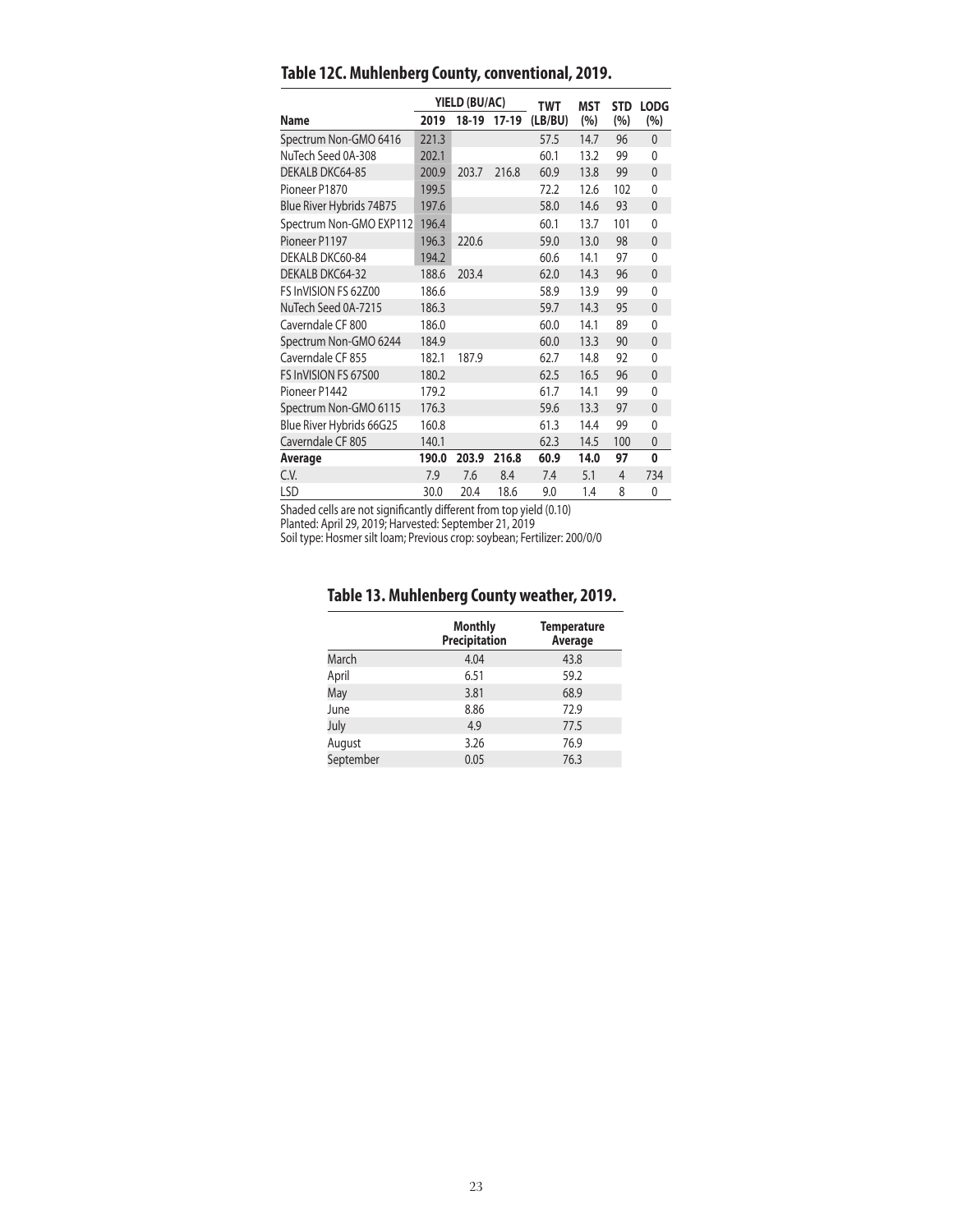|                          |       | YIELD (BU/AC) |         | <b>TWT</b> | MST  | <b>STD</b>     | <b>LODG</b>  |
|--------------------------|-------|---------------|---------|------------|------|----------------|--------------|
| <b>Name</b>              | 2019  | 18-19         | $17-19$ | (LB/BU)    | (%)  | (%)            | (%)          |
| Spectrum Non-GMO 6416    | 221.3 |               |         | 57.5       | 14.7 | 96             | $\mathbf{0}$ |
| NuTech Seed 0A-308       | 202.1 |               |         | 60.1       | 13.2 | 99             | $\mathbf{0}$ |
| DEKALB DKC64-85          | 200.9 | 203.7         | 216.8   | 60.9       | 13.8 | 99             | $\mathbf{0}$ |
| Pioneer P1870            | 199.5 |               |         | 72.2       | 12.6 | 102            | $\mathbf{0}$ |
| Blue River Hybrids 74B75 | 197.6 |               |         | 58.0       | 14.6 | 93             | $\mathbf{0}$ |
| Spectrum Non-GMO EXP112  | 196.4 |               |         | 60.1       | 13.7 | 101            | $\mathbf{0}$ |
| Pioneer P1197            | 196.3 | 220.6         |         | 59.0       | 13.0 | 98             | $\mathbf{0}$ |
| DEKALB DKC60-84          | 194.2 |               |         | 60.6       | 14.1 | 97             | 0            |
| DEKALB DKC64-32          | 188.6 | 203.4         |         | 62.0       | 14.3 | 96             | $\mathbf{0}$ |
| FS InVISION FS 62Z00     | 186.6 |               |         | 58.9       | 13.9 | 99             | $\mathbf{0}$ |
| NuTech Seed 0A-7215      | 186.3 |               |         | 59.7       | 14.3 | 95             | $\mathbf{0}$ |
| Caverndale CF 800        | 186.0 |               |         | 60.0       | 14.1 | 89             | $\mathbf{0}$ |
| Spectrum Non-GMO 6244    | 184.9 |               |         | 60.0       | 13.3 | 90             | $\mathbf{0}$ |
| Caverndale CF 855        | 182.1 | 187.9         |         | 62.7       | 14.8 | 92             | $\mathbf{0}$ |
| FS InVISION FS 67500     | 180.2 |               |         | 62.5       | 16.5 | 96             | $\mathbf{0}$ |
| Pioneer P1442            | 179.2 |               |         | 61.7       | 14.1 | 99             | $\mathbf{0}$ |
| Spectrum Non-GMO 6115    | 176.3 |               |         | 59.6       | 13.3 | 97             | $\mathbf{0}$ |
| Blue River Hybrids 66G25 | 160.8 |               |         | 61.3       | 14.4 | 99             | $\mathbf{0}$ |
| Caverndale CF 805        | 140.1 |               |         | 62.3       | 14.5 | 100            | $\mathbf{0}$ |
| Average                  | 190.0 | 203.9         | 216.8   | 60.9       | 14.0 | 97             | 0            |
| C.V.                     | 7.9   | 7.6           | 8.4     | 7.4        | 5.1  | $\overline{4}$ | 734          |
| LSD                      | 30.0  | 20.4          | 18.6    | 9.0        | 1.4  | 8              | 0            |

**Table 12C. Muhlenberg County, conventional, 2019.**

Shaded cells are not significantly different from top yield (0.10)

Planted: April 29, 2019; Harvested: September 21, 2019

Soil type: Hosmer silt loam; Previous crop: soybean; Fertilizer: 200/0/0

## **Table 13. Muhlenberg County weather, 2019.**

|           | <b>Monthly</b><br>Precipitation | <b>Temperature</b><br>Average |
|-----------|---------------------------------|-------------------------------|
| March     | 4.04                            | 43.8                          |
| April     | 6.51                            | 59.2                          |
| May       | 3.81                            | 68.9                          |
| June      | 8.86                            | 72.9                          |
| July      | 4.9                             | 77.5                          |
| August    | 3.26                            | 76.9                          |
| September | 0.05                            | 76.3                          |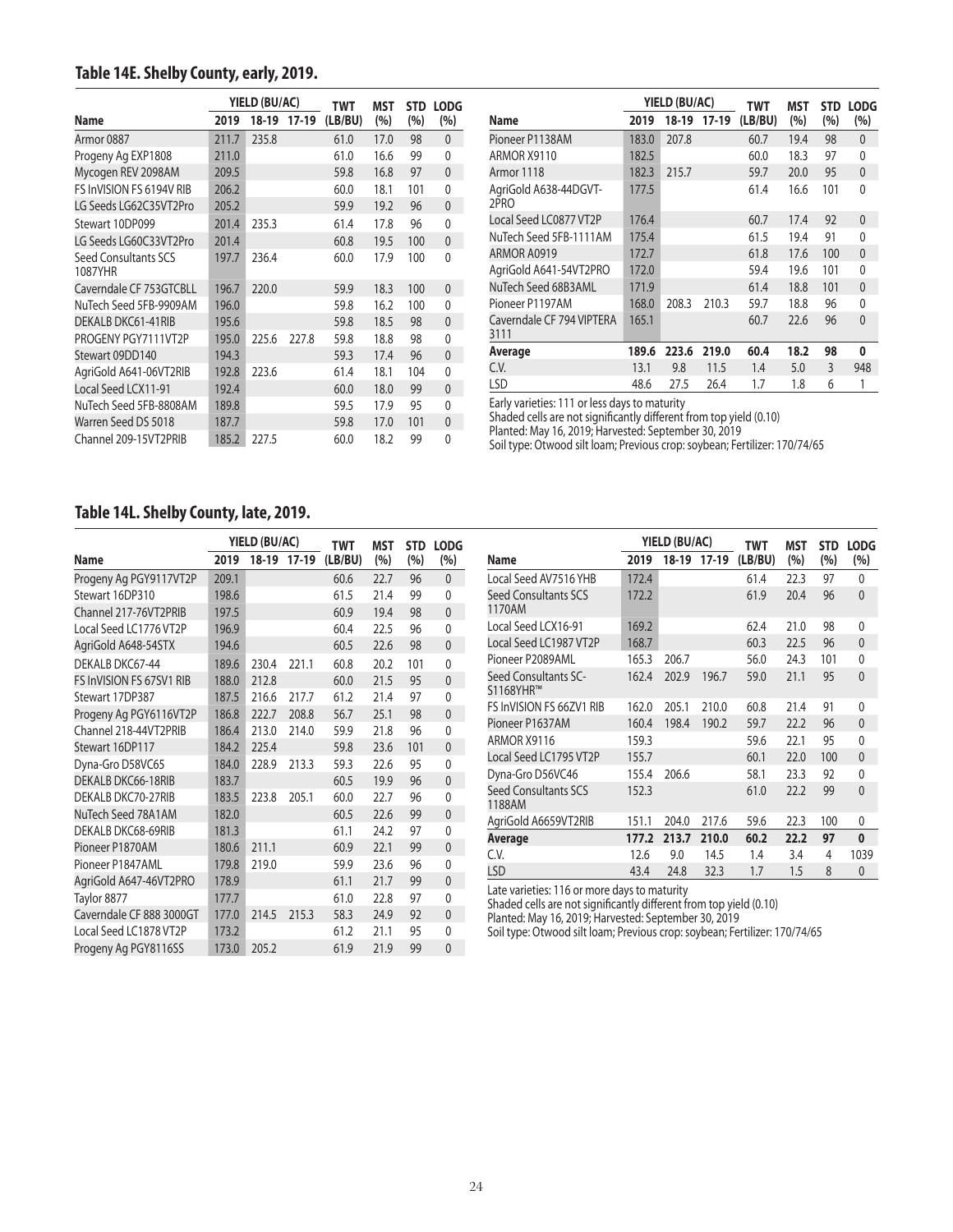## **Table 14E. Shelby County, early, 2019.**

|                                 |       | YIELD (BU/AC) |             | TWT     | MST  | <b>STD</b> | <b>LODG</b>  |
|---------------------------------|-------|---------------|-------------|---------|------|------------|--------------|
| Name                            | 2019  |               | 18-19 17-19 | (LB/BU) | (%)  | $(\% )$    | (%)          |
| Armor 0887                      | 211.7 | 235.8         |             | 61.0    | 17.0 | 98         | $\mathbf{0}$ |
| Progeny Ag EXP1808              | 211.0 |               |             | 61.0    | 16.6 | 99         | $\mathbf{0}$ |
| Mycogen REV 2098AM              | 209.5 |               |             | 59.8    | 16.8 | 97         | $\mathbf{0}$ |
| FS InVISION FS 6194V RIB        | 206.2 |               |             | 60.0    | 18.1 | 101        | $\mathbf{0}$ |
| LG Seeds LG62C35VT2Pro          | 205.2 |               |             | 59.9    | 19.2 | 96         | $\mathbf{0}$ |
| Stewart 10DP099                 | 201.4 | 235.3         |             | 61.4    | 17.8 | 96         | $\Omega$     |
| LG Seeds LG60C33VT2Pro          | 201.4 |               |             | 60.8    | 19.5 | 100        | $\mathbf{0}$ |
| Seed Consultants SCS<br>1087YHR | 197.7 | 236.4         |             | 60.0    | 17.9 | 100        | $\Omega$     |
| Caverndale CF 753GTCBLL         | 196.7 | 220.0         |             | 59.9    | 18.3 | 100        | $\Omega$     |
| NuTech Seed 5FB-9909AM          | 196.0 |               |             | 59.8    | 16.2 | 100        | $\mathbf{0}$ |
| DEKALB DKC61-41RIB              | 195.6 |               |             | 59.8    | 18.5 | 98         | $\mathbf{0}$ |
| PROGENY PGY7111VT2P             | 195.0 | 225.6         | 227.8       | 59.8    | 18.8 | 98         | $\mathbf{0}$ |
| Stewart 09DD140                 | 194.3 |               |             | 59.3    | 17.4 | 96         | $\mathbf{0}$ |
| AgriGold A641-06VT2RIB          | 192.8 | 223.6         |             | 61.4    | 18.1 | 104        | $\mathbf{0}$ |
| Local Seed LCX11-91             | 192.4 |               |             | 60.0    | 18.0 | 99         | $\mathbf{0}$ |
| NuTech Seed 5FB-8808AM          | 189.8 |               |             | 59.5    | 17.9 | 95         | 0            |
| Warren Seed DS 5018             | 187.7 |               |             | 59.8    | 17.0 | 101        | $\mathbf{0}$ |
| Channel 209-15VT2PRIB           | 185.2 | 227.5         |             | 60.0    | 18.2 | 99         | $\Omega$     |

|                                   |       | YIELD (BU/AC) |       | TWT     | MST  | <b>STD</b> | <b>LODG</b>    |
|-----------------------------------|-------|---------------|-------|---------|------|------------|----------------|
| Name                              | 2019  | 18-19         | 17-19 | (LB/BU) | (%)  | (%)        | (%)            |
| Pioneer P1138AM                   | 183.0 | 207.8         |       | 60.7    | 19.4 | 98         | $\mathbf{0}$   |
| ARMOR X9110                       | 182.5 |               |       | 60.0    | 18.3 | 97         | 0              |
| Armor 1118                        | 182.3 | 215.7         |       | 59.7    | 20.0 | 95         | $\mathbf{0}$   |
| AgriGold A638-44DGVT-<br>2PRO     | 177.5 |               |       | 61.4    | 16.6 | 101        | 0              |
| Local Seed LC0877 VT2P            | 176.4 |               |       | 60.7    | 17.4 | 92         | $\mathbf{0}$   |
| NuTech Seed 5FB-1111AM            | 175.4 |               |       | 61.5    | 19.4 | 91         | 0              |
| ARMOR A0919                       | 172.7 |               |       | 61.8    | 17.6 | 100        | $\overline{0}$ |
| AgriGold A641-54VT2PRO            | 172.0 |               |       | 59.4    | 19.6 | 101        | 0              |
| NuTech Seed 68B3AML               | 171.9 |               |       | 61.4    | 18.8 | 101        | $\mathbf{0}$   |
| Pioneer P1197AM                   | 168.0 | 208.3         | 210.3 | 59.7    | 18.8 | 96         | $\Omega$       |
| Caverndale CF 794 VIPTERA<br>3111 | 165.1 |               |       | 60.7    | 22.6 | 96         | $\Omega$       |
| Average                           | 189.6 | 223.6         | 219.0 | 60.4    | 18.2 | 98         | 0              |
| C.V.                              | 13.1  | 9.8           | 11.5  | 1.4     | 5.0  | 3          | 948            |
| LSD                               | 48.6  | 27.5          | 26.4  | 1.7     | 1.8  | 6          |                |

Early varieties: 111 or less days to maturity

Shaded cells are not significantly different from top yield (0.10)

Planted: May 16, 2019; Harvested: September 30, 2019

Soil type: Otwood silt loam; Previous crop: soybean; Fertilizer: 170/74/65

#### **Table 14L. Shelby County, late, 2019.**

|                          |       | YIELD (BU/AC) |       | <b>TWT</b> | <b>MST</b> | <b>STD</b> | <b>LODG</b>  |
|--------------------------|-------|---------------|-------|------------|------------|------------|--------------|
| <b>Name</b>              | 2019  | $18-19$       | 17-19 | (LB/BU)    | (%)        | (%)        | (%)          |
| Progeny Ag PGY9117VT2P   | 209.1 |               |       | 60.6       | 22.7       | 96         | $\mathbf{0}$ |
| Stewart 16DP310          | 198.6 |               |       | 61.5       | 21.4       | 99         | $\mathbf{0}$ |
| Channel 217-76VT2PRIB    | 197.5 |               |       | 60.9       | 19.4       | 98         | $\mathbf 0$  |
| Local Seed LC1776 VT2P   | 196.9 |               |       | 60.4       | 22.5       | 96         | $\mathbf{0}$ |
| AgriGold A648-54STX      | 194.6 |               |       | 60.5       | 22.6       | 98         | $\mathbf{0}$ |
| DEKALB DKC67-44          | 189.6 | 230.4         | 221.1 | 60.8       | 20.2       | 101        | $\mathbf{0}$ |
| FS InVISION FS 67SV1 RIB | 188.0 | 212.8         |       | 60.0       | 21.5       | 95         | $\mathbf 0$  |
| Stewart 17DP387          | 187.5 | 216.6         | 217.7 | 61.2       | 21.4       | 97         | $\mathbf{0}$ |
| Progeny Ag PGY6116VT2P   | 186.8 | 222.7         | 208.8 | 56.7       | 25.1       | 98         | $\mathbf 0$  |
| Channel 218-44VT2PRIB    | 186.4 | 213.0         | 214.0 | 59.9       | 21.8       | 96         | $\mathbf{0}$ |
| Stewart 16DP117          | 184.2 | 225.4         |       | 59.8       | 23.6       | 101        | $\mathbf{0}$ |
| Dyna-Gro D58VC65         | 184.0 | 228.9         | 213.3 | 59.3       | 22.6       | 95         | $\mathbf{0}$ |
| DEKALB DKC66-18RIB       | 183.7 |               |       | 60.5       | 19.9       | 96         | $\mathbf{0}$ |
| DEKALB DKC70-27RIB       | 183.5 | 223.8         | 205.1 | 60.0       | 22.7       | 96         | $\mathbf{0}$ |
| NuTech Seed 78A1AM       | 182.0 |               |       | 60.5       | 22.6       | 99         | $\mathbf{0}$ |
| DEKALB DKC68-69RIB       | 181.3 |               |       | 61.1       | 24.2       | 97         | $\mathbf{0}$ |
| Pioneer P1870AM          | 180.6 | 211.1         |       | 60.9       | 22.1       | 99         | $\mathbf{0}$ |
| Pioneer P1847AML         | 179.8 | 219.0         |       | 59.9       | 23.6       | 96         | $\mathbf{0}$ |
| AgriGold A647-46VT2PRO   | 178.9 |               |       | 61.1       | 21.7       | 99         | $\mathbf{0}$ |
| Taylor 8877              | 177.7 |               |       | 61.0       | 22.8       | 97         | $\mathbf{0}$ |
| Caverndale CF 888 3000GT | 177.0 | 214.5         | 215.3 | 58.3       | 24.9       | 92         | $\mathbf{0}$ |
| Local Seed LC1878 VT2P   | 173.2 |               |       | 61.2       | 21.1       | 95         | 0            |
| Progeny Ag PGY8116SS     | 173.0 | 205.2         |       | 61.9       | 21.9       | 99         | $\mathbf{0}$ |

|                                       |       | YIELD (BU/AC) |             | <b>TWT</b> | <b>MST</b> | <b>STD</b> | <b>LODG</b>    |
|---------------------------------------|-------|---------------|-------------|------------|------------|------------|----------------|
| Name                                  | 2019  |               | 18-19 17-19 | (LB/BU)    | (%)        | (%)        | (%)            |
| Local Seed AV7516 YHB                 | 172.4 |               |             | 61.4       | 22.3       | 97         | $\mathbf{0}$   |
| Seed Consultants SCS<br>1170AM        | 172.2 |               |             | 61.9       | 20.4       | 96         | $\mathbf{0}$   |
| Local Seed LCX16-91                   | 169.2 |               |             | 62.4       | 21.0       | 98         | 0              |
| Local Seed LC1987 VT2P                | 168.7 |               |             | 60.3       | 22.5       | 96         | $\mathbf{0}$   |
| Pioneer P2089AML                      | 165.3 | 206.7         |             | 56.0       | 24.3       | 101        | $\mathbf{0}$   |
| Seed Consultants SC-<br>S1168YHR™     | 162.4 | 202.9         | 196.7       | 59.0       | 21.1       | 95         | $\mathbf{0}$   |
| FS InVISION FS 66ZV1 RIB              | 162.0 | 205.1         | 210.0       | 60.8       | 21.4       | 91         | $\Omega$       |
| Pioneer P1637AM                       | 160.4 | 198.4         | 190.2       | 59.7       | 22.2       | 96         | $\mathbf{0}$   |
| ARMOR X9116                           | 159.3 |               |             | 59.6       | 22.1       | 95         | 0              |
| Local Seed LC1795 VT2P                | 155.7 |               |             | 60.1       | 22.0       | 100        | $\overline{0}$ |
| Dyna-Gro D56VC46                      | 155.4 | 206.6         |             | 58.1       | 23.3       | 92         | 0              |
| <b>Seed Consultants SCS</b><br>1188AM | 152.3 |               |             | 61.0       | 22.2       | 99         | $\Omega$       |
| AgriGold A6659VT2RIB                  | 151.1 | 204.0         | 217.6       | 59.6       | 22.3       | 100        | 0              |
| Average                               | 177.2 | 213.7         | 210.0       | 60.2       | 22.2       | 97         | $\bf{0}$       |
| C.V.                                  | 12.6  | 9.0           | 14.5        | 1.4        | 3.4        | 4          | 1039           |
| LSD                                   | 43.4  | 24.8          | 32.3        | 1.7        | 1.5        | 8          | $\mathbf 0$    |

Late varieties: 116 or more days to maturity

Shaded cells are not significantly different from top yield (0.10)

Planted: May 16, 2019; Harvested: September 30, 2019

Soil type: Otwood silt loam; Previous crop: soybean; Fertilizer: 170/74/65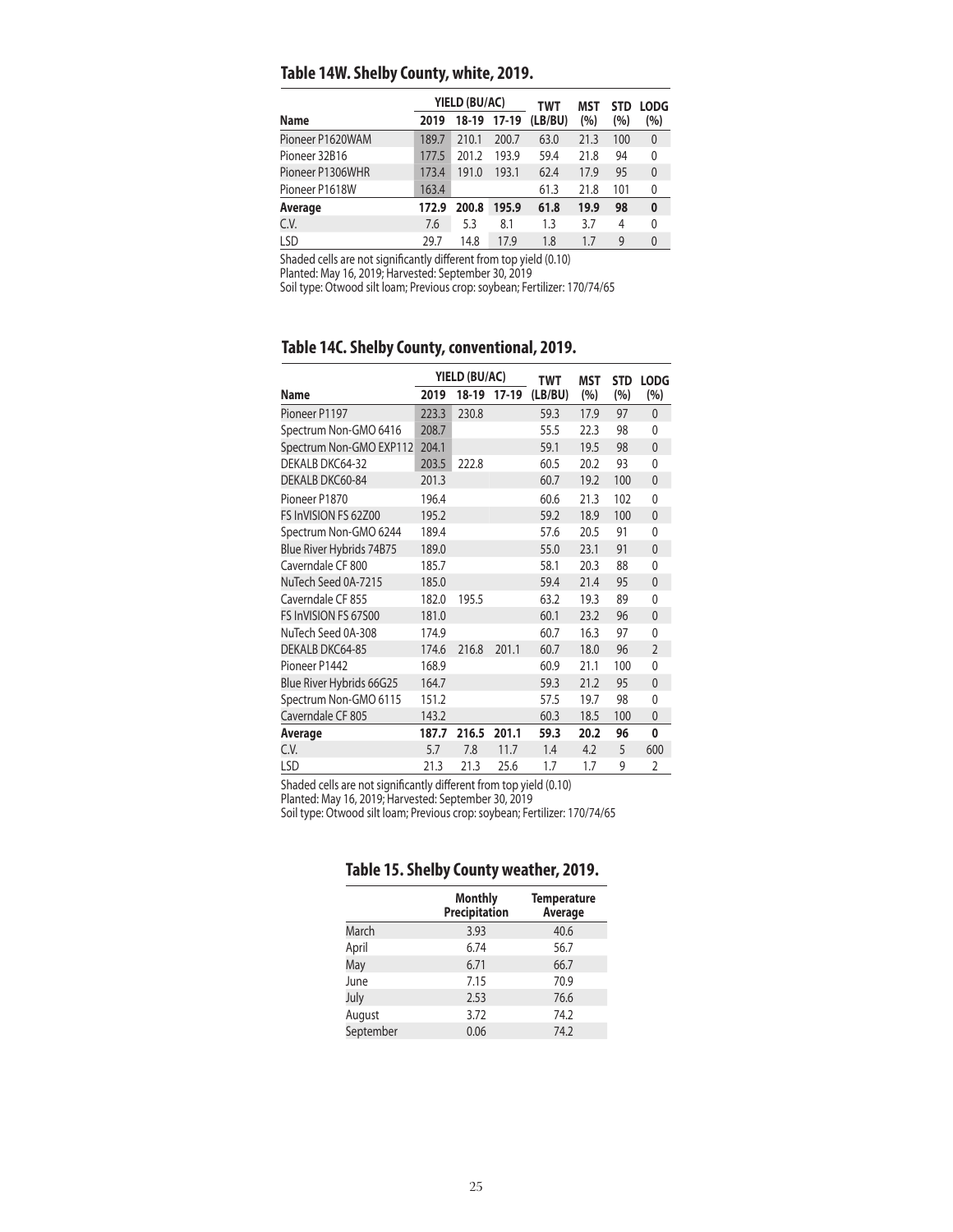## **Table 14W. Shelby County, white, 2019.**

|       |       |       | TWT                          | MST  | <b>STD</b> | <b>LODG</b>  |  |
|-------|-------|-------|------------------------------|------|------------|--------------|--|
| 2019  |       |       | (LB/BU)                      | (%)  | (%)        | (%)          |  |
| 189.7 | 210.1 | 200.7 | 63.0                         | 21.3 | 100        | $\mathbf{0}$ |  |
| 177.5 | 201.2 | 193.9 | 59.4                         | 21.8 | 94         | 0            |  |
| 173.4 | 191.0 | 193.1 | 62.4                         | 17.9 | 95         | $\theta$     |  |
| 163.4 |       |       | 61.3                         | 21.8 | 101        | 0            |  |
| 172.9 | 200.8 | 195.9 | 61.8                         | 19.9 | 98         | $\mathbf{0}$ |  |
| 7.6   | 5.3   | 8.1   | 1.3                          | 3.7  | 4          | 0            |  |
| 29.7  | 14.8  | 17.9  | 1.8                          | 1.7  | 9          | $\mathbf{0}$ |  |
|       |       |       | YIELD (BU/AC)<br>18-19 17-19 |      |            |              |  |

Shaded cells are not significantly different from top yield (0.10)

Planted: May 16, 2019; Harvested: September 30, 2019

Soil type: Otwood silt loam; Previous crop: soybean; Fertilizer: 170/74/65

## **Table 14C. Shelby County, conventional, 2019.**

|                          |       | YIELD (BU/AC) |         | TWT     | MST  | <b>STD</b> | <b>LODG</b>    |
|--------------------------|-------|---------------|---------|---------|------|------------|----------------|
| <b>Name</b>              | 2019  | 18-19         | $17-19$ | (LB/BU) | (%)  | (%)        | (%)            |
| Pioneer P1197            | 223.3 | 230.8         |         | 59.3    | 17.9 | 97         | $\overline{0}$ |
| Spectrum Non-GMO 6416    | 208.7 |               |         | 55.5    | 22.3 | 98         | 0              |
| Spectrum Non-GMO EXP112  | 204.1 |               |         | 59.1    | 19.5 | 98         | $\overline{0}$ |
| DEKALB DKC64-32          | 203.5 | 222.8         |         | 60.5    | 20.2 | 93         | 0              |
| DEKALB DKC60-84          | 201.3 |               |         | 60.7    | 19.2 | 100        | $\mathbf{0}$   |
| Pioneer P1870            | 196.4 |               |         | 60.6    | 21.3 | 102        | 0              |
| FS InVISION FS 62Z00     | 195.2 |               |         | 59.2    | 18.9 | 100        | $\overline{0}$ |
| Spectrum Non-GMO 6244    | 189.4 |               |         | 57.6    | 20.5 | 91         | 0              |
| Blue River Hybrids 74B75 | 189.0 |               |         | 55.0    | 23.1 | 91         | $\mathbf{0}$   |
| Caverndale CF 800        | 185.7 |               |         | 58.1    | 20.3 | 88         | 0              |
| NuTech Seed 0A-7215      | 185.0 |               |         | 59.4    | 21.4 | 95         | 0              |
| Caverndale CF 855        | 182.0 | 195.5         |         | 63.2    | 19.3 | 89         | 0              |
| FS InVISION FS 67500     | 181.0 |               |         | 60.1    | 23.2 | 96         | 0              |
| NuTech Seed 0A-308       | 174.9 |               |         | 60.7    | 16.3 | 97         | $\Omega$       |
| DEKALB DKC64-85          | 174.6 | 216.8         | 201.1   | 60.7    | 18.0 | 96         | $\overline{2}$ |
| Pioneer P1442            | 168.9 |               |         | 60.9    | 21.1 | 100        | 0              |
| Blue River Hybrids 66G25 | 164.7 |               |         | 59.3    | 21.2 | 95         | $\overline{0}$ |
| Spectrum Non-GMO 6115    | 151.2 |               |         | 57.5    | 19.7 | 98         | 0              |
| Caverndale CF 805        | 143.2 |               |         | 60.3    | 18.5 | 100        | 0              |
| Average                  | 187.7 | 216.5         | 201.1   | 59.3    | 20.2 | 96         | 0              |
| C.V.                     | 5.7   | 7.8           | 11.7    | 1.4     | 4.2  | 5          | 600            |
| LSD                      | 21.3  | 21.3          | 25.6    | 1.7     | 1.7  | 9          | $\overline{2}$ |

Shaded cells are not significantly different from top yield (0.10)

Planted: May 16, 2019; Harvested: September 30, 2019

Soil type: Otwood silt loam; Previous crop: soybean; Fertilizer: 170/74/65

|           | <b>Monthly</b><br><b>Precipitation</b> | <b>Temperature</b><br>Average |  |  |
|-----------|----------------------------------------|-------------------------------|--|--|
| March     | 3.93                                   | 40.6                          |  |  |
| April     | 6.74                                   | 56.7                          |  |  |
| May       | 6.71                                   | 66.7                          |  |  |
| June      | 7.15                                   | 70.9                          |  |  |
| July      | 2.53                                   | 76.6                          |  |  |
| August    | 3.72                                   | 74.2                          |  |  |
| September | 0.06                                   | 74.2                          |  |  |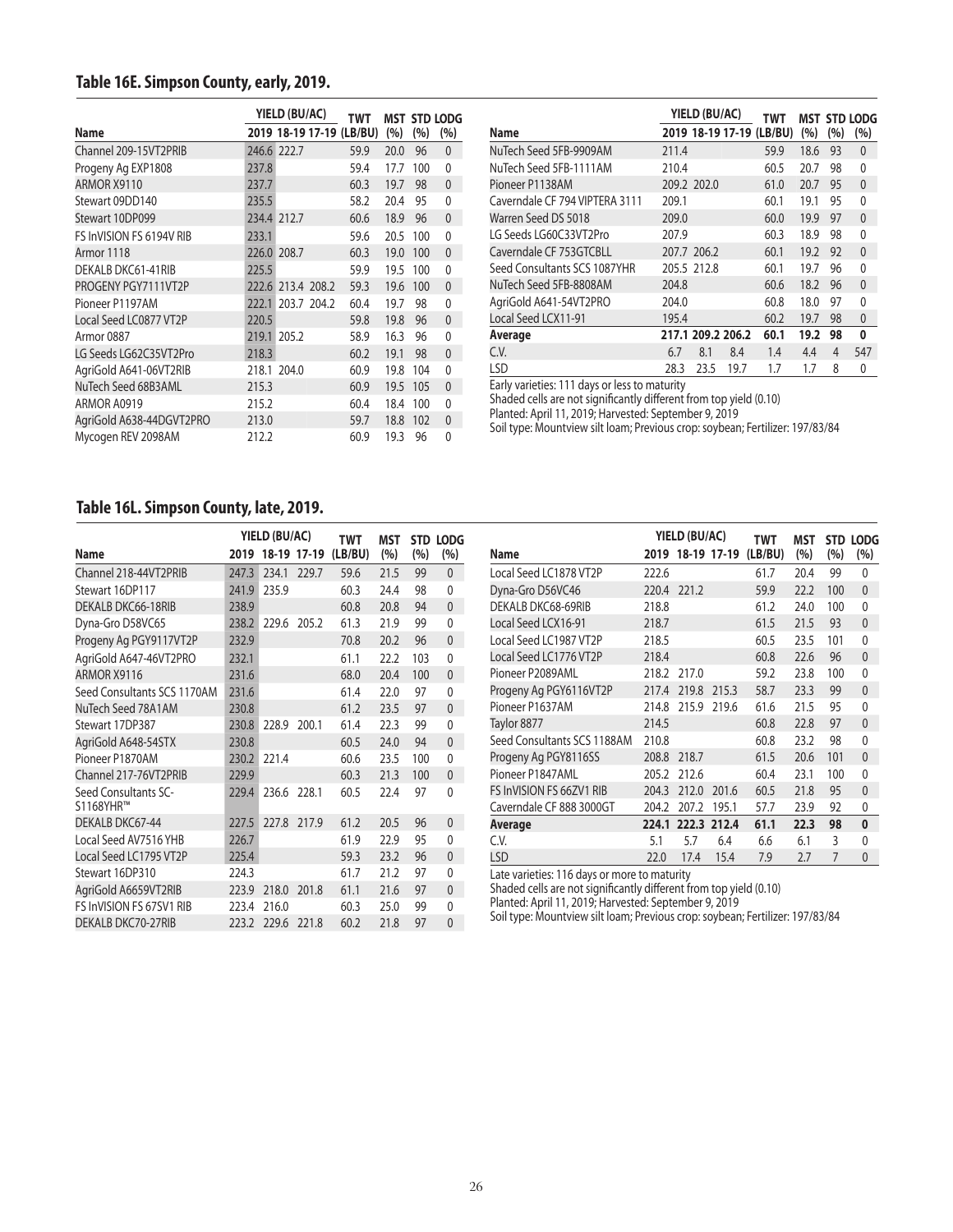## **Table 16E. Simpson County, early, 2019.**

|                          |       | YIELD (BU/AC)     |                   | TWT                      |      |     | <b>MST STD LODG</b> |
|--------------------------|-------|-------------------|-------------------|--------------------------|------|-----|---------------------|
| Name                     |       |                   |                   | 2019 18-19 17-19 (LB/BU) | (%)  | (%) | (%)                 |
| Channel 209-15VT2PRIB    |       | 246.6 222.7       |                   | 59.9                     | 20.0 | 96  | $\mathbf{0}$        |
| Progeny Ag EXP1808       | 237.8 |                   |                   | 59.4                     | 17.7 | 100 | $\mathbf{0}$        |
| ARMOR X9110              | 237.7 |                   |                   | 60.3                     | 19.7 | 98  | $\mathbf{0}$        |
| Stewart 09DD140          | 235.5 |                   |                   | 58.2                     | 20.4 | 95  | 0                   |
| Stewart 10DP099          |       | 234.4 212.7       |                   | 60.6                     | 18.9 | 96  | $\mathbf{0}$        |
| FS InVISION FS 6194V RIB | 233.1 |                   |                   | 59.6                     | 20.5 | 100 | $\mathbf{0}$        |
| Armor 1118               |       | 226.0 208.7       |                   | 60.3                     | 19.0 | 100 | $\mathbf{0}$        |
| DEKALB DKC61-41RIB       | 225.5 |                   |                   | 59.9                     | 19.5 | 100 | $\mathbf{0}$        |
| PROGENY PGY7111VT2P      |       |                   | 222.6 213.4 208.2 | 59.3                     | 19.6 | 100 | $\mathbf{0}$        |
| Pioneer P1197AM          |       | 222.1 203.7 204.2 |                   | 60.4                     | 19.7 | 98  | $\mathbf{0}$        |
| Local Seed LC0877 VT2P   | 220.5 |                   |                   | 59.8                     | 19.8 | 96  | $\mathbf{0}$        |
| Armor 0887               |       | 219.1 205.2       |                   | 58.9                     | 16.3 | 96  | 0                   |
| LG Seeds LG62C35VT2Pro   | 218.3 |                   |                   | 60.2                     | 19.1 | 98  | $\mathbf{0}$        |
| AgriGold A641-06VT2RIB   |       | 218.1 204.0       |                   | 60.9                     | 19.8 | 104 | $\mathbf{0}$        |
| NuTech Seed 68B3AML      | 215.3 |                   |                   | 60.9                     | 19.5 | 105 | $\mathbf{0}$        |
| ARMOR A0919              | 215.2 |                   |                   | 60.4                     | 18.4 | 100 | 0                   |
| AgriGold A638-44DGVT2PRO | 213.0 |                   |                   | 59.7                     | 18.8 | 102 | $\theta$            |
| Mycogen REV 2098AM       | 212.2 |                   |                   | 60.9                     | 19.3 | 96  | 0                   |

|                                | YIELD (BU/AC) |                   |      | TWT                      |      |     | <b>MST STD LODG</b> |
|--------------------------------|---------------|-------------------|------|--------------------------|------|-----|---------------------|
| Name                           |               |                   |      | 2019 18-19 17-19 (LB/BU) | (%)  | (%) | (%)                 |
| NuTech Seed 5FB-9909AM         | 211.4         |                   |      | 59.9                     | 18.6 | 93  | $\mathbf{0}$        |
| NuTech Seed 5FB-1111AM         | 210.4         |                   |      | 60.5                     | 20.7 | 98  | 0                   |
| Pioneer P1138AM                |               | 209.2 202.0       |      | 61.0                     | 20.7 | 95  | $\mathbf{0}$        |
| Caverndale CF 794 VIPTERA 3111 | 209.1         |                   |      | 60.1                     | 19.1 | 95  | 0                   |
| Warren Seed DS 5018            | 209.0         |                   |      | 60.0                     | 19.9 | 97  | $\mathbf{0}$        |
| LG Seeds LG60C33VT2Pro         | 207.9         |                   |      | 60.3                     | 18.9 | 98  | 0                   |
| Caverndale CF 753GTCBLL        |               | 207.7 206.2       |      | 60.1                     | 19.2 | 92  | $\mathbf{0}$        |
| Seed Consultants SCS 1087YHR   |               | 205.5 212.8       |      | 60.1                     | 19.7 | 96  | 0                   |
| NuTech Seed 5FB-8808AM         | 204.8         |                   |      | 60.6                     | 18.2 | 96  | $\mathbf{0}$        |
| AgriGold A641-54VT2PRO         | 204.0         |                   |      | 60.8                     | 18.0 | 97  | 0                   |
| Local Seed LCX11-91            | 195.4         |                   |      | 60.2                     | 19.7 | 98  | $\mathbf{0}$        |
| Average                        |               | 217.1 209.2 206.2 |      | 60.1                     | 19.2 | 98  | 0                   |
| C.V.                           | 6.7           | 8.1               | 8.4  | 1.4                      | 4.4  | 4   | 547                 |
| LSD                            | 28.3          | 23.5              | 19.7 | 1.7                      | 1.7  | 8   | $\Omega$            |

Early varieties: 111 days or less to maturity

Shaded cells are not significantly different from top yield (0.10)

Planted: April 11, 2019; Harvested: September 9, 2019

Soil type: Mountview silt loam; Previous crop: soybean; Fertilizer: 197/83/84

## **Table 16L. Simpson County, late, 2019.**

|                                   |       | YIELD (BU/AC) |             | <b>TWT</b> | <b>MST</b> | <b>STD LODG</b> |                |
|-----------------------------------|-------|---------------|-------------|------------|------------|-----------------|----------------|
| <b>Name</b>                       | 2019  |               | 18-19 17-19 | (LB/BU)    | (%)        | (%)             | (%)            |
| Channel 218-44VT2PRIB             | 247.3 | 234.1         | 229.7       | 59.6       | 21.5       | 99              | $\mathbf{0}$   |
| Stewart 16DP117                   | 241.9 | 235.9         |             | 60.3       | 24.4       | 98              | $\mathbf{0}$   |
| DEKALB DKC66-18RIB                | 238.9 |               |             | 60.8       | 20.8       | 94              | $\mathbf{0}$   |
| Dyna-Gro D58VC65                  | 238.2 | 229.6         | 205.2       | 61.3       | 21.9       | 99              | $\Omega$       |
| Progeny Ag PGY9117VT2P            | 232.9 |               |             | 70.8       | 20.2       | 96              | $\mathbf{0}$   |
| AgriGold A647-46VT2PRO            | 232.1 |               |             | 61.1       | 22.2       | 103             | $\mathbf{0}$   |
| ARMOR X9116                       | 231.6 |               |             | 68.0       | 20.4       | 100             | $\mathbf{0}$   |
| Seed Consultants SCS 1170AM       | 231.6 |               |             | 61.4       | 22.0       | 97              | $\mathbf{0}$   |
| NuTech Seed 78A1AM                | 230.8 |               |             | 61.2       | 23.5       | 97              | $\mathbf{0}$   |
| Stewart 17DP387                   | 230.8 | 228.9         | 200.1       | 61.4       | 22.3       | 99              | $\mathbf{0}$   |
| AgriGold A648-54STX               | 230.8 |               |             | 60.5       | 24.0       | 94              | $\mathbf{0}$   |
| Pioneer P1870AM                   | 230.2 | 221.4         |             | 60.6       | 23.5       | 100             | $\mathbf{0}$   |
| Channel 217-76VT2PRIB             | 229.9 |               |             | 60.3       | 21.3       | 100             | $\mathbf{0}$   |
| Seed Consultants SC-<br>S1168YHR™ | 229.4 | 236.6         | 228.1       | 60.5       | 22.4       | 97              | $\Omega$       |
| DEKALB DKC67-44                   | 227.5 | 227.8         | 217.9       | 61.2       | 20.5       | 96              | $\mathbf{0}$   |
| Local Seed AV7516 YHB             | 226.7 |               |             | 61.9       | 22.9       | 95              | $\Omega$       |
| Local Seed LC1795 VT2P            | 225.4 |               |             | 59.3       | 23.2       | 96              | $\overline{0}$ |
| Stewart 16DP310                   | 224.3 |               |             | 61.7       | 21.2       | 97              | $\Omega$       |
| AgriGold A6659VT2RIB              | 223.9 | 218.0         | 201.8       | 61.1       | 21.6       | 97              | $\mathbf{0}$   |
| FS InVISION FS 67SV1 RIB          | 223.4 | 216.0         |             | 60.3       | 25.0       | 99              | 0              |
| DEKALB DKC70-27RIB                | 223.2 | 229.6         | 221.8       | 60.2       | 21.8       | 97              | $\overline{0}$ |

|                             |       | YIELD (BU/AC)    |       | TWT     | MST  |     | STD LODG     |
|-----------------------------|-------|------------------|-------|---------|------|-----|--------------|
| <b>Name</b>                 |       | 2019 18-19 17-19 |       | (LB/BU) | (%)  | (%) | (%)          |
| Local Seed LC1878 VT2P      | 222.6 |                  |       | 61.7    | 20.4 | 99  | 0            |
| Dyna-Gro D56VC46            | 220.4 | 221.2            |       | 59.9    | 22.2 | 100 | $\mathbf{0}$ |
| DEKALB DKC68-69RIB          | 218.8 |                  |       | 61.2    | 24.0 | 100 | 0            |
| Local Seed LCX16-91         | 218.7 |                  |       | 61.5    | 21.5 | 93  | $\theta$     |
| Local Seed LC1987 VT2P      | 218.5 |                  |       | 60.5    | 23.5 | 101 | 0            |
| Local Seed LC1776 VT2P      | 218.4 |                  |       | 60.8    | 22.6 | 96  | $\mathbf{0}$ |
| Pioneer P2089AML            | 218.2 | 217.0            |       | 59.2    | 23.8 | 100 | 0            |
| Progeny Ag PGY6116VT2P      | 217.4 | 219.8            | 215.3 | 58.7    | 23.3 | 99  | $\mathbf{0}$ |
| Pioneer P1637AM             | 214.8 | 215.9            | 219.6 | 61.6    | 21.5 | 95  | 0            |
| Taylor 8877                 | 214.5 |                  |       | 60.8    | 22.8 | 97  | 0            |
| Seed Consultants SCS 1188AM | 210.8 |                  |       | 60.8    | 23.2 | 98  | 0            |
| Progeny Ag PGY8116SS        | 208.8 | 218.7            |       | 61.5    | 20.6 | 101 | $\mathbf{0}$ |
| Pioneer P1847AML            | 205.2 | 212.6            |       | 60.4    | 23.1 | 100 | 0            |
| FS InVISION FS 66ZV1 RIB    | 204.3 | 212.0            | 201.6 | 60.5    | 21.8 | 95  | $\mathbf{0}$ |
| Caverndale CF 888 3000GT    | 204.2 | 207.2            | 195.1 | 57.7    | 23.9 | 92  | 0            |
| Average                     | 224.1 | 222.3            | 212.4 | 61.1    | 22.3 | 98  | 0            |
| C.V.                        | 5.1   | 5.7              | 6.4   | 6.6     | 6.1  | 3   | 0            |
| LSD                         | 22.0  | 17.4             | 15.4  | 7.9     | 2.7  | 7   | 0            |

Late varieties: 116 days or more to maturity

Shaded cells are not significantly different from top yield (0.10)

Planted: April 11, 2019; Harvested: September 9, 2019

Soil type: Mountview silt loam; Previous crop: soybean; Fertilizer: 197/83/84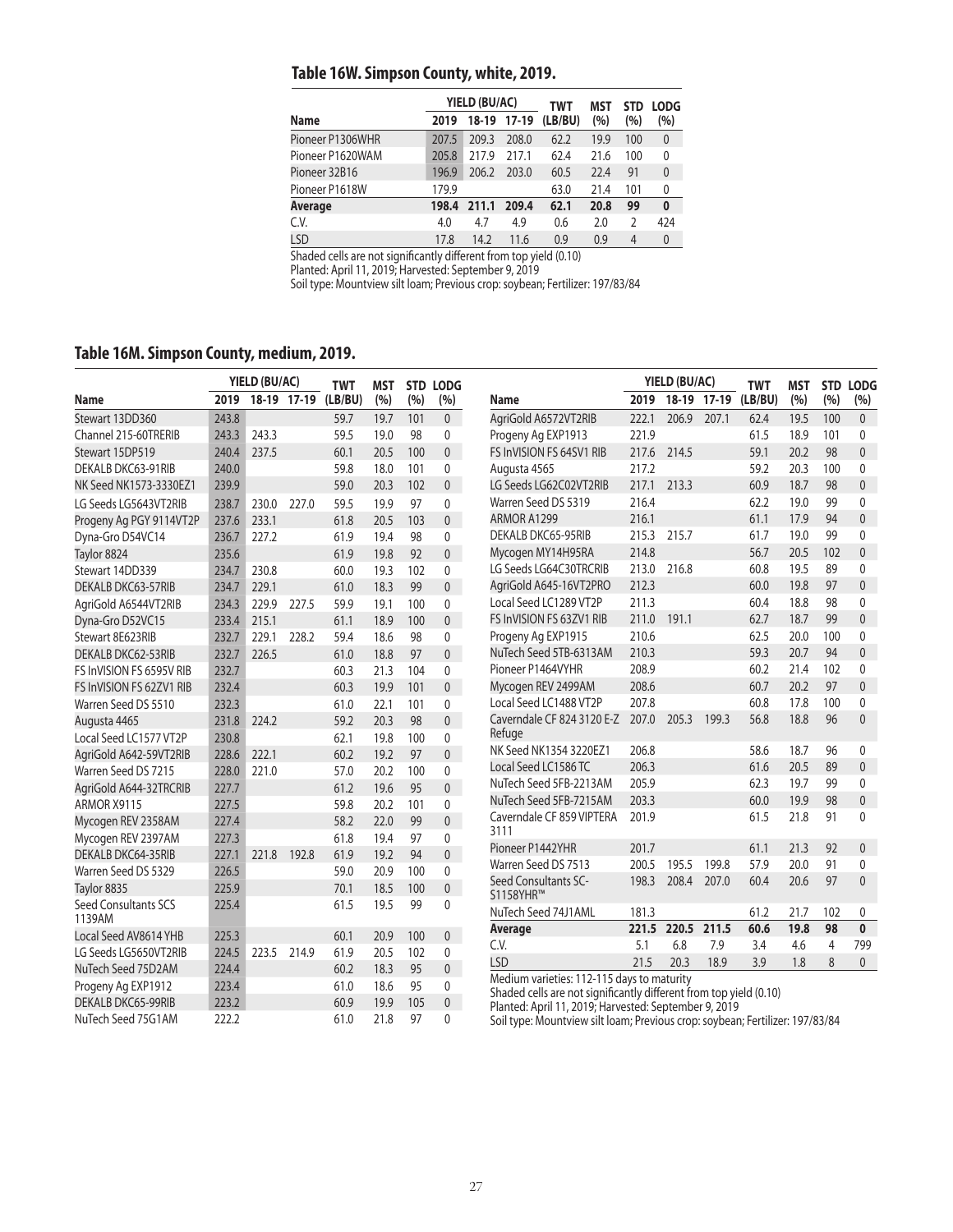## **Table 16W. Simpson County, white, 2019.**

|                  |       | YIELD (BU/AC) |             | TWT     | MST  | <b>STD</b> | <b>LODG</b>  |
|------------------|-------|---------------|-------------|---------|------|------------|--------------|
| Name             | 2019  |               | 18-19 17-19 | (LB/BU) | (%)  | (%)        | (%)          |
| Pioneer P1306WHR | 207.5 | 209.3         | 208.0       | 62.2    | 19.9 | 100        | $\mathbf{0}$ |
| Pioneer P1620WAM | 205.8 | 217.9         | 217.1       | 62.4    | 21.6 | 100        | 0            |
| Pioneer 32B16    | 196.9 | 206.2         | 203.0       | 60.5    | 22.4 | 91         | $\mathbf{0}$ |
| Pioneer P1618W   | 179.9 |               |             | 63.0    | 21.4 | 101        | 0            |
| Average          | 198.4 | 211.1         | 209.4       | 62.1    | 20.8 | 99         | $\bf{0}$     |
| C.V.             | 4.0   | 4.7           | 4.9         | 0.6     | 2.0  | C          | 424          |
| LSD              | 17.8  | 14.2          | 11.6        | 0.9     | 0.9  | 4          | $\mathbf{0}$ |

Shaded cells are not significantly different from top yield (0.10)

Planted: April 11, 2019; Harvested: September 9, 2019

Soil type: Mountview silt loam; Previous crop: soybean; Fertilizer: 197/83/84

## **Table 16M. Simpson County, medium, 2019.**

|                                |       | YIELD (BU/AC) |             | <b>TWT</b> | MST  |     | STD LODG       |                                                                                                                             |       | YIELD (BU/AC) |       | <b>TWT</b> | <b>MST</b> |                | <b>STD LODG</b> |
|--------------------------------|-------|---------------|-------------|------------|------|-----|----------------|-----------------------------------------------------------------------------------------------------------------------------|-------|---------------|-------|------------|------------|----------------|-----------------|
| Name                           | 2019  |               | 18-19 17-19 | (LB/BU)    | (%)  | (%) | (%)            | Name                                                                                                                        | 2019  | 18-19 17-19   |       | (LB/BU)    | (%)        | (%)            | (%)             |
| Stewart 13DD360                | 243.8 |               |             | 59.7       | 19.7 | 101 | $\mathbf{0}$   | AgriGold A6572VT2RIB                                                                                                        | 222.1 | 206.9         | 207.1 | 62.4       | 19.5       | 100            | $\mathbf{0}$    |
| Channel 215-60TRERIB           | 243.3 | 243.3         |             | 59.5       | 19.0 | 98  | 0              | Progeny Ag EXP1913                                                                                                          | 221.9 |               |       | 61.5       | 18.9       | 101            | $\mathbf{0}$    |
| Stewart 15DP519                | 240.4 | 237.5         |             | 60.1       | 20.5 | 100 | $\mathbf{0}$   | FS InVISION FS 64SV1 RIB                                                                                                    | 217.6 | 214.5         |       | 59.1       | 20.2       | 98             | $\mathbf{0}$    |
| DEKALB DKC63-91RIB             | 240.0 |               |             | 59.8       | 18.0 | 101 | 0              | Augusta 4565                                                                                                                | 217.2 |               |       | 59.2       | 20.3       | 100            | 0               |
| NK Seed NK1573-3330EZ1         | 239.9 |               |             | 59.0       | 20.3 | 102 | $\overline{0}$ | LG Seeds LG62C02VT2RIB                                                                                                      | 217.1 | 213.3         |       | 60.9       | 18.7       | 98             | $\mathbf{0}$    |
| LG Seeds LG5643VT2RIB          | 238.7 | 230.0         | 227.0       | 59.5       | 19.9 | 97  | $\mathbf{0}$   | Warren Seed DS 5319                                                                                                         | 216.4 |               |       | 62.2       | 19.0       | 99             | $\mathbf{0}$    |
| Progeny Ag PGY 9114VT2P        | 237.6 | 233.1         |             | 61.8       | 20.5 | 103 | $\mathbf{0}$   | ARMOR A1299                                                                                                                 | 216.1 |               |       | 61.1       | 17.9       | 94             | $\mathbf{0}$    |
| Dyna-Gro D54VC14               | 236.7 | 227.2         |             | 61.9       | 19.4 | 98  | $\mathbf{0}$   | DEKALB DKC65-95RIB                                                                                                          | 215.3 | 215.7         |       | 61.7       | 19.0       | 99             | $\mathbf 0$     |
| Taylor 8824                    | 235.6 |               |             | 61.9       | 19.8 | 92  | $\Omega$       | Mycogen MY14H95RA                                                                                                           | 214.8 |               |       | 56.7       | 20.5       | 102            | $\mathbf{0}$    |
| Stewart 14DD339                | 234.7 | 230.8         |             | 60.0       | 19.3 | 102 | $\mathbf{0}$   | LG Seeds LG64C30TRCRIB                                                                                                      | 213.0 | 216.8         |       | 60.8       | 19.5       | 89             | 0               |
| DEKALB DKC63-57RIB             | 234.7 | 229.1         |             | 61.0       | 18.3 | 99  | $\Omega$       | AgriGold A645-16VT2PRO                                                                                                      | 212.3 |               |       | 60.0       | 19.8       | 97             | $\mathbf{0}$    |
| AgriGold A6544VT2RIB           | 234.3 | 229.9         | 227.5       | 59.9       | 19.1 | 100 | $\Omega$       | Local Seed LC1289 VT2P                                                                                                      | 211.3 |               |       | 60.4       | 18.8       | 98             | $\mathbf 0$     |
| Dyna-Gro D52VC15               | 233.4 | 215.1         |             | 61.1       | 18.9 | 100 | $\mathbf{0}$   | FS InVISION FS 63ZV1 RIB                                                                                                    | 211.0 | 191.1         |       | 62.7       | 18.7       | 99             | $\mathbf{0}$    |
| Stewart 8E623RIB               | 232.7 | 229.1         | 228.2       | 59.4       | 18.6 | 98  | $\mathbf{0}$   | Progeny Ag EXP1915                                                                                                          | 210.6 |               |       | 62.5       | 20.0       | 100            | 0               |
| DEKALB DKC62-53RIB             | 232.7 | 226.5         |             | 61.0       | 18.8 | 97  | $\overline{0}$ | NuTech Seed 5TB-6313AM                                                                                                      | 210.3 |               |       | 59.3       | 20.7       | 94             | $\mathbf{0}$    |
| FS InVISION FS 6595V RIB       | 232.7 |               |             | 60.3       | 21.3 | 104 | $\Omega$       | Pioneer P1464VYHR                                                                                                           | 208.9 |               |       | 60.2       | 21.4       | 102            | $\mathbf{0}$    |
| FS InVISION FS 62ZV1 RIB       | 232.4 |               |             | 60.3       | 19.9 | 101 | $\mathbf{0}$   | Mycogen REV 2499AM                                                                                                          | 208.6 |               |       | 60.7       | 20.2       | 97             | $\mathbf{0}$    |
| Warren Seed DS 5510            | 232.3 |               |             | 61.0       | 22.1 | 101 | 0              | Local Seed LC1488 VT2P                                                                                                      | 207.8 |               |       | 60.8       | 17.8       | 100            | 0               |
| Augusta 4465                   | 231.8 | 224.2         |             | 59.2       | 20.3 | 98  | $\mathbf{0}$   | Caverndale CF 824 3120 E-Z                                                                                                  | 207.0 | 205.3         | 199.3 | 56.8       | 18.8       | 96             | $\mathbf{0}$    |
| Local Seed LC1577 VT2P         | 230.8 |               |             | 62.1       | 19.8 | 100 | $\mathbf{0}$   | Refuge                                                                                                                      |       |               |       |            |            |                |                 |
| AgriGold A642-59VT2RIB         | 228.6 | 222.1         |             | 60.2       | 19.2 | 97  | $\mathbf{0}$   | NK Seed NK1354 3220EZ1                                                                                                      | 206.8 |               |       | 58.6       | 18.7       | 96             | $\mathbf{0}$    |
| Warren Seed DS 7215            | 228.0 | 221.0         |             | 57.0       | 20.2 | 100 | $\mathbf{0}$   | Local Seed LC1586 TC                                                                                                        | 206.3 |               |       | 61.6       | 20.5       | 89             | $\mathbf{0}$    |
| AgriGold A644-32TRCRIB         | 227.7 |               |             | 61.2       | 19.6 | 95  | $\mathbf{0}$   | NuTech Seed 5FB-2213AM                                                                                                      | 205.9 |               |       | 62.3       | 19.7       | 99             | $\mathbf{0}$    |
| ARMOR X9115                    | 227.5 |               |             | 59.8       | 20.2 | 101 | 0              | NuTech Seed 5FB-7215AM                                                                                                      | 203.3 |               |       | 60.0       | 19.9       | 98             | $\mathbf{0}$    |
| Mycogen REV 2358AM             | 227.4 |               |             | 58.2       | 22.0 | 99  | $\mathbf 0$    | Caverndale CF 859 VIPTERA                                                                                                   | 201.9 |               |       | 61.5       | 21.8       | 91             | $\mathbf{0}$    |
| Mycogen REV 2397AM             | 227.3 |               |             | 61.8       | 19.4 | 97  | $\Omega$       | 3111                                                                                                                        |       |               |       |            |            |                |                 |
| DEKALB DKC64-35RIB             | 227.1 | 221.8         | 192.8       | 61.9       | 19.2 | 94  | $\mathbf{0}$   | Pioneer P1442YHR                                                                                                            | 201.7 |               |       | 61.1       | 21.3       | 92             | $\mathbf{0}$    |
| Warren Seed DS 5329            | 226.5 |               |             | 59.0       | 20.9 | 100 | $\Omega$       | Warren Seed DS 7513                                                                                                         | 200.5 | 195.5         | 199.8 | 57.9       | 20.0       | 91             | 0               |
| Taylor 8835                    | 225.9 |               |             | 70.1       | 18.5 | 100 | $\mathbf{0}$   | Seed Consultants SC-<br>S1158YHR™                                                                                           | 198.3 | 208.4         | 207.0 | 60.4       | 20.6       | 97             | $\mathbf{0}$    |
| Seed Consultants SCS<br>1139AM | 225.4 |               |             | 61.5       | 19.5 | 99  | $\mathbf{0}$   | NuTech Seed 74J1AML                                                                                                         | 181.3 |               |       | 61.2       | 21.7       | 102            | 0               |
| Local Seed AV8614 YHB          | 225.3 |               |             | 60.1       | 20.9 | 100 | $\overline{0}$ | Average                                                                                                                     | 221.5 | 220.5         | 211.5 | 60.6       | 19.8       | 98             | $\mathbf{0}$    |
| LG Seeds LG5650VT2RIB          | 224.5 | 223.5         | 214.9       | 61.9       | 20.5 | 102 | $\mathbf{0}$   | C.V.                                                                                                                        | 5.1   | 6.8           | 7.9   | 3.4        | 4.6        | $\overline{4}$ | 799             |
| NuTech Seed 75D2AM             | 224.4 |               |             | 60.2       | 18.3 | 95  | $\mathbf{0}$   | <b>LSD</b>                                                                                                                  | 21.5  | 20.3          | 18.9  | 3.9        | 1.8        | 8              | $\mathbf{0}$    |
| Progeny Ag EXP1912             | 223.4 |               |             | 61.0       | 18.6 | 95  | $\mathbf{0}$   | Medium varieties: 112-115 days to maturity                                                                                  |       |               |       |            |            |                |                 |
| DEKALB DKC65-99RIB             | 223.2 |               |             | 60.9       | 19.9 | 105 | $\mathbf{0}$   | Shaded cells are not significantly different from top yield (0.10)<br>Planted: April 11, 2019; Harvested: September 9, 2019 |       |               |       |            |            |                |                 |
| NuTech Seed 75G1AM             | 222.2 |               |             | 61.0       | 21.8 | 97  | $\Omega$       | Soil type: Mountview silt loam; Previous crop: soybean; Fertilizer: 197/83/84                                               |       |               |       |            |            |                |                 |